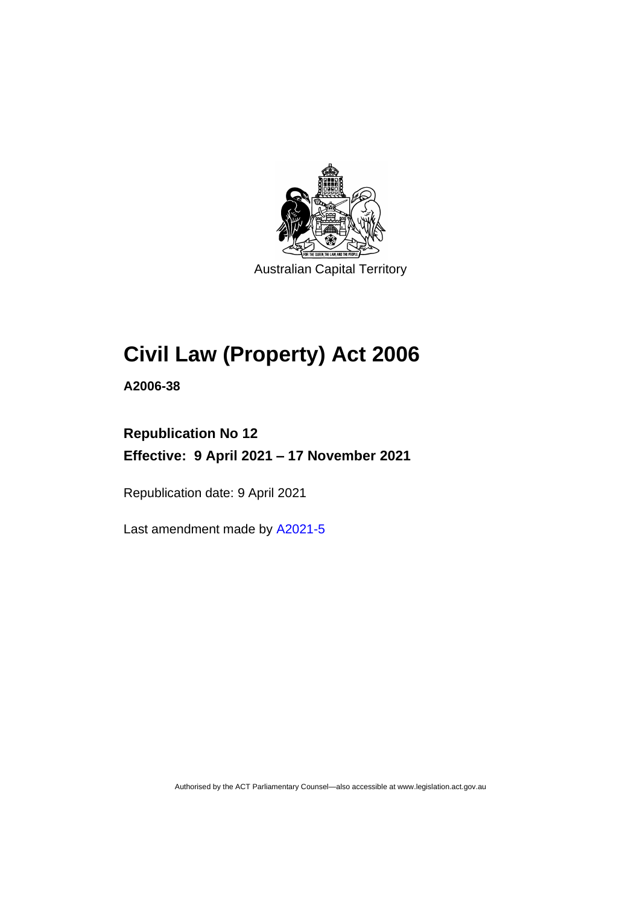

Australian Capital Territory

# **Civil Law (Property) Act 2006**

**A2006-38**

## **Republication No 12 Effective: 9 April 2021 – 17 November 2021**

Republication date: 9 April 2021

Last amendment made by [A2021-5](http://www.legislation.act.gov.au/a/2021-5/)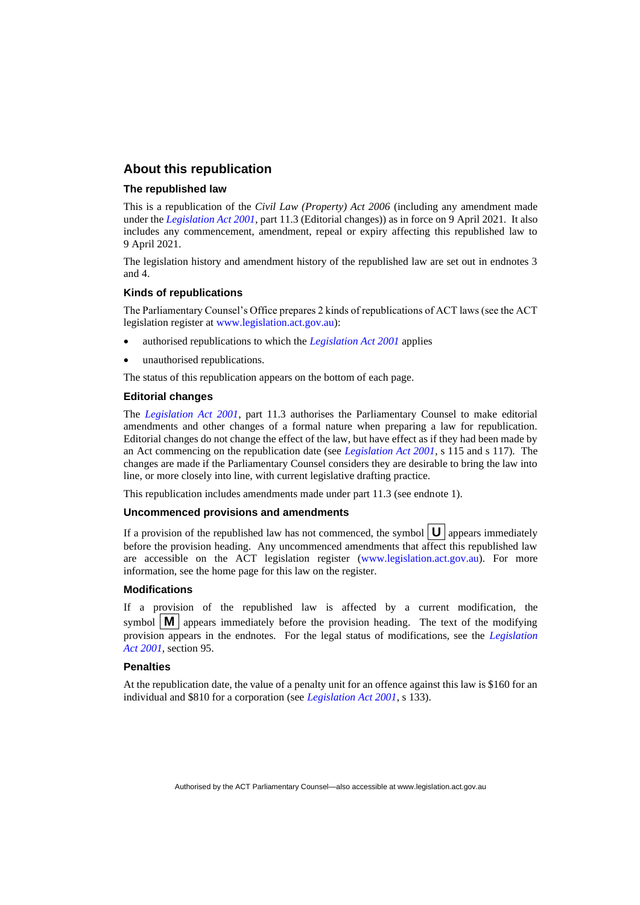#### **About this republication**

#### **The republished law**

This is a republication of the *Civil Law (Property) Act 2006* (including any amendment made under the *[Legislation Act 2001](http://www.legislation.act.gov.au/a/2001-14)*, part 11.3 (Editorial changes)) as in force on 9 April 2021*.* It also includes any commencement, amendment, repeal or expiry affecting this republished law to 9 April 2021.

The legislation history and amendment history of the republished law are set out in endnotes 3 and 4.

#### **Kinds of republications**

The Parliamentary Counsel's Office prepares 2 kinds of republications of ACT laws (see the ACT legislation register at [www.legislation.act.gov.au\)](http://www.legislation.act.gov.au/):

- authorised republications to which the *[Legislation Act 2001](http://www.legislation.act.gov.au/a/2001-14)* applies
- unauthorised republications.

The status of this republication appears on the bottom of each page.

#### **Editorial changes**

The *[Legislation Act 2001](http://www.legislation.act.gov.au/a/2001-14)*, part 11.3 authorises the Parliamentary Counsel to make editorial amendments and other changes of a formal nature when preparing a law for republication. Editorial changes do not change the effect of the law, but have effect as if they had been made by an Act commencing on the republication date (see *[Legislation Act 2001](http://www.legislation.act.gov.au/a/2001-14)*, s 115 and s 117). The changes are made if the Parliamentary Counsel considers they are desirable to bring the law into line, or more closely into line, with current legislative drafting practice.

This republication includes amendments made under part 11.3 (see endnote 1).

#### **Uncommenced provisions and amendments**

If a provision of the republished law has not commenced, the symbol  $\mathbf{U}$  appears immediately before the provision heading. Any uncommenced amendments that affect this republished law are accessible on the ACT legislation register [\(www.legislation.act.gov.au\)](http://www.legislation.act.gov.au/). For more information, see the home page for this law on the register.

#### **Modifications**

If a provision of the republished law is affected by a current modification, the symbol  $\mathbf{M}$  appears immediately before the provision heading. The text of the modifying provision appears in the endnotes. For the legal status of modifications, see the *[Legislation](http://www.legislation.act.gov.au/a/2001-14)  Act [2001](http://www.legislation.act.gov.au/a/2001-14)*, section 95.

#### **Penalties**

At the republication date, the value of a penalty unit for an offence against this law is \$160 for an individual and \$810 for a corporation (see *[Legislation Act 2001](http://www.legislation.act.gov.au/a/2001-14)*, s 133).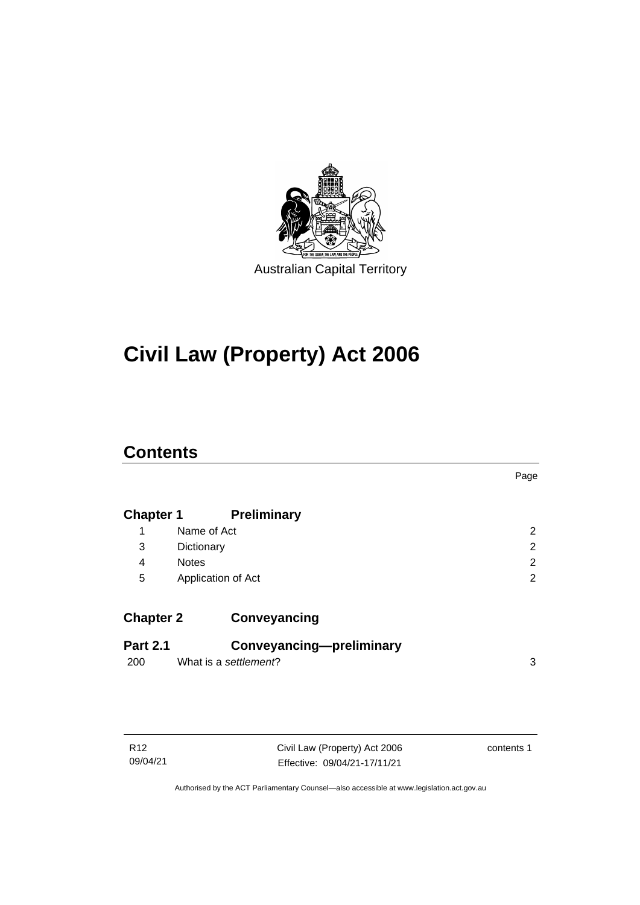

# **Civil Law (Property) Act 2006**

## **Contents**

|                  |                          | Page           |
|------------------|--------------------------|----------------|
| <b>Chapter 1</b> | <b>Preliminary</b>       |                |
| 1                | Name of Act              | 2              |
| 3                | Dictionary               | $\overline{2}$ |
| 4                | <b>Notes</b>             | 2              |
| 5                | Application of Act       | $\overline{2}$ |
| <b>Chapter 2</b> | Conveyancing             |                |
| <b>Part 2.1</b>  | Conveyancing-preliminary |                |
| 200              | What is a settlement?    | 3              |
|                  |                          |                |

| R <sub>12</sub> |
|-----------------|
| 09/04/21        |

Civil Law (Property) Act 2006 Effective: 09/04/21-17/11/21

contents 1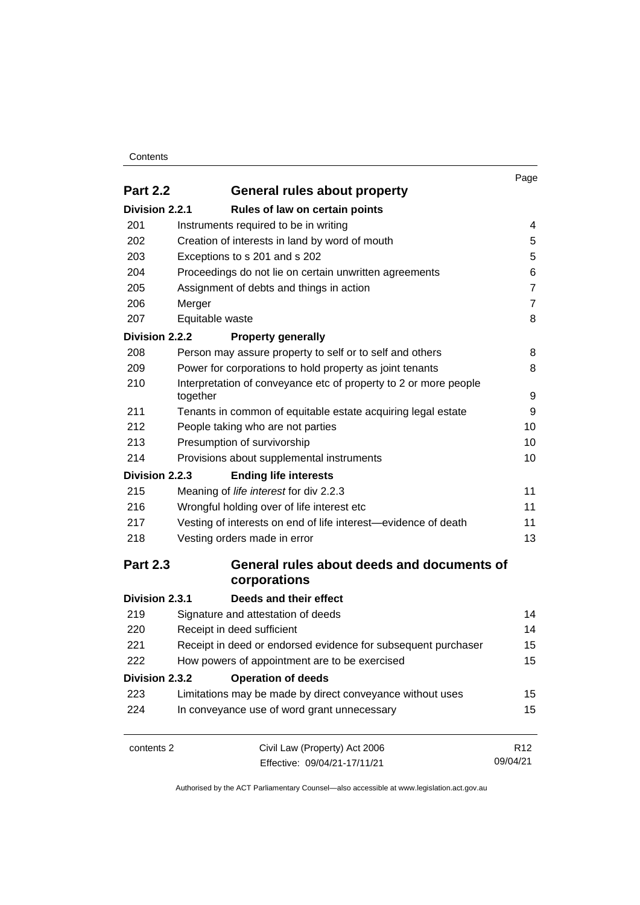#### **Contents**

|                                                 |                                                                                                                                                                                       | Page            |
|-------------------------------------------------|---------------------------------------------------------------------------------------------------------------------------------------------------------------------------------------|-----------------|
| <b>Part 2.2</b><br>General rules about property |                                                                                                                                                                                       |                 |
| Division 2.2.1                                  | Rules of law on certain points                                                                                                                                                        |                 |
| 201                                             | Instruments required to be in writing                                                                                                                                                 | 4               |
| 202                                             | Creation of interests in land by word of mouth<br>Exceptions to s 201 and s 202<br>Proceedings do not lie on certain unwritten agreements<br>Assignment of debts and things in action | 5               |
| 203                                             |                                                                                                                                                                                       | 5               |
| 204                                             |                                                                                                                                                                                       | 6               |
| 205                                             |                                                                                                                                                                                       | $\overline{7}$  |
| 206                                             | Merger                                                                                                                                                                                | $\overline{7}$  |
| 207                                             | Equitable waste                                                                                                                                                                       | 8               |
| Division 2.2.2                                  | <b>Property generally</b>                                                                                                                                                             |                 |
| 208                                             | Person may assure property to self or to self and others                                                                                                                              | 8               |
| 209                                             | Power for corporations to hold property as joint tenants                                                                                                                              | 8               |
| 210                                             | Interpretation of conveyance etc of property to 2 or more people<br>together                                                                                                          | 9               |
| 211                                             | Tenants in common of equitable estate acquiring legal estate                                                                                                                          | 9               |
| 212                                             | People taking who are not parties                                                                                                                                                     | 10              |
| 213<br>214                                      | Presumption of survivorship<br>Provisions about supplemental instruments                                                                                                              | 10              |
|                                                 |                                                                                                                                                                                       | 10              |
| Division 2.2.3                                  | <b>Ending life interests</b>                                                                                                                                                          |                 |
| 215                                             | Meaning of life interest for div 2.2.3                                                                                                                                                | 11              |
| 216                                             | Wrongful holding over of life interest etc                                                                                                                                            | 11              |
| 217                                             | Vesting of interests on end of life interest-evidence of death                                                                                                                        | 11              |
| 218                                             | Vesting orders made in error                                                                                                                                                          | 13              |
| <b>Part 2.3</b>                                 | General rules about deeds and documents of<br>corporations                                                                                                                            |                 |
| Division 2.3.1                                  | Deeds and their effect                                                                                                                                                                |                 |
| 219                                             | Signature and attestation of deeds                                                                                                                                                    | 14              |
| 220                                             | Receipt in deed sufficient                                                                                                                                                            | 14              |
| 221                                             | Receipt in deed or endorsed evidence for subsequent purchaser                                                                                                                         | 15              |
| 222                                             | How powers of appointment are to be exercised                                                                                                                                         |                 |
| Division 2.3.2                                  | <b>Operation of deeds</b>                                                                                                                                                             |                 |
| 223                                             | Limitations may be made by direct conveyance without uses                                                                                                                             | 15              |
| 224                                             | In conveyance use of word grant unnecessary                                                                                                                                           | 15              |
| contents 2                                      | Civil Law (Property) Act 2006                                                                                                                                                         | R <sub>12</sub> |
|                                                 | Effective: 09/04/21-17/11/21                                                                                                                                                          | 09/04/21        |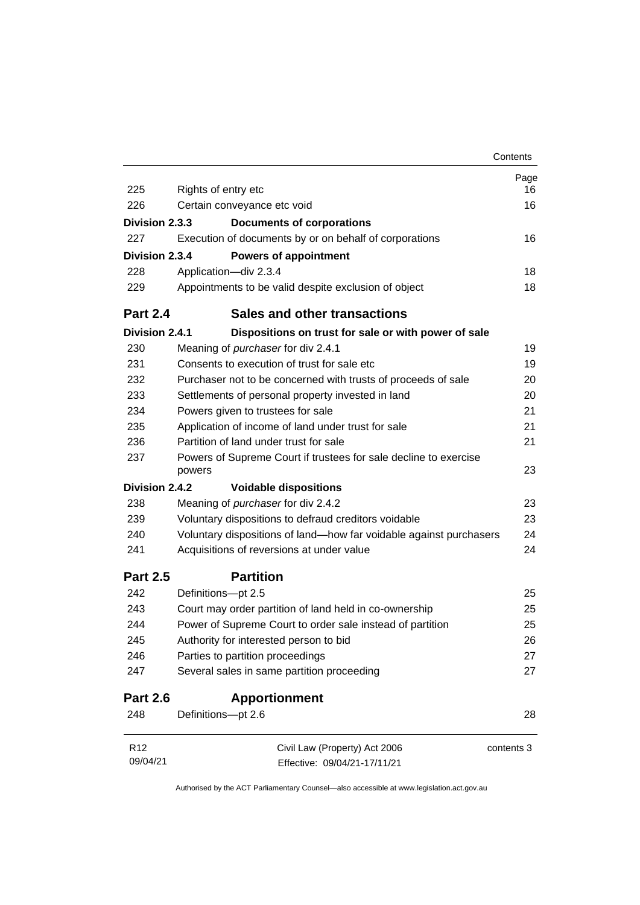|                 |                                                                            | Contents   |
|-----------------|----------------------------------------------------------------------------|------------|
|                 |                                                                            | Page       |
| 225             | Rights of entry etc                                                        | 16         |
| 226             | Certain conveyance etc void                                                | 16         |
| Division 2.3.3  | <b>Documents of corporations</b>                                           |            |
| 227             | Execution of documents by or on behalf of corporations                     | 16         |
| Division 2.3.4  | <b>Powers of appointment</b>                                               |            |
| 228             | Application-div 2.3.4                                                      | 18         |
| 229             | Appointments to be valid despite exclusion of object                       | 18         |
| <b>Part 2.4</b> | Sales and other transactions                                               |            |
| Division 2.4.1  | Dispositions on trust for sale or with power of sale                       |            |
| 230             | Meaning of purchaser for div 2.4.1                                         | 19         |
| 231             | Consents to execution of trust for sale etc                                | 19         |
| 232             | Purchaser not to be concerned with trusts of proceeds of sale              | 20         |
| 233             | Settlements of personal property invested in land                          | 20         |
| 234             | Powers given to trustees for sale                                          | 21         |
| 235             | Application of income of land under trust for sale                         | 21         |
| 236             | Partition of land under trust for sale                                     | 21         |
| 237             | Powers of Supreme Court if trustees for sale decline to exercise<br>powers | 23         |
| Division 2.4.2  | <b>Voidable dispositions</b>                                               |            |
| 238             | Meaning of <i>purchaser</i> for div 2.4.2                                  | 23         |
| 239             | Voluntary dispositions to defraud creditors voidable                       | 23         |
| 240             | Voluntary dispositions of land-how far voidable against purchasers         | 24         |
| 241             | Acquisitions of reversions at under value                                  | 24         |
| <b>Part 2.5</b> | <b>Partition</b>                                                           |            |
| 242             | Definitions-pt 2.5                                                         | 25         |
| 243             | Court may order partition of land held in co-ownership                     | 25         |
| 244             | Power of Supreme Court to order sale instead of partition                  | 25         |
| 245             | Authority for interested person to bid                                     | 26         |
| 246             | Parties to partition proceedings                                           | 27         |
| 247             | Several sales in same partition proceeding                                 | 27         |
| <b>Part 2.6</b> | <b>Apportionment</b>                                                       |            |
| 248             | Definitions-pt 2.6                                                         | 28         |
| R <sub>12</sub> | Civil Law (Property) Act 2006                                              | contents 3 |
| 09/04/21        | Effective: 09/04/21-17/11/21                                               |            |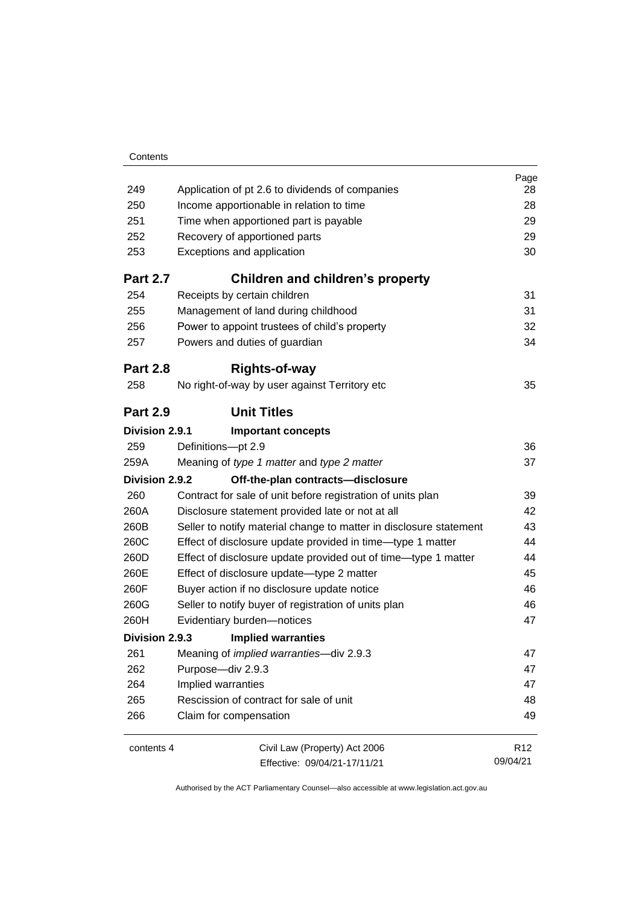| 249<br>250<br>251<br>252<br>253<br><b>Part 2.7</b><br>254<br>255<br>256<br>257 | Application of pt 2.6 to dividends of companies<br>Income apportionable in relation to time<br>Time when apportioned part is payable<br>Recovery of apportioned parts<br>Exceptions and application<br>Children and children's property<br>Receipts by certain children<br>Management of land during childhood<br>Power to appoint trustees of child's property<br>Powers and duties of guardian | Page<br>28<br>28<br>29<br>29<br>30<br>31<br>31<br>32<br>34 |
|--------------------------------------------------------------------------------|--------------------------------------------------------------------------------------------------------------------------------------------------------------------------------------------------------------------------------------------------------------------------------------------------------------------------------------------------------------------------------------------------|------------------------------------------------------------|
| <b>Part 2.8</b>                                                                | <b>Rights-of-way</b>                                                                                                                                                                                                                                                                                                                                                                             |                                                            |
| 258                                                                            | No right-of-way by user against Territory etc                                                                                                                                                                                                                                                                                                                                                    | 35                                                         |
| <b>Part 2.9</b>                                                                | <b>Unit Titles</b>                                                                                                                                                                                                                                                                                                                                                                               |                                                            |
| Division 2.9.1                                                                 | <b>Important concepts</b>                                                                                                                                                                                                                                                                                                                                                                        |                                                            |
| 259                                                                            | Definitions-pt 2.9                                                                                                                                                                                                                                                                                                                                                                               | 36                                                         |
| 259A                                                                           | Meaning of type 1 matter and type 2 matter                                                                                                                                                                                                                                                                                                                                                       | 37                                                         |
| Division 2.9.2                                                                 | Off-the-plan contracts-disclosure                                                                                                                                                                                                                                                                                                                                                                |                                                            |
| 260                                                                            | Contract for sale of unit before registration of units plan                                                                                                                                                                                                                                                                                                                                      | 39                                                         |
| 260A                                                                           | Disclosure statement provided late or not at all                                                                                                                                                                                                                                                                                                                                                 | 42                                                         |
| 260B                                                                           | Seller to notify material change to matter in disclosure statement                                                                                                                                                                                                                                                                                                                               | 43                                                         |
| 260C                                                                           | Effect of disclosure update provided in time-type 1 matter                                                                                                                                                                                                                                                                                                                                       | 44                                                         |
| 260D                                                                           | Effect of disclosure update provided out of time—type 1 matter                                                                                                                                                                                                                                                                                                                                   | 44                                                         |
| 260E                                                                           | Effect of disclosure update-type 2 matter                                                                                                                                                                                                                                                                                                                                                        | 45                                                         |
| 260F                                                                           | Buyer action if no disclosure update notice                                                                                                                                                                                                                                                                                                                                                      | 46                                                         |
| 260G                                                                           | Seller to notify buyer of registration of units plan                                                                                                                                                                                                                                                                                                                                             | 46                                                         |
| 260H                                                                           | Evidentiary burden-notices                                                                                                                                                                                                                                                                                                                                                                       | 47                                                         |
| Division 2.9.3                                                                 | <b>Implied warranties</b>                                                                                                                                                                                                                                                                                                                                                                        |                                                            |
| 261                                                                            | Meaning of <i>implied warranties</i> -div 2.9.3                                                                                                                                                                                                                                                                                                                                                  | 47                                                         |
| 262                                                                            | Purpose-div 2.9.3                                                                                                                                                                                                                                                                                                                                                                                | 47                                                         |
| 264                                                                            | Implied warranties                                                                                                                                                                                                                                                                                                                                                                               | 47                                                         |
| 265                                                                            | Rescission of contract for sale of unit                                                                                                                                                                                                                                                                                                                                                          | 48                                                         |
| 266                                                                            | Claim for compensation                                                                                                                                                                                                                                                                                                                                                                           | 49                                                         |
| contents 4                                                                     | Civil Law (Property) Act 2006                                                                                                                                                                                                                                                                                                                                                                    | R <sub>12</sub>                                            |
|                                                                                | Effective: 09/04/21-17/11/21                                                                                                                                                                                                                                                                                                                                                                     | 09/04/21                                                   |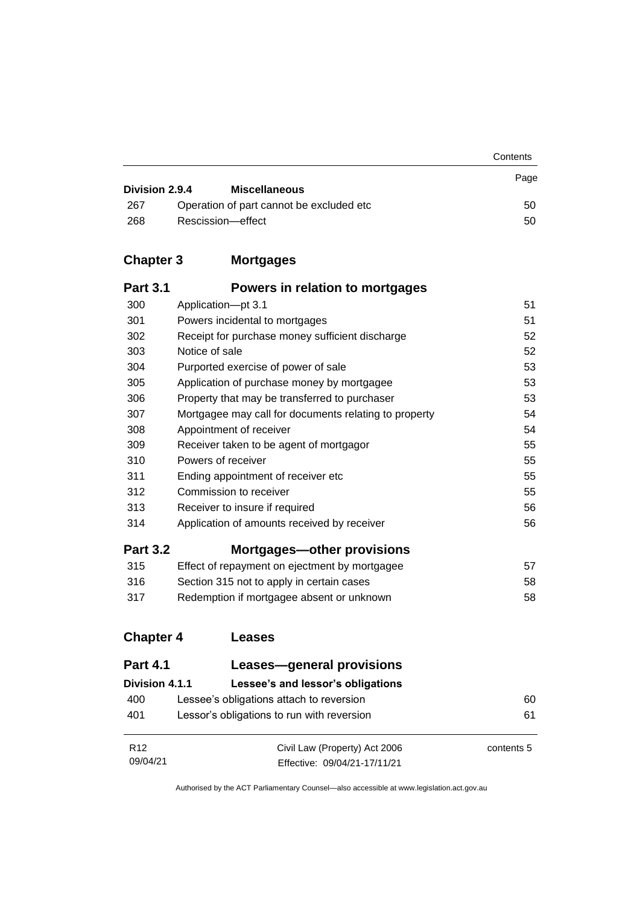|                |                                           | Contents |
|----------------|-------------------------------------------|----------|
| Division 2.9.4 | <b>Miscellaneous</b>                      | Page     |
| 267            | Operation of part cannot be excluded etc. | 50       |
| 268            | Rescission-effect                         | 50       |

## **Chapter 3 [Mortgages](#page-60-0)**

| <b>Part 3.1</b> | Powers in relation to mortgages                       |    |
|-----------------|-------------------------------------------------------|----|
| 300             | Application-pt 3.1                                    | 51 |
| 301             | Powers incidental to mortgages                        | 51 |
| 302             | Receipt for purchase money sufficient discharge       | 52 |
| 303             | Notice of sale                                        | 52 |
| 304             | Purported exercise of power of sale                   | 53 |
| 305             | Application of purchase money by mortgagee            | 53 |
| 306             | Property that may be transferred to purchaser         | 53 |
| 307             | Mortgagee may call for documents relating to property | 54 |
| 308             | Appointment of receiver                               | 54 |
| 309             | Receiver taken to be agent of mortgagor               | 55 |
| 310             | Powers of receiver                                    | 55 |
| 311             | Ending appointment of receiver etc.                   | 55 |
| 312             | Commission to receiver                                | 55 |
| 313             | Receiver to insure if required                        | 56 |
| 314             | Application of amounts received by receiver           | 56 |
| <b>Part 3.2</b> | <b>Mortgages-other provisions</b>                     |    |
| 315             | Effect of repayment on ejectment by mortgagee         | 57 |
| 316             | Section 315 not to apply in certain cases             | 58 |
| 317             | Redemption if mortgagee absent or unknown             | 58 |

## **[Chapter 4](#page-69-0) Leases**

| <b>Part 4.1</b>             | Leases-general provisions                                     |            |
|-----------------------------|---------------------------------------------------------------|------------|
| Division 4.1.1              | Lessee's and lessor's obligations                             |            |
| 400                         | Lessee's obligations attach to reversion                      | 60         |
| 401                         | Lessor's obligations to run with reversion                    | 61         |
| R <sub>12</sub><br>09/04/21 | Civil Law (Property) Act 2006<br>Effective: 09/04/21-17/11/21 | contents 5 |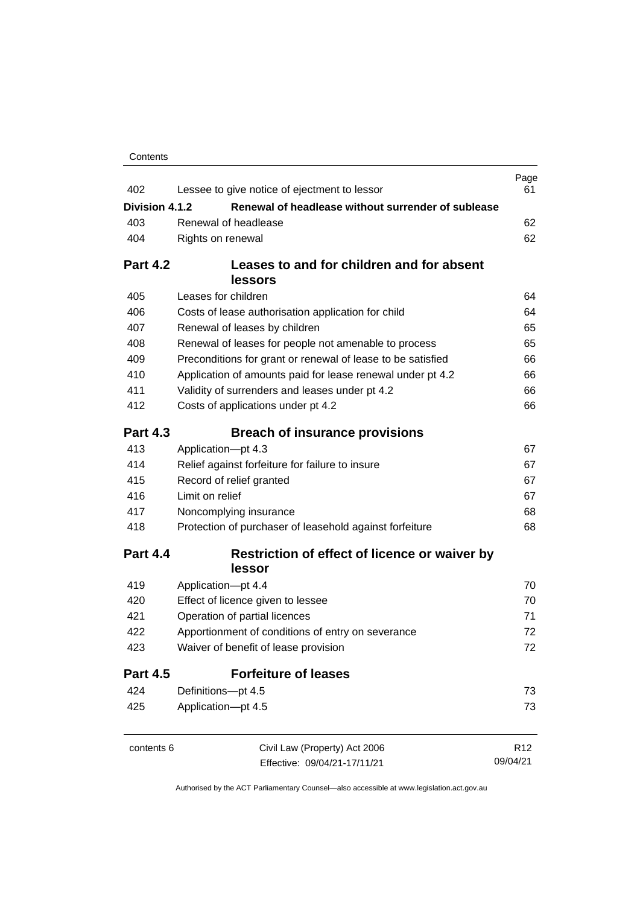| Contents |
|----------|
|----------|

| 402             | Lessee to give notice of ejectment to lessor                                                                               | Page<br>61      |
|-----------------|----------------------------------------------------------------------------------------------------------------------------|-----------------|
| Division 4.1.2  | Renewal of headlease without surrender of sublease                                                                         |                 |
| 403             | Renewal of headlease                                                                                                       |                 |
| 404             | Rights on renewal                                                                                                          | 62<br>62        |
|                 |                                                                                                                            |                 |
| <b>Part 4.2</b> | Leases to and for children and for absent                                                                                  |                 |
|                 | lessors                                                                                                                    |                 |
| 405             | Leases for children                                                                                                        | 64              |
| 406             | Costs of lease authorisation application for child                                                                         | 64              |
| 407             | Renewal of leases by children                                                                                              | 65              |
| 408             | Renewal of leases for people not amenable to process                                                                       | 65              |
| 409             | Preconditions for grant or renewal of lease to be satisfied                                                                | 66              |
| 410             | Application of amounts paid for lease renewal under pt 4.2                                                                 | 66              |
| 411             | Validity of surrenders and leases under pt 4.2                                                                             | 66              |
| 412             | Costs of applications under pt 4.2                                                                                         | 66              |
| <b>Part 4.3</b> | <b>Breach of insurance provisions</b>                                                                                      |                 |
| 413             | Application-pt 4.3                                                                                                         | 67              |
| 414             | Relief against forfeiture for failure to insure<br>Record of relief granted<br>Limit on relief                             | 67              |
| 415             |                                                                                                                            | 67              |
| 416             |                                                                                                                            | 67              |
| 417             | Noncomplying insurance                                                                                                     | 68              |
| 418             | Protection of purchaser of leasehold against forfeiture                                                                    | 68              |
| <b>Part 4.4</b> | Restriction of effect of licence or waiver by<br>lessor                                                                    |                 |
| 419             | Application-pt 4.4                                                                                                         | 70              |
| 420             | Effect of licence given to lessee                                                                                          | 70              |
| 421             | Operation of partial licences<br>Apportionment of conditions of entry on severance<br>Waiver of benefit of lease provision | 71              |
| 422             |                                                                                                                            | 72              |
| 423             |                                                                                                                            | 72              |
| <b>Part 4.5</b> | <b>Forfeiture of leases</b>                                                                                                |                 |
| 424             | Definitions-pt 4.5                                                                                                         | 73              |
| 425             | Application-pt 4.5                                                                                                         | 73              |
| contents 6      | Civil Law (Property) Act 2006                                                                                              | R <sub>12</sub> |
|                 | Effective: 09/04/21-17/11/21                                                                                               | 09/04/21        |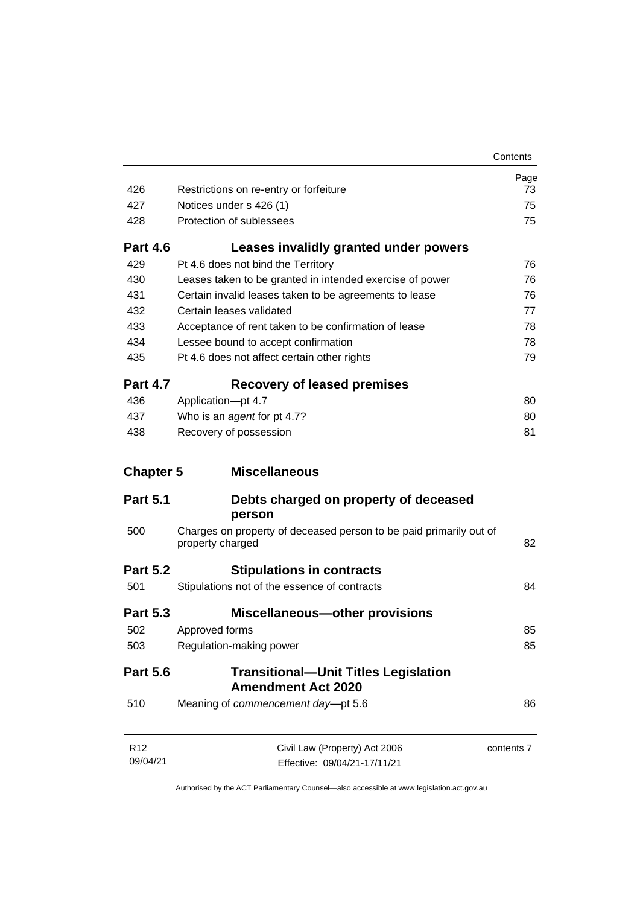|                             |                                                                                        | Contents   |
|-----------------------------|----------------------------------------------------------------------------------------|------------|
|                             |                                                                                        | Page       |
| 426                         | Restrictions on re-entry or forfeiture                                                 | 73         |
| 427                         | Notices under s 426 (1)                                                                | 75         |
| 428                         | Protection of sublessees                                                               | 75         |
| <b>Part 4.6</b>             | Leases invalidly granted under powers                                                  |            |
| 429                         | Pt 4.6 does not bind the Territory                                                     | 76         |
| 430                         | Leases taken to be granted in intended exercise of power                               | 76         |
| 431                         | Certain invalid leases taken to be agreements to lease                                 | 76         |
| 432                         | Certain leases validated                                                               | 77         |
| 433                         | Acceptance of rent taken to be confirmation of lease                                   | 78         |
| 434                         | Lessee bound to accept confirmation                                                    | 78         |
| 435                         | Pt 4.6 does not affect certain other rights                                            | 79         |
| <b>Part 4.7</b>             | <b>Recovery of leased premises</b>                                                     |            |
| 436                         | Application-pt 4.7                                                                     | 80         |
| 437                         | Who is an agent for pt 4.7?                                                            | 80         |
| 438                         | Recovery of possession                                                                 | 81         |
| <b>Chapter 5</b>            | <b>Miscellaneous</b>                                                                   |            |
| <b>Part 5.1</b>             | Debts charged on property of deceased                                                  |            |
|                             | person                                                                                 |            |
| 500                         | Charges on property of deceased person to be paid primarily out of<br>property charged | 82         |
| <b>Part 5.2</b>             | <b>Stipulations in contracts</b>                                                       |            |
| 501                         | Stipulations not of the essence of contracts                                           | 84         |
| <b>Part 5.3</b>             | <b>Miscellaneous-other provisions</b>                                                  |            |
| 502                         | Approved forms                                                                         | 85         |
| 503                         | Regulation-making power                                                                | 85         |
| <b>Part 5.6</b>             | <b>Transitional-Unit Titles Legislation</b><br><b>Amendment Act 2020</b>               |            |
| 510                         | Meaning of commencement day-pt 5.6                                                     | 86         |
| R <sub>12</sub><br>09/04/21 | Civil Law (Property) Act 2006<br>Effective: 09/04/21-17/11/21                          | contents 7 |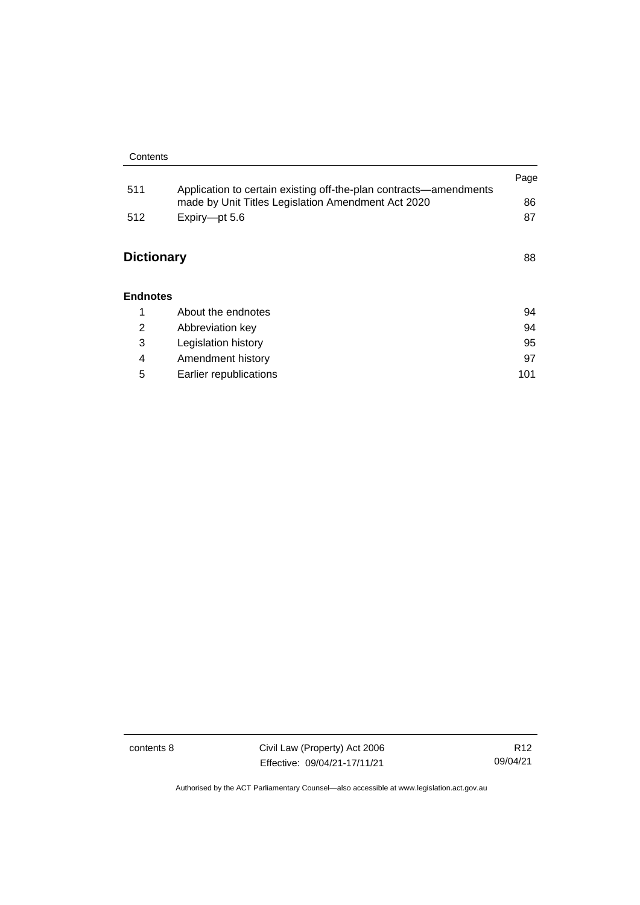|                   |                                                                                                                         | Page |
|-------------------|-------------------------------------------------------------------------------------------------------------------------|------|
| 511               | Application to certain existing off-the-plan contracts—amendments<br>made by Unit Titles Legislation Amendment Act 2020 | 86   |
| 512               | Expiry-pt 5.6                                                                                                           | 87   |
| <b>Dictionary</b> |                                                                                                                         | 88   |
| <b>Endnotes</b>   |                                                                                                                         |      |
| 1                 | About the endnotes                                                                                                      | 94   |
| 2                 | Abbreviation key                                                                                                        | 94   |
| 3                 | Legislation history                                                                                                     | 95   |
| 4                 | Amendment history                                                                                                       | 97   |

5 [Earlier republications](#page-110-0) 101

contents 8 Civil Law (Property) Act 2006 Effective: 09/04/21-17/11/21

R12 09/04/21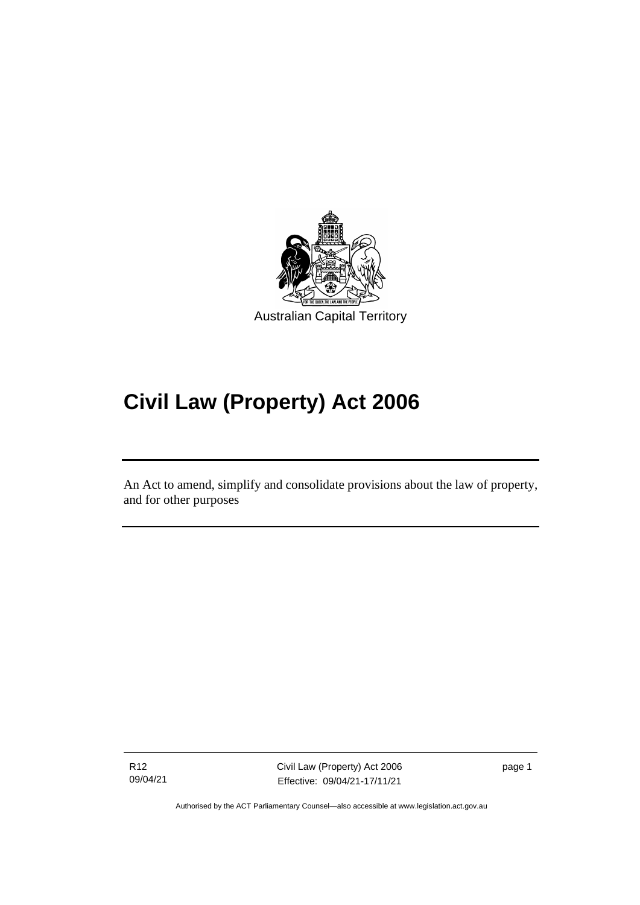

# **Civil Law (Property) Act 2006**

An Act to amend, simplify and consolidate provisions about the law of property, and for other purposes

R12 09/04/21

֖֖֖֚֚֚֡֬֝֬

Civil Law (Property) Act 2006 Effective: 09/04/21-17/11/21

page 1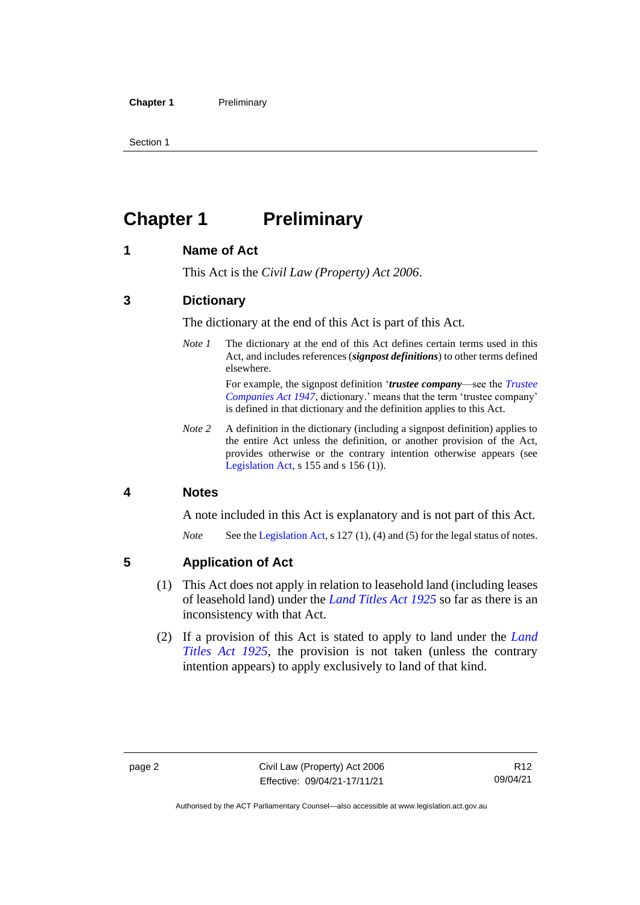## <span id="page-11-0"></span>**Chapter 1 Preliminary**

#### <span id="page-11-1"></span>**1 Name of Act**

This Act is the *Civil Law (Property) Act 2006*.

#### <span id="page-11-2"></span>**3 Dictionary**

The dictionary at the end of this Act is part of this Act.

*Note 1* The dictionary at the end of this Act defines certain terms used in this Act, and includes references (*signpost definitions*) to other terms defined elsewhere.

> For example, the signpost definition '*trustee company*—see the *[Trustee](http://www.legislation.act.gov.au/a/1947-15)  [Companies Act 1947](http://www.legislation.act.gov.au/a/1947-15)*, dictionary.' means that the term 'trustee company' is defined in that dictionary and the definition applies to this Act.

*Note 2* A definition in the dictionary (including a signpost definition) applies to the entire Act unless the definition, or another provision of the Act, provides otherwise or the contrary intention otherwise appears (see [Legislation Act,](http://www.legislation.act.gov.au/a/2001-14) s  $155$  and s  $156$  (1)).

#### <span id="page-11-3"></span>**4 Notes**

A note included in this Act is explanatory and is not part of this Act.

*Note* See the [Legislation Act,](http://www.legislation.act.gov.au/a/2001-14) s 127 (1), (4) and (5) for the legal status of notes.

#### <span id="page-11-4"></span>**5 Application of Act**

- (1) This Act does not apply in relation to leasehold land (including leases of leasehold land) under the *[Land Titles Act](http://www.legislation.act.gov.au/a/1925-1) 1925* so far as there is an inconsistency with that Act.
- (2) If a provision of this Act is stated to apply to land under the *[Land](http://www.legislation.act.gov.au/a/1925-1)  [Titles Act 1925](http://www.legislation.act.gov.au/a/1925-1)*, the provision is not taken (unless the contrary intention appears) to apply exclusively to land of that kind.

Authorised by the ACT Parliamentary Counsel—also accessible at www.legislation.act.gov.au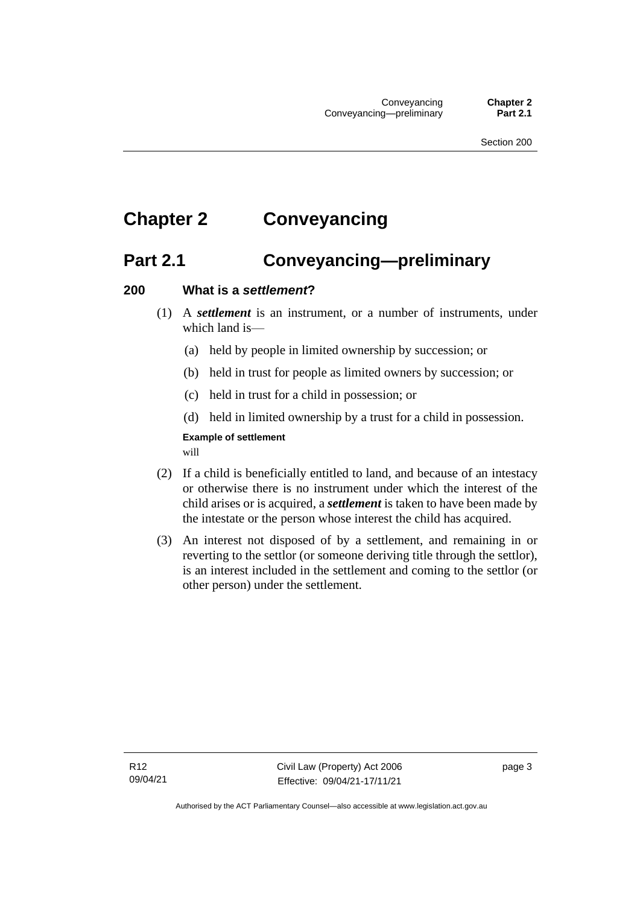## <span id="page-12-1"></span><span id="page-12-0"></span>**Chapter 2 Conveyancing**

## **Part 2.1 Conveyancing—preliminary**

#### <span id="page-12-2"></span>**200 What is a** *settlement***?**

- (1) A *settlement* is an instrument, or a number of instruments, under which land is—
	- (a) held by people in limited ownership by succession; or
	- (b) held in trust for people as limited owners by succession; or
	- (c) held in trust for a child in possession; or
	- (d) held in limited ownership by a trust for a child in possession.

#### **Example of settlement**

will

- (2) If a child is beneficially entitled to land, and because of an intestacy or otherwise there is no instrument under which the interest of the child arises or is acquired, a *settlement* is taken to have been made by the intestate or the person whose interest the child has acquired.
- (3) An interest not disposed of by a settlement, and remaining in or reverting to the settlor (or someone deriving title through the settlor), is an interest included in the settlement and coming to the settlor (or other person) under the settlement.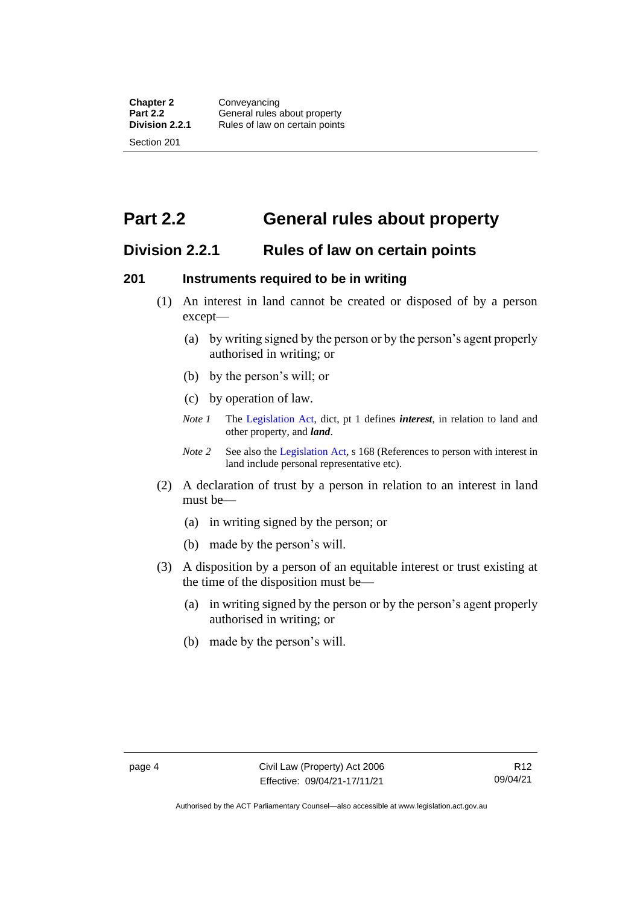<span id="page-13-0"></span>**Part 2.2 General rules about property**

#### <span id="page-13-1"></span>**Division 2.2.1 Rules of law on certain points**

#### <span id="page-13-2"></span>**201 Instruments required to be in writing**

- (1) An interest in land cannot be created or disposed of by a person except—
	- (a) by writing signed by the person or by the person's agent properly authorised in writing; or
	- (b) by the person's will; or
	- (c) by operation of law.
	- *Note 1* The [Legislation Act,](http://www.legislation.act.gov.au/a/2001-14) dict, pt 1 defines *interest*, in relation to land and other property, and *land*.
	- *Note 2* See also the [Legislation Act,](http://www.legislation.act.gov.au/a/2001-14) s 168 (References to person with interest in land include personal representative etc).
- (2) A declaration of trust by a person in relation to an interest in land must be—
	- (a) in writing signed by the person; or
	- (b) made by the person's will.
- (3) A disposition by a person of an equitable interest or trust existing at the time of the disposition must be—
	- (a) in writing signed by the person or by the person's agent properly authorised in writing; or
	- (b) made by the person's will.

Authorised by the ACT Parliamentary Counsel—also accessible at www.legislation.act.gov.au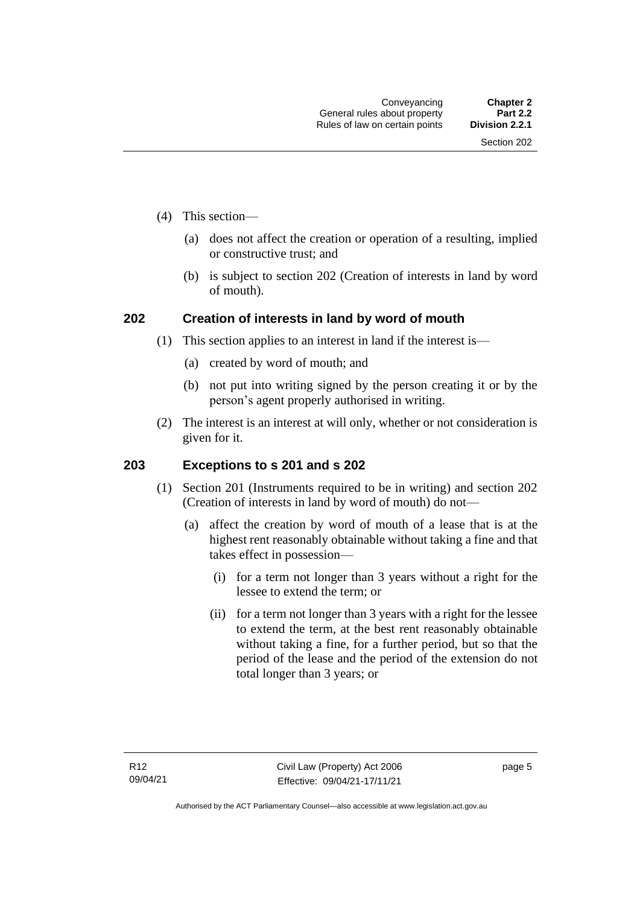- (4) This section—
	- (a) does not affect the creation or operation of a resulting, implied or constructive trust; and
	- (b) is subject to section 202 (Creation of interests in land by word of mouth).

#### <span id="page-14-0"></span>**202 Creation of interests in land by word of mouth**

- (1) This section applies to an interest in land if the interest is—
	- (a) created by word of mouth; and
	- (b) not put into writing signed by the person creating it or by the person's agent properly authorised in writing.
- (2) The interest is an interest at will only, whether or not consideration is given for it.

#### <span id="page-14-1"></span>**203 Exceptions to s 201 and s 202**

- (1) Section 201 (Instruments required to be in writing) and section 202 (Creation of interests in land by word of mouth) do not—
	- (a) affect the creation by word of mouth of a lease that is at the highest rent reasonably obtainable without taking a fine and that takes effect in possession—
		- (i) for a term not longer than 3 years without a right for the lessee to extend the term; or
		- (ii) for a term not longer than 3 years with a right for the lessee to extend the term, at the best rent reasonably obtainable without taking a fine, for a further period, but so that the period of the lease and the period of the extension do not total longer than 3 years; or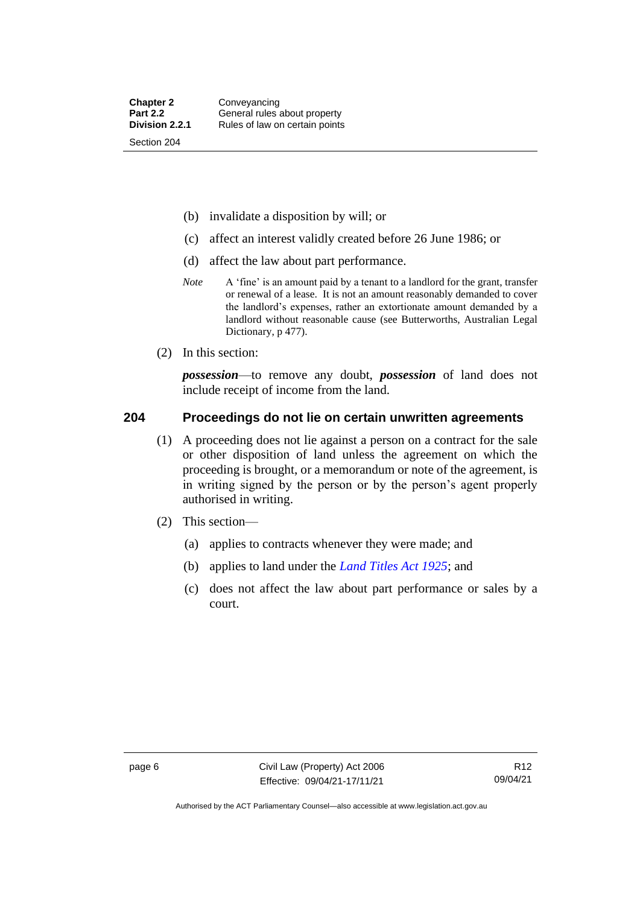- (b) invalidate a disposition by will; or
- (c) affect an interest validly created before 26 June 1986; or
- (d) affect the law about part performance.
- *Note* A 'fine' is an amount paid by a tenant to a landlord for the grant, transfer or renewal of a lease. It is not an amount reasonably demanded to cover the landlord's expenses, rather an extortionate amount demanded by a landlord without reasonable cause (see Butterworths, Australian Legal Dictionary, p 477).
- (2) In this section:

*possession*—to remove any doubt, *possession* of land does not include receipt of income from the land.

#### <span id="page-15-0"></span>**204 Proceedings do not lie on certain unwritten agreements**

- (1) A proceeding does not lie against a person on a contract for the sale or other disposition of land unless the agreement on which the proceeding is brought, or a memorandum or note of the agreement, is in writing signed by the person or by the person's agent properly authorised in writing.
- (2) This section—
	- (a) applies to contracts whenever they were made; and
	- (b) applies to land under the *[Land Titles Act 1925](http://www.legislation.act.gov.au/a/1925-1)*; and
	- (c) does not affect the law about part performance or sales by a court.

Authorised by the ACT Parliamentary Counsel—also accessible at www.legislation.act.gov.au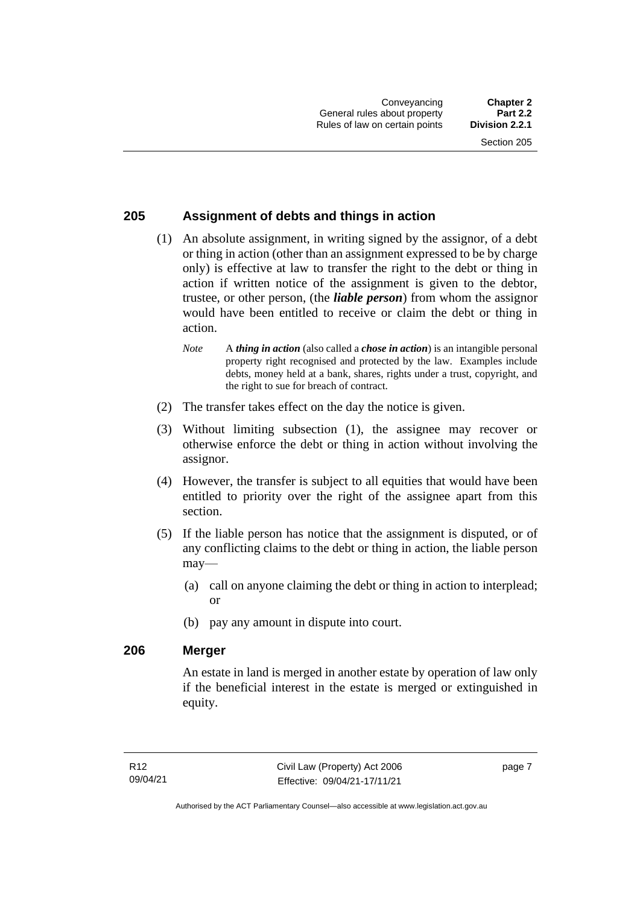#### <span id="page-16-0"></span>**205 Assignment of debts and things in action**

- (1) An absolute assignment, in writing signed by the assignor, of a debt or thing in action (other than an assignment expressed to be by charge only) is effective at law to transfer the right to the debt or thing in action if written notice of the assignment is given to the debtor, trustee, or other person, (the *liable person*) from whom the assignor would have been entitled to receive or claim the debt or thing in action.
	- *Note* A *thing in action* (also called a *chose in action*) is an intangible personal property right recognised and protected by the law. Examples include debts, money held at a bank, shares, rights under a trust, copyright, and the right to sue for breach of contract.
- (2) The transfer takes effect on the day the notice is given.
- (3) Without limiting subsection (1), the assignee may recover or otherwise enforce the debt or thing in action without involving the assignor.
- (4) However, the transfer is subject to all equities that would have been entitled to priority over the right of the assignee apart from this section.
- (5) If the liable person has notice that the assignment is disputed, or of any conflicting claims to the debt or thing in action, the liable person may—
	- (a) call on anyone claiming the debt or thing in action to interplead; or
	- (b) pay any amount in dispute into court.

#### <span id="page-16-1"></span>**206 Merger**

An estate in land is merged in another estate by operation of law only if the beneficial interest in the estate is merged or extinguished in equity.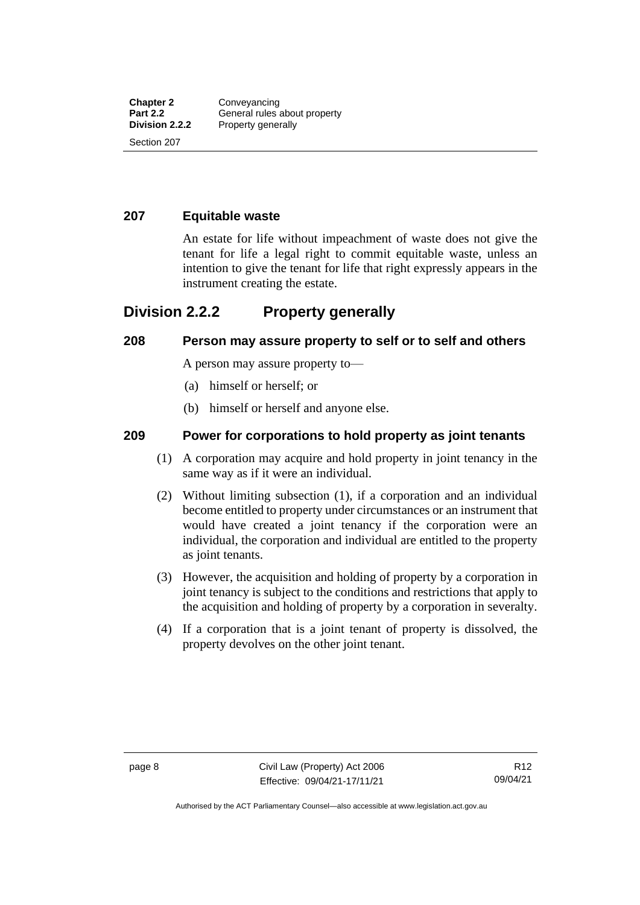#### <span id="page-17-0"></span>**207 Equitable waste**

An estate for life without impeachment of waste does not give the tenant for life a legal right to commit equitable waste, unless an intention to give the tenant for life that right expressly appears in the instrument creating the estate.

#### <span id="page-17-1"></span>**Division 2.2.2 Property generally**

#### <span id="page-17-2"></span>**208 Person may assure property to self or to self and others**

A person may assure property to—

- (a) himself or herself; or
- (b) himself or herself and anyone else.

#### <span id="page-17-3"></span>**209 Power for corporations to hold property as joint tenants**

- (1) A corporation may acquire and hold property in joint tenancy in the same way as if it were an individual.
- (2) Without limiting subsection (1), if a corporation and an individual become entitled to property under circumstances or an instrument that would have created a joint tenancy if the corporation were an individual, the corporation and individual are entitled to the property as joint tenants.
- (3) However, the acquisition and holding of property by a corporation in joint tenancy is subject to the conditions and restrictions that apply to the acquisition and holding of property by a corporation in severalty.
- (4) If a corporation that is a joint tenant of property is dissolved, the property devolves on the other joint tenant.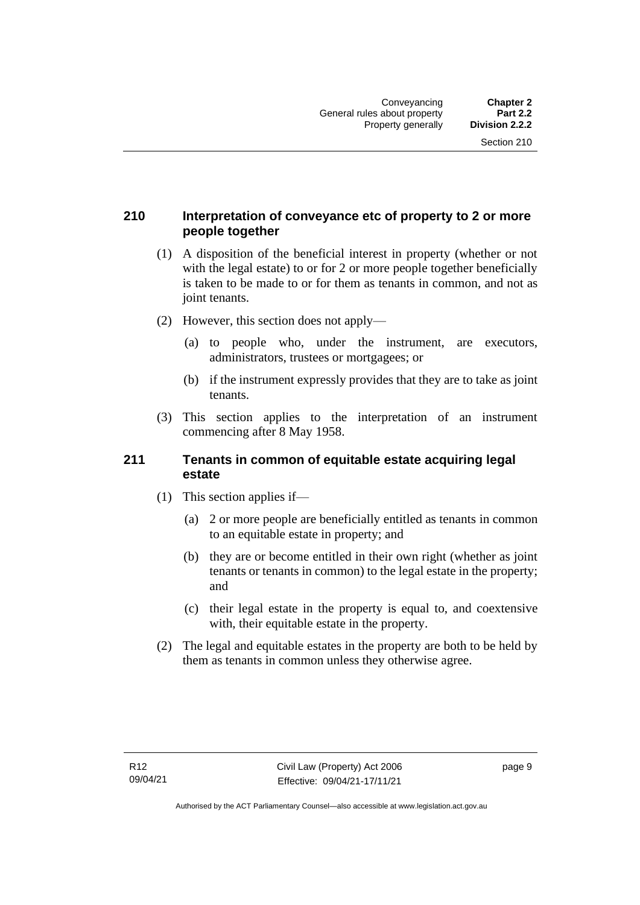#### <span id="page-18-0"></span>**210 Interpretation of conveyance etc of property to 2 or more people together**

- (1) A disposition of the beneficial interest in property (whether or not with the legal estate) to or for 2 or more people together beneficially is taken to be made to or for them as tenants in common, and not as joint tenants.
- (2) However, this section does not apply—
	- (a) to people who, under the instrument, are executors, administrators, trustees or mortgagees; or
	- (b) if the instrument expressly provides that they are to take as joint tenants.
- (3) This section applies to the interpretation of an instrument commencing after 8 May 1958.

#### <span id="page-18-1"></span>**211 Tenants in common of equitable estate acquiring legal estate**

- (1) This section applies if—
	- (a) 2 or more people are beneficially entitled as tenants in common to an equitable estate in property; and
	- (b) they are or become entitled in their own right (whether as joint tenants or tenants in common) to the legal estate in the property; and
	- (c) their legal estate in the property is equal to, and coextensive with, their equitable estate in the property.
- (2) The legal and equitable estates in the property are both to be held by them as tenants in common unless they otherwise agree.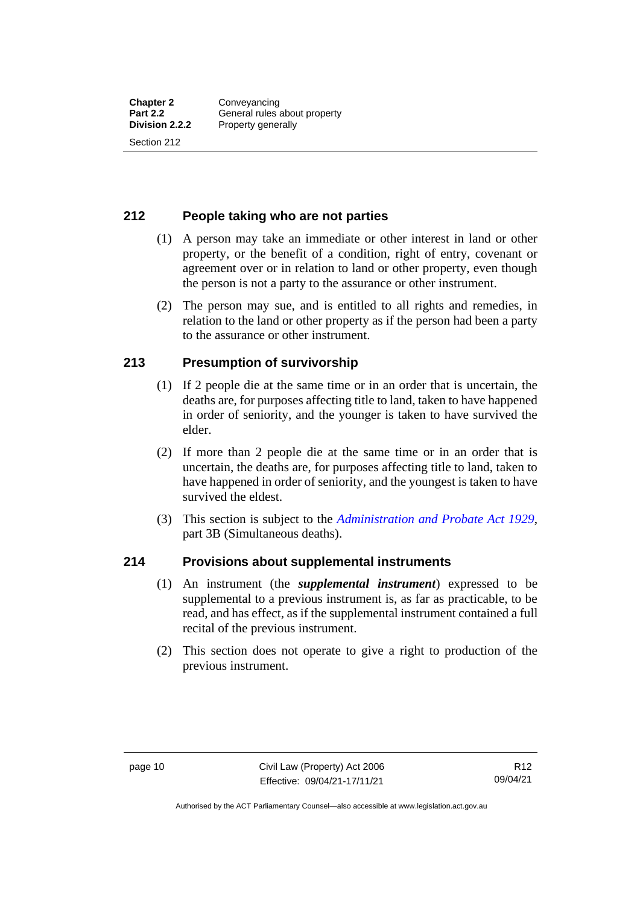#### <span id="page-19-0"></span>**212 People taking who are not parties**

- (1) A person may take an immediate or other interest in land or other property, or the benefit of a condition, right of entry, covenant or agreement over or in relation to land or other property, even though the person is not a party to the assurance or other instrument.
- (2) The person may sue, and is entitled to all rights and remedies, in relation to the land or other property as if the person had been a party to the assurance or other instrument.

#### <span id="page-19-1"></span>**213 Presumption of survivorship**

- (1) If 2 people die at the same time or in an order that is uncertain, the deaths are, for purposes affecting title to land, taken to have happened in order of seniority, and the younger is taken to have survived the elder.
- (2) If more than 2 people die at the same time or in an order that is uncertain, the deaths are, for purposes affecting title to land, taken to have happened in order of seniority, and the youngest is taken to have survived the eldest.
- (3) This section is subject to the *[Administration and Probate Act 1929](http://www.legislation.act.gov.au/a/1929-18)*, part 3B (Simultaneous deaths).

#### <span id="page-19-2"></span>**214 Provisions about supplemental instruments**

- (1) An instrument (the *supplemental instrument*) expressed to be supplemental to a previous instrument is, as far as practicable, to be read, and has effect, as if the supplemental instrument contained a full recital of the previous instrument.
- (2) This section does not operate to give a right to production of the previous instrument.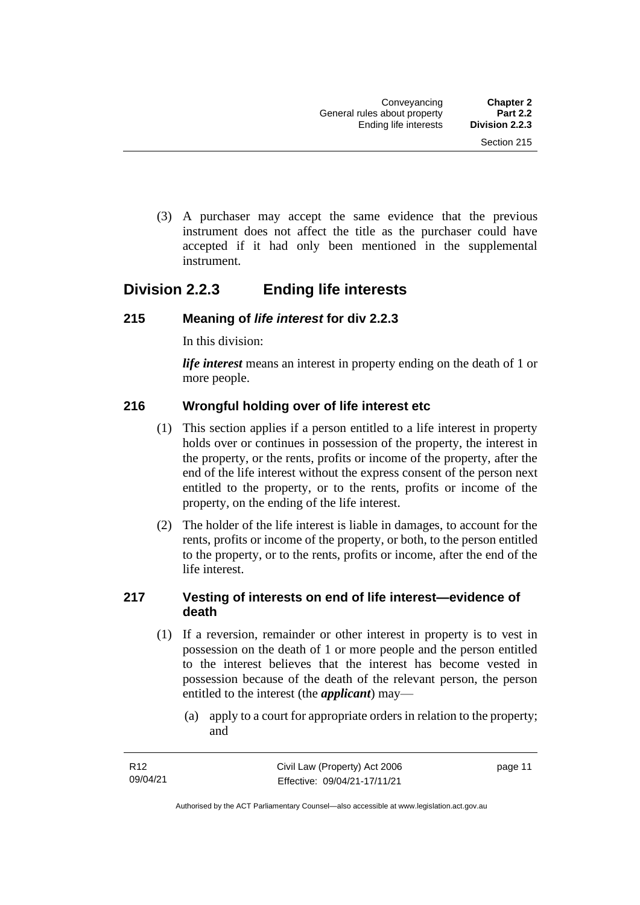(3) A purchaser may accept the same evidence that the previous instrument does not affect the title as the purchaser could have accepted if it had only been mentioned in the supplemental instrument.

## <span id="page-20-0"></span>**Division 2.2.3 Ending life interests**

#### <span id="page-20-1"></span>**215 Meaning of** *life interest* **for div 2.2.3**

In this division:

*life interest* means an interest in property ending on the death of 1 or more people.

#### <span id="page-20-2"></span>**216 Wrongful holding over of life interest etc**

- (1) This section applies if a person entitled to a life interest in property holds over or continues in possession of the property, the interest in the property, or the rents, profits or income of the property, after the end of the life interest without the express consent of the person next entitled to the property, or to the rents, profits or income of the property, on the ending of the life interest.
- (2) The holder of the life interest is liable in damages, to account for the rents, profits or income of the property, or both, to the person entitled to the property, or to the rents, profits or income, after the end of the life interest.

#### <span id="page-20-3"></span>**217 Vesting of interests on end of life interest—evidence of death**

- (1) If a reversion, remainder or other interest in property is to vest in possession on the death of 1 or more people and the person entitled to the interest believes that the interest has become vested in possession because of the death of the relevant person, the person entitled to the interest (the *applicant*) may—
	- (a) apply to a court for appropriate orders in relation to the property; and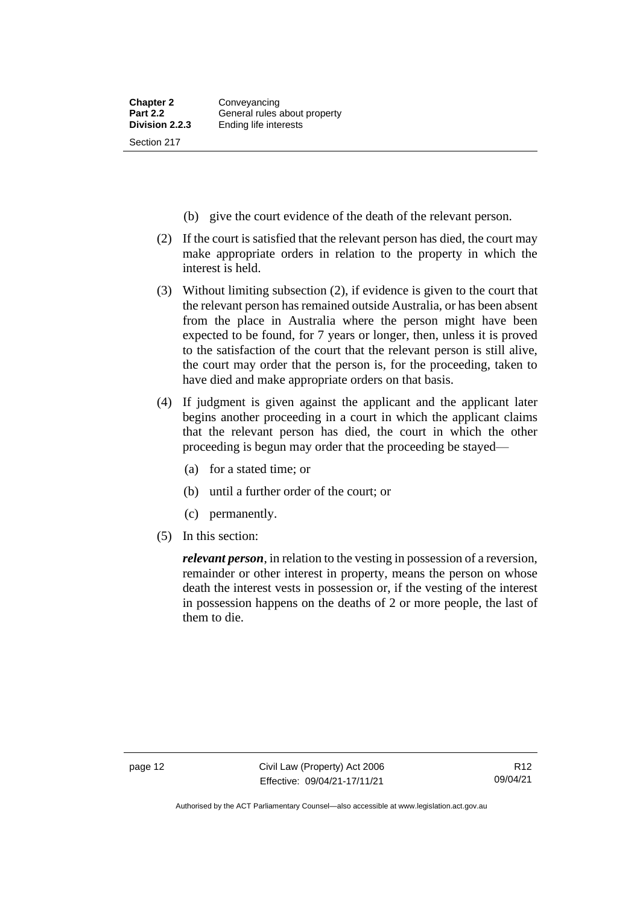- (b) give the court evidence of the death of the relevant person.
- (2) If the court is satisfied that the relevant person has died, the court may make appropriate orders in relation to the property in which the interest is held.
- (3) Without limiting subsection (2), if evidence is given to the court that the relevant person has remained outside Australia, or has been absent from the place in Australia where the person might have been expected to be found, for 7 years or longer, then, unless it is proved to the satisfaction of the court that the relevant person is still alive, the court may order that the person is, for the proceeding, taken to have died and make appropriate orders on that basis.
- (4) If judgment is given against the applicant and the applicant later begins another proceeding in a court in which the applicant claims that the relevant person has died, the court in which the other proceeding is begun may order that the proceeding be stayed—
	- (a) for a stated time; or
	- (b) until a further order of the court; or
	- (c) permanently.
- (5) In this section:

*relevant person*, in relation to the vesting in possession of a reversion, remainder or other interest in property, means the person on whose death the interest vests in possession or, if the vesting of the interest in possession happens on the deaths of 2 or more people, the last of them to die.

Authorised by the ACT Parliamentary Counsel—also accessible at www.legislation.act.gov.au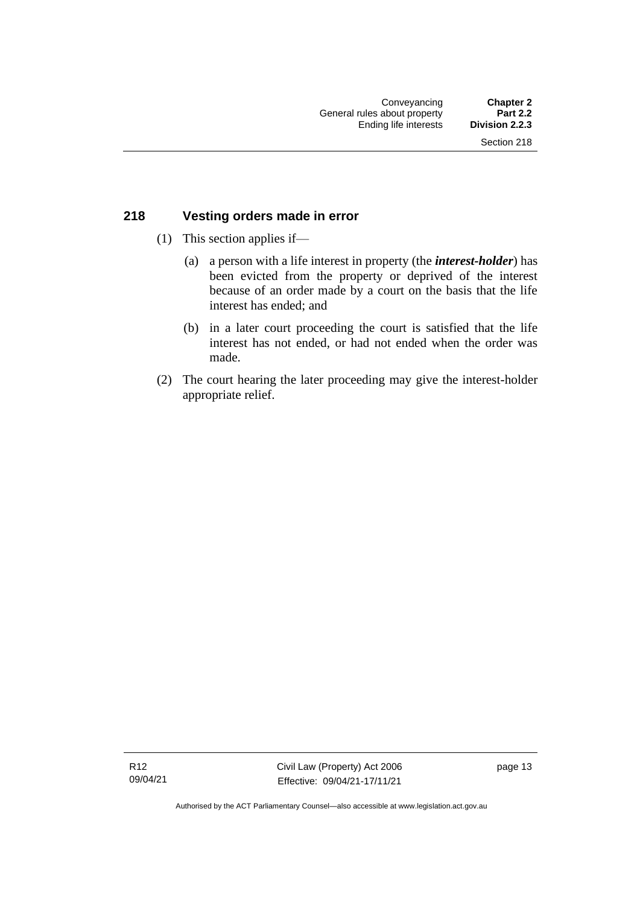#### <span id="page-22-0"></span>**218 Vesting orders made in error**

- (1) This section applies if—
	- (a) a person with a life interest in property (the *interest-holder*) has been evicted from the property or deprived of the interest because of an order made by a court on the basis that the life interest has ended; and
	- (b) in a later court proceeding the court is satisfied that the life interest has not ended, or had not ended when the order was made.
- (2) The court hearing the later proceeding may give the interest-holder appropriate relief.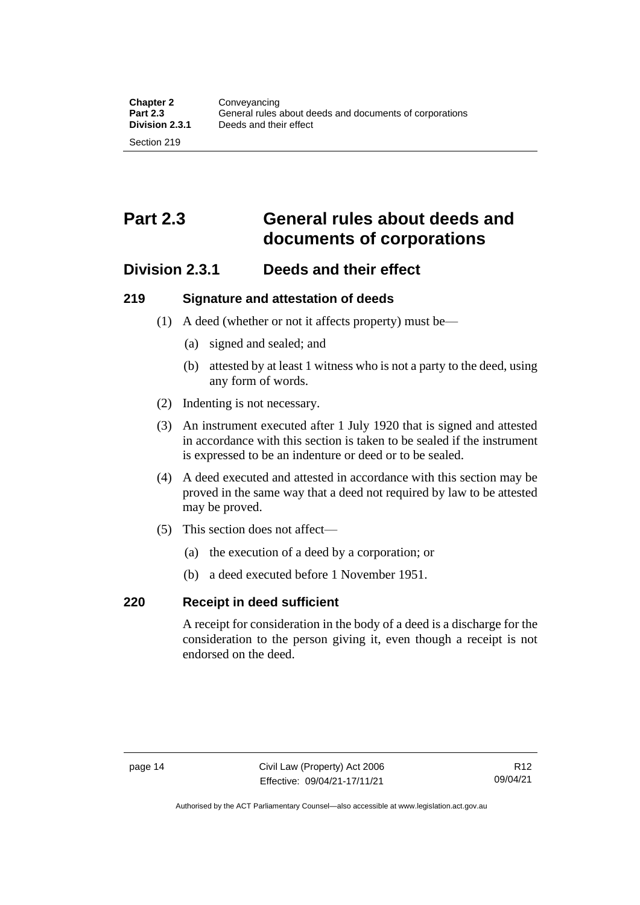## <span id="page-23-0"></span>**Part 2.3 General rules about deeds and documents of corporations**

### <span id="page-23-1"></span>**Division 2.3.1 Deeds and their effect**

#### <span id="page-23-2"></span>**219 Signature and attestation of deeds**

- (1) A deed (whether or not it affects property) must be—
	- (a) signed and sealed; and
	- (b) attested by at least 1 witness who is not a party to the deed, using any form of words.
- (2) Indenting is not necessary.
- (3) An instrument executed after 1 July 1920 that is signed and attested in accordance with this section is taken to be sealed if the instrument is expressed to be an indenture or deed or to be sealed.
- (4) A deed executed and attested in accordance with this section may be proved in the same way that a deed not required by law to be attested may be proved.
- (5) This section does not affect—
	- (a) the execution of a deed by a corporation; or
	- (b) a deed executed before 1 November 1951.

#### <span id="page-23-3"></span>**220 Receipt in deed sufficient**

A receipt for consideration in the body of a deed is a discharge for the consideration to the person giving it, even though a receipt is not endorsed on the deed.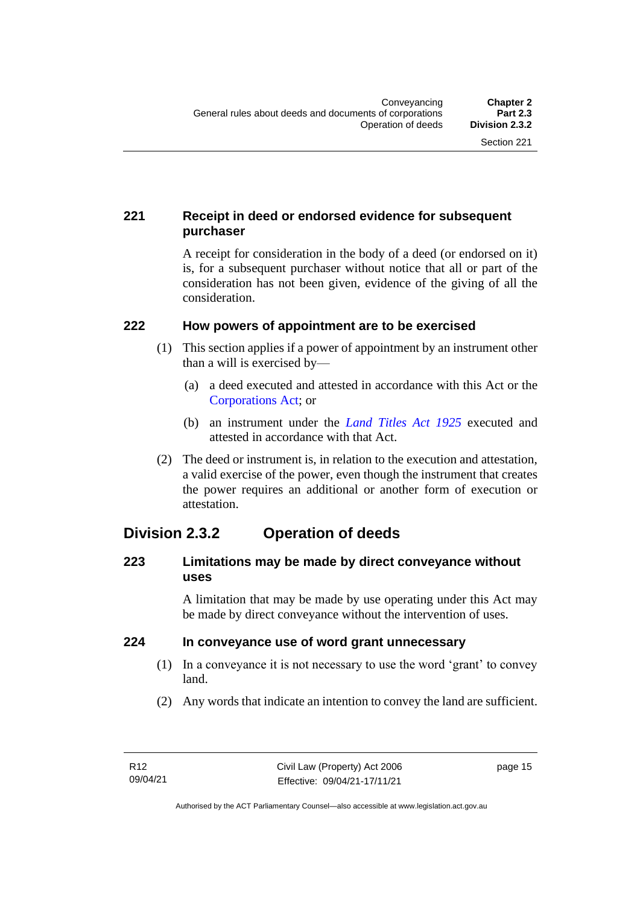#### <span id="page-24-0"></span>**221 Receipt in deed or endorsed evidence for subsequent purchaser**

A receipt for consideration in the body of a deed (or endorsed on it) is, for a subsequent purchaser without notice that all or part of the consideration has not been given, evidence of the giving of all the consideration.

#### <span id="page-24-1"></span>**222 How powers of appointment are to be exercised**

- (1) This section applies if a power of appointment by an instrument other than a will is exercised by—
	- (a) a deed executed and attested in accordance with this Act or the [Corporations Act;](http://www.comlaw.gov.au/Series/C2004A00818) or
	- (b) an instrument under the *[Land Titles Act 1925](http://www.legislation.act.gov.au/a/1925-1)* executed and attested in accordance with that Act.
- (2) The deed or instrument is, in relation to the execution and attestation, a valid exercise of the power, even though the instrument that creates the power requires an additional or another form of execution or attestation.

## <span id="page-24-2"></span>**Division 2.3.2 Operation of deeds**

#### <span id="page-24-3"></span>**223 Limitations may be made by direct conveyance without uses**

A limitation that may be made by use operating under this Act may be made by direct conveyance without the intervention of uses.

#### <span id="page-24-4"></span>**224 In conveyance use of word grant unnecessary**

- (1) In a conveyance it is not necessary to use the word 'grant' to convey land.
- (2) Any words that indicate an intention to convey the land are sufficient.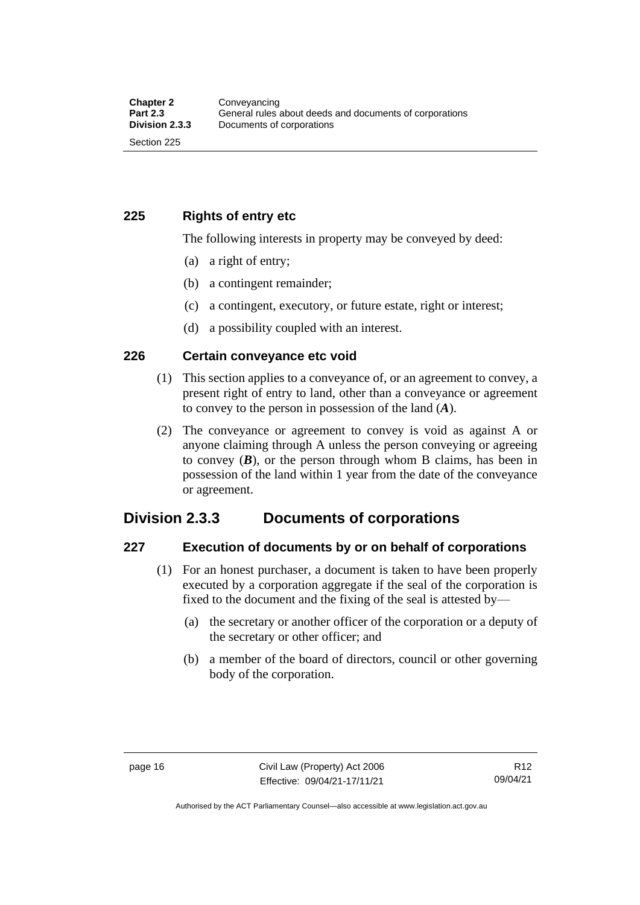<span id="page-25-0"></span>**225 Rights of entry etc**

The following interests in property may be conveyed by deed:

- (a) a right of entry;
- (b) a contingent remainder;
- (c) a contingent, executory, or future estate, right or interest;
- (d) a possibility coupled with an interest.

#### <span id="page-25-1"></span>**226 Certain conveyance etc void**

- (1) This section applies to a conveyance of, or an agreement to convey, a present right of entry to land, other than a conveyance or agreement to convey to the person in possession of the land (*A*).
- (2) The conveyance or agreement to convey is void as against A or anyone claiming through A unless the person conveying or agreeing to convey  $(B)$ , or the person through whom B claims, has been in possession of the land within 1 year from the date of the conveyance or agreement.

### <span id="page-25-2"></span>**Division 2.3.3 Documents of corporations**

#### <span id="page-25-3"></span>**227 Execution of documents by or on behalf of corporations**

- (1) For an honest purchaser, a document is taken to have been properly executed by a corporation aggregate if the seal of the corporation is fixed to the document and the fixing of the seal is attested by—
	- (a) the secretary or another officer of the corporation or a deputy of the secretary or other officer; and
	- (b) a member of the board of directors, council or other governing body of the corporation.

Authorised by the ACT Parliamentary Counsel—also accessible at www.legislation.act.gov.au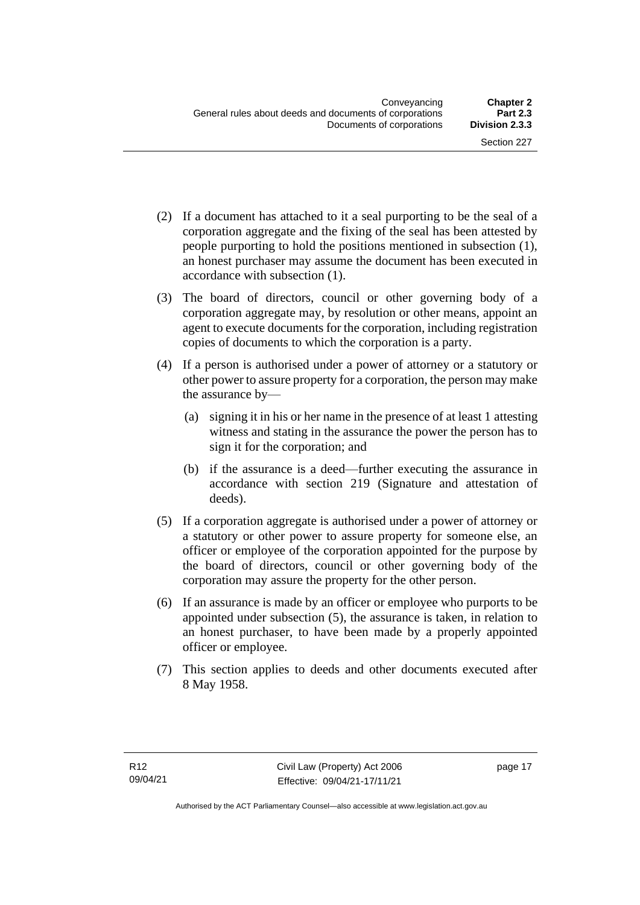- (2) If a document has attached to it a seal purporting to be the seal of a corporation aggregate and the fixing of the seal has been attested by people purporting to hold the positions mentioned in subsection (1), an honest purchaser may assume the document has been executed in accordance with subsection (1).
- (3) The board of directors, council or other governing body of a corporation aggregate may, by resolution or other means, appoint an agent to execute documents for the corporation, including registration copies of documents to which the corporation is a party.
- (4) If a person is authorised under a power of attorney or a statutory or other power to assure property for a corporation, the person may make the assurance by—
	- (a) signing it in his or her name in the presence of at least 1 attesting witness and stating in the assurance the power the person has to sign it for the corporation; and
	- (b) if the assurance is a deed—further executing the assurance in accordance with section 219 (Signature and attestation of deeds).
- (5) If a corporation aggregate is authorised under a power of attorney or a statutory or other power to assure property for someone else, an officer or employee of the corporation appointed for the purpose by the board of directors, council or other governing body of the corporation may assure the property for the other person.
- (6) If an assurance is made by an officer or employee who purports to be appointed under subsection (5), the assurance is taken, in relation to an honest purchaser, to have been made by a properly appointed officer or employee.
- (7) This section applies to deeds and other documents executed after 8 May 1958.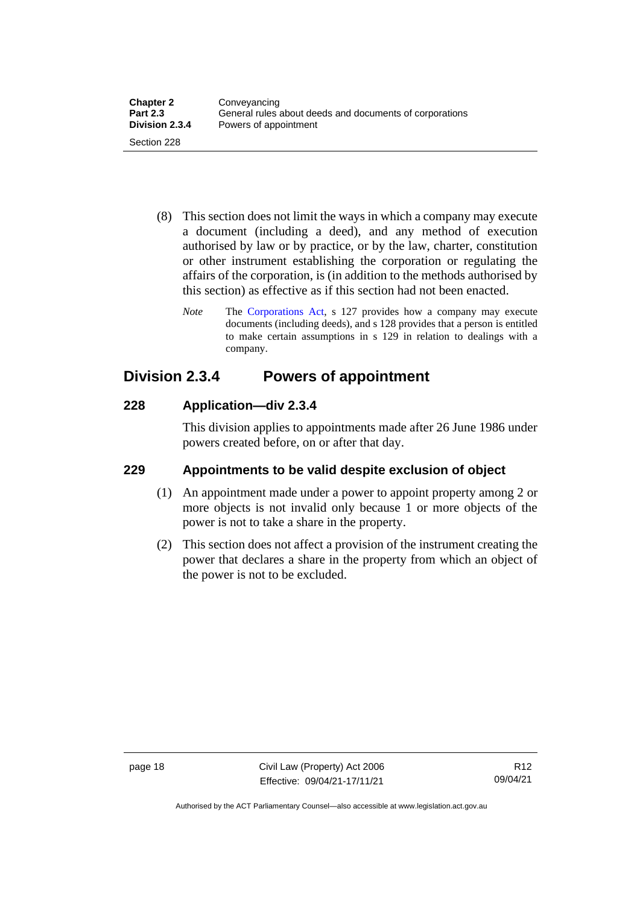- (8) This section does not limit the ways in which a company may execute a document (including a deed), and any method of execution authorised by law or by practice, or by the law, charter, constitution or other instrument establishing the corporation or regulating the affairs of the corporation, is (in addition to the methods authorised by this section) as effective as if this section had not been enacted.
	- *Note* The [Corporations Act,](http://www.comlaw.gov.au/Series/C2004A00818) s 127 provides how a company may execute documents (including deeds), and s 128 provides that a person is entitled to make certain assumptions in s 129 in relation to dealings with a company.

## <span id="page-27-0"></span>**Division 2.3.4 Powers of appointment**

#### <span id="page-27-1"></span>**228 Application—div 2.3.4**

This division applies to appointments made after 26 June 1986 under powers created before, on or after that day.

#### <span id="page-27-2"></span>**229 Appointments to be valid despite exclusion of object**

- (1) An appointment made under a power to appoint property among 2 or more objects is not invalid only because 1 or more objects of the power is not to take a share in the property.
- (2) This section does not affect a provision of the instrument creating the power that declares a share in the property from which an object of the power is not to be excluded.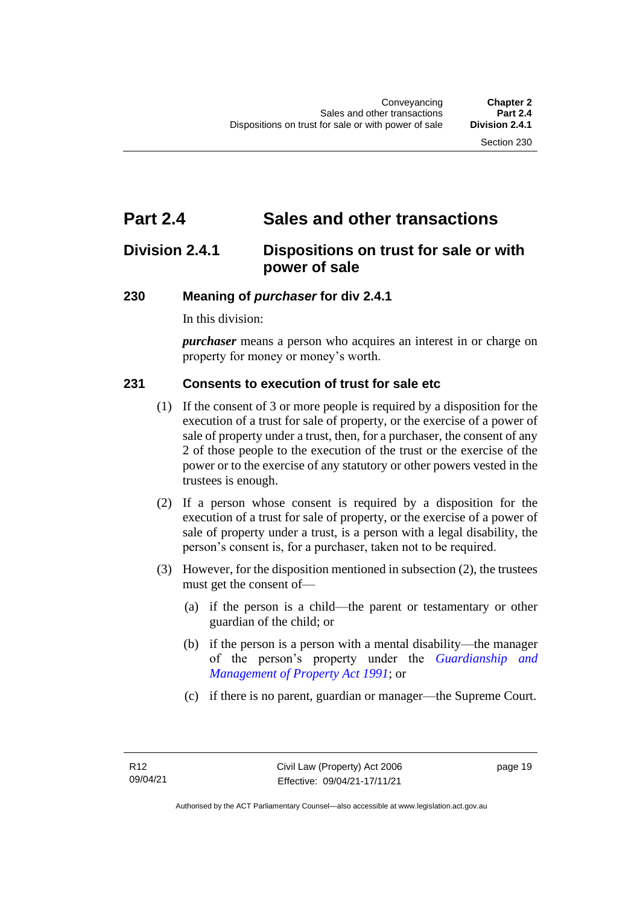## <span id="page-28-0"></span>**Part 2.4 Sales and other transactions**

## <span id="page-28-1"></span>**Division 2.4.1 Dispositions on trust for sale or with power of sale**

#### <span id="page-28-2"></span>**230 Meaning of** *purchaser* **for div 2.4.1**

In this division:

*purchaser* means a person who acquires an interest in or charge on property for money or money's worth.

#### <span id="page-28-3"></span>**231 Consents to execution of trust for sale etc**

- (1) If the consent of 3 or more people is required by a disposition for the execution of a trust for sale of property, or the exercise of a power of sale of property under a trust, then, for a purchaser, the consent of any 2 of those people to the execution of the trust or the exercise of the power or to the exercise of any statutory or other powers vested in the trustees is enough.
- (2) If a person whose consent is required by a disposition for the execution of a trust for sale of property, or the exercise of a power of sale of property under a trust, is a person with a legal disability, the person's consent is, for a purchaser, taken not to be required.
- (3) However, for the disposition mentioned in subsection (2), the trustees must get the consent of—
	- (a) if the person is a child—the parent or testamentary or other guardian of the child; or
	- (b) if the person is a person with a mental disability—the manager of the person's property under the *[Guardianship and](http://www.legislation.act.gov.au/a/1991-62)  [Management of Property Act 1991](http://www.legislation.act.gov.au/a/1991-62)*; or
	- (c) if there is no parent, guardian or manager—the Supreme Court.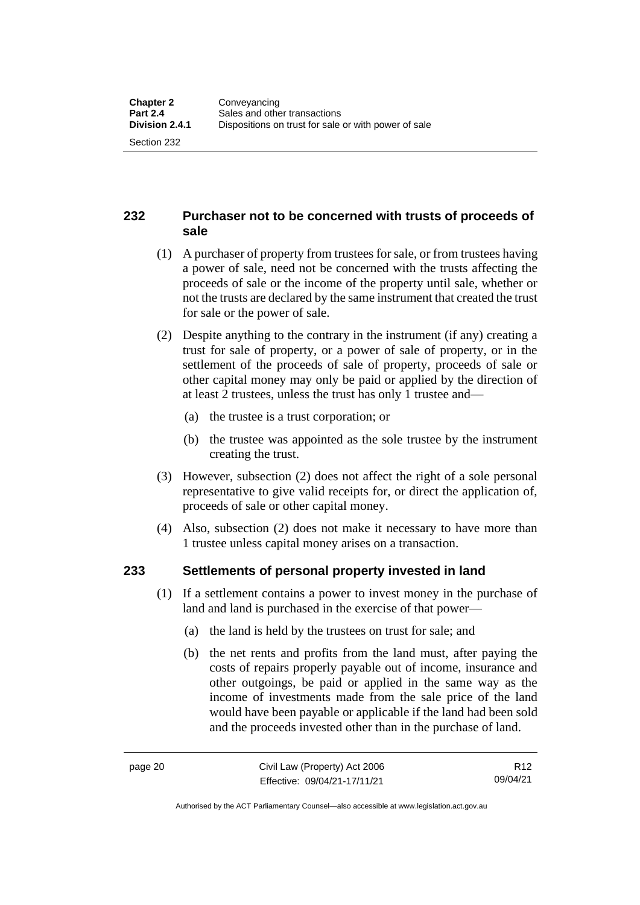#### <span id="page-29-0"></span>**232 Purchaser not to be concerned with trusts of proceeds of sale**

- (1) A purchaser of property from trustees for sale, or from trustees having a power of sale, need not be concerned with the trusts affecting the proceeds of sale or the income of the property until sale, whether or not the trusts are declared by the same instrument that created the trust for sale or the power of sale.
- (2) Despite anything to the contrary in the instrument (if any) creating a trust for sale of property, or a power of sale of property, or in the settlement of the proceeds of sale of property, proceeds of sale or other capital money may only be paid or applied by the direction of at least 2 trustees, unless the trust has only 1 trustee and—
	- (a) the trustee is a trust corporation; or
	- (b) the trustee was appointed as the sole trustee by the instrument creating the trust.
- (3) However, subsection (2) does not affect the right of a sole personal representative to give valid receipts for, or direct the application of, proceeds of sale or other capital money.
- (4) Also, subsection (2) does not make it necessary to have more than 1 trustee unless capital money arises on a transaction.

#### <span id="page-29-1"></span>**233 Settlements of personal property invested in land**

- (1) If a settlement contains a power to invest money in the purchase of land and land is purchased in the exercise of that power—
	- (a) the land is held by the trustees on trust for sale; and
	- (b) the net rents and profits from the land must, after paying the costs of repairs properly payable out of income, insurance and other outgoings, be paid or applied in the same way as the income of investments made from the sale price of the land would have been payable or applicable if the land had been sold and the proceeds invested other than in the purchase of land.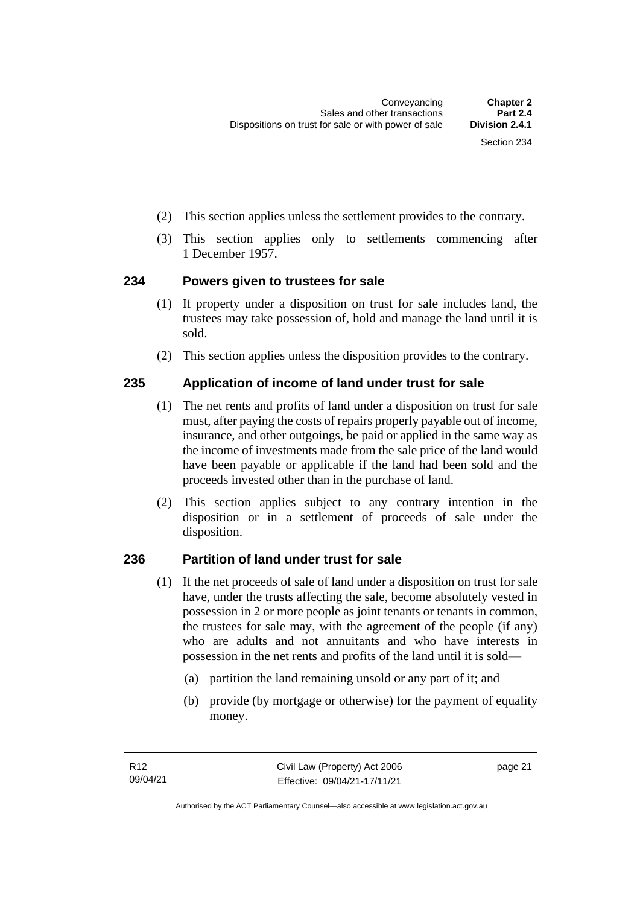- (2) This section applies unless the settlement provides to the contrary.
- (3) This section applies only to settlements commencing after 1 December 1957.

#### <span id="page-30-0"></span>**234 Powers given to trustees for sale**

- (1) If property under a disposition on trust for sale includes land, the trustees may take possession of, hold and manage the land until it is sold.
- (2) This section applies unless the disposition provides to the contrary.

#### <span id="page-30-1"></span>**235 Application of income of land under trust for sale**

- (1) The net rents and profits of land under a disposition on trust for sale must, after paying the costs of repairs properly payable out of income, insurance, and other outgoings, be paid or applied in the same way as the income of investments made from the sale price of the land would have been payable or applicable if the land had been sold and the proceeds invested other than in the purchase of land.
- (2) This section applies subject to any contrary intention in the disposition or in a settlement of proceeds of sale under the disposition.

#### <span id="page-30-2"></span>**236 Partition of land under trust for sale**

- (1) If the net proceeds of sale of land under a disposition on trust for sale have, under the trusts affecting the sale, become absolutely vested in possession in 2 or more people as joint tenants or tenants in common, the trustees for sale may, with the agreement of the people (if any) who are adults and not annuitants and who have interests in possession in the net rents and profits of the land until it is sold—
	- (a) partition the land remaining unsold or any part of it; and
	- (b) provide (by mortgage or otherwise) for the payment of equality money.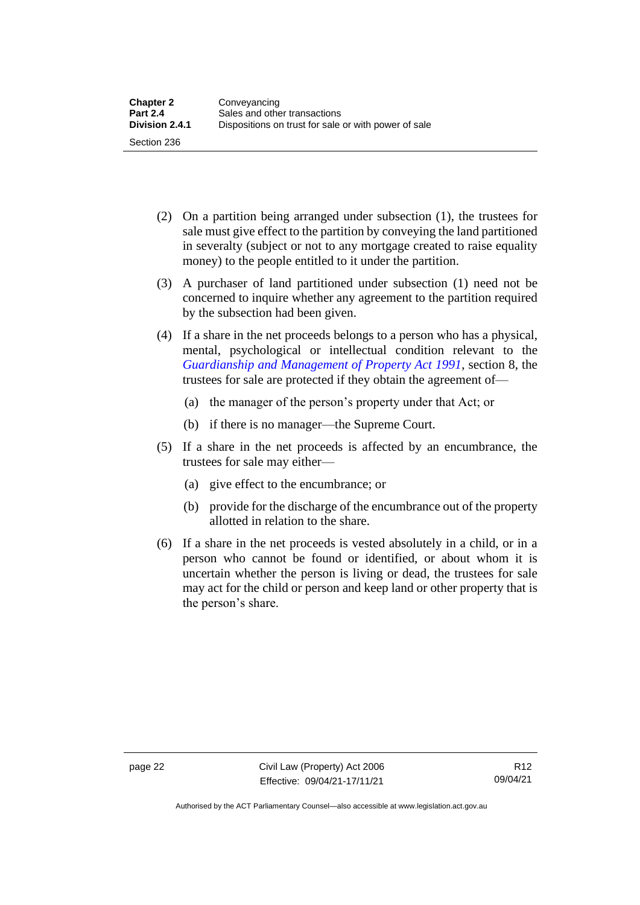- (2) On a partition being arranged under subsection (1), the trustees for sale must give effect to the partition by conveying the land partitioned in severalty (subject or not to any mortgage created to raise equality money) to the people entitled to it under the partition.
- (3) A purchaser of land partitioned under subsection (1) need not be concerned to inquire whether any agreement to the partition required by the subsection had been given.
- (4) If a share in the net proceeds belongs to a person who has a physical, mental, psychological or intellectual condition relevant to the *[Guardianship and Management of Property Act 1991](http://www.legislation.act.gov.au/a/1991-62)*, section 8, the trustees for sale are protected if they obtain the agreement of—
	- (a) the manager of the person's property under that Act; or
	- (b) if there is no manager—the Supreme Court.
- (5) If a share in the net proceeds is affected by an encumbrance, the trustees for sale may either—
	- (a) give effect to the encumbrance; or
	- (b) provide for the discharge of the encumbrance out of the property allotted in relation to the share.
- (6) If a share in the net proceeds is vested absolutely in a child, or in a person who cannot be found or identified, or about whom it is uncertain whether the person is living or dead, the trustees for sale may act for the child or person and keep land or other property that is the person's share.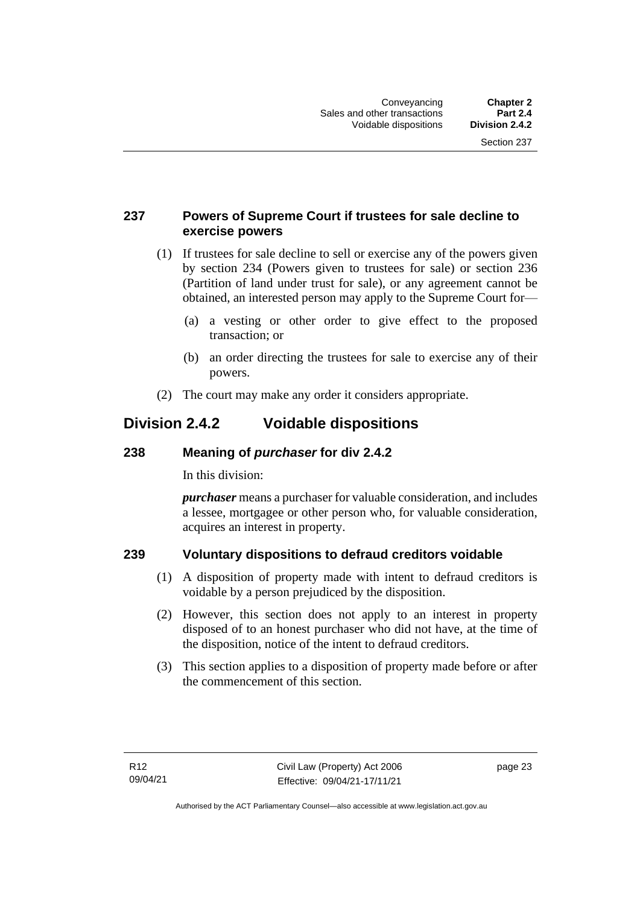#### <span id="page-32-0"></span>**237 Powers of Supreme Court if trustees for sale decline to exercise powers**

- (1) If trustees for sale decline to sell or exercise any of the powers given by section 234 (Powers given to trustees for sale) or section 236 (Partition of land under trust for sale), or any agreement cannot be obtained, an interested person may apply to the Supreme Court for—
	- (a) a vesting or other order to give effect to the proposed transaction; or
	- (b) an order directing the trustees for sale to exercise any of their powers.
- (2) The court may make any order it considers appropriate.

## <span id="page-32-1"></span>**Division 2.4.2 Voidable dispositions**

#### <span id="page-32-2"></span>**238 Meaning of** *purchaser* **for div 2.4.2**

In this division:

*purchaser* means a purchaser for valuable consideration, and includes a lessee, mortgagee or other person who, for valuable consideration, acquires an interest in property.

#### <span id="page-32-3"></span>**239 Voluntary dispositions to defraud creditors voidable**

- (1) A disposition of property made with intent to defraud creditors is voidable by a person prejudiced by the disposition.
- (2) However, this section does not apply to an interest in property disposed of to an honest purchaser who did not have, at the time of the disposition, notice of the intent to defraud creditors.
- (3) This section applies to a disposition of property made before or after the commencement of this section.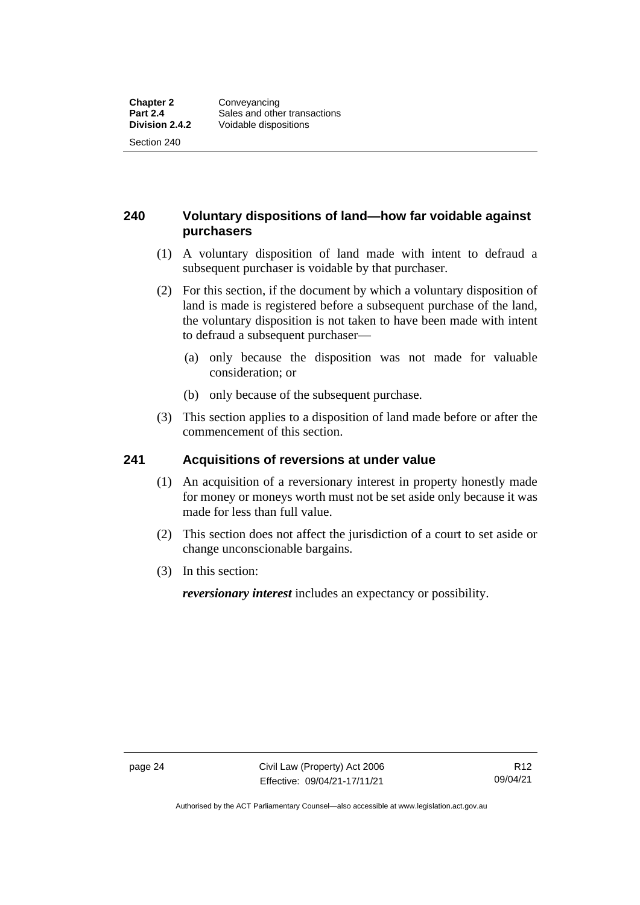#### <span id="page-33-0"></span>**240 Voluntary dispositions of land—how far voidable against purchasers**

- (1) A voluntary disposition of land made with intent to defraud a subsequent purchaser is voidable by that purchaser.
- (2) For this section, if the document by which a voluntary disposition of land is made is registered before a subsequent purchase of the land, the voluntary disposition is not taken to have been made with intent to defraud a subsequent purchaser—
	- (a) only because the disposition was not made for valuable consideration; or
	- (b) only because of the subsequent purchase.
- (3) This section applies to a disposition of land made before or after the commencement of this section.

#### <span id="page-33-1"></span>**241 Acquisitions of reversions at under value**

- (1) An acquisition of a reversionary interest in property honestly made for money or moneys worth must not be set aside only because it was made for less than full value.
- (2) This section does not affect the jurisdiction of a court to set aside or change unconscionable bargains.
- (3) In this section:

*reversionary interest* includes an expectancy or possibility.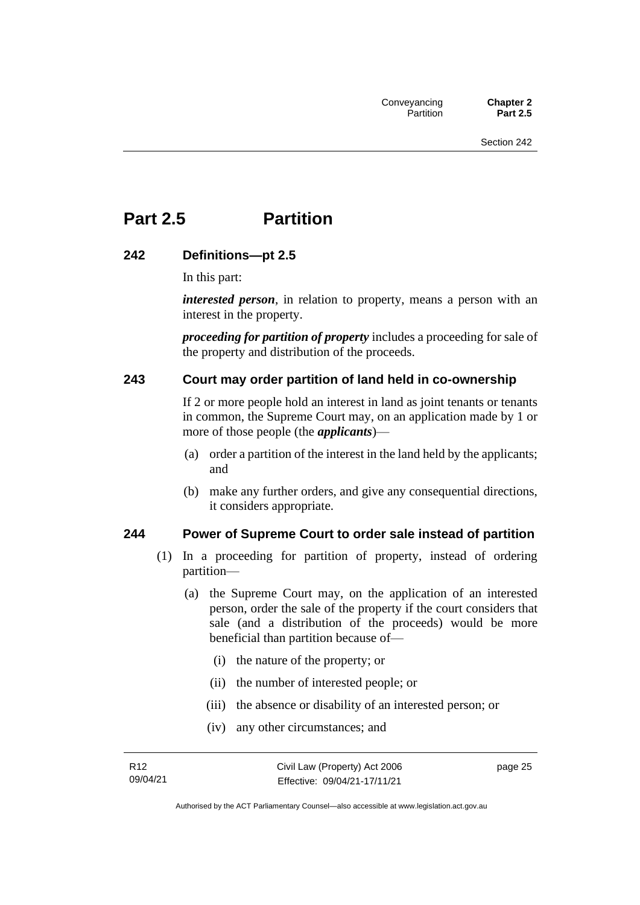## <span id="page-34-0"></span>**Part 2.5 Partition**

#### <span id="page-34-1"></span>**242 Definitions—pt 2.5**

In this part:

*interested person*, in relation to property, means a person with an interest in the property.

*proceeding for partition of property* includes a proceeding for sale of the property and distribution of the proceeds.

#### <span id="page-34-2"></span>**243 Court may order partition of land held in co-ownership**

If 2 or more people hold an interest in land as joint tenants or tenants in common, the Supreme Court may, on an application made by 1 or more of those people (the *applicants*)—

- (a) order a partition of the interest in the land held by the applicants; and
- (b) make any further orders, and give any consequential directions, it considers appropriate.

#### <span id="page-34-3"></span>**244 Power of Supreme Court to order sale instead of partition**

- (1) In a proceeding for partition of property, instead of ordering partition—
	- (a) the Supreme Court may, on the application of an interested person, order the sale of the property if the court considers that sale (and a distribution of the proceeds) would be more beneficial than partition because of—
		- (i) the nature of the property; or
		- (ii) the number of interested people; or
		- (iii) the absence or disability of an interested person; or
		- (iv) any other circumstances; and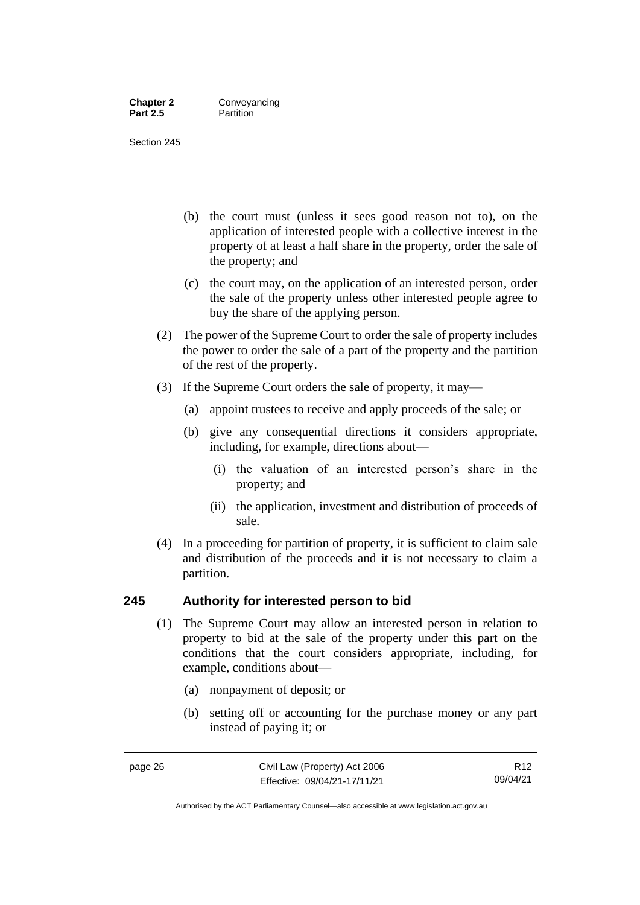#### **Chapter 2 Conveyancing**<br>**Part 2.5 Partition Partition**

Section 245

- (b) the court must (unless it sees good reason not to), on the application of interested people with a collective interest in the property of at least a half share in the property, order the sale of the property; and
- (c) the court may, on the application of an interested person, order the sale of the property unless other interested people agree to buy the share of the applying person.
- (2) The power of the Supreme Court to order the sale of property includes the power to order the sale of a part of the property and the partition of the rest of the property.
- (3) If the Supreme Court orders the sale of property, it may—
	- (a) appoint trustees to receive and apply proceeds of the sale; or
	- (b) give any consequential directions it considers appropriate, including, for example, directions about—
		- (i) the valuation of an interested person's share in the property; and
		- (ii) the application, investment and distribution of proceeds of sale.
- (4) In a proceeding for partition of property, it is sufficient to claim sale and distribution of the proceeds and it is not necessary to claim a partition.

#### <span id="page-35-0"></span>**245 Authority for interested person to bid**

- (1) The Supreme Court may allow an interested person in relation to property to bid at the sale of the property under this part on the conditions that the court considers appropriate, including, for example, conditions about—
	- (a) nonpayment of deposit; or
	- (b) setting off or accounting for the purchase money or any part instead of paying it; or

Authorised by the ACT Parliamentary Counsel—also accessible at www.legislation.act.gov.au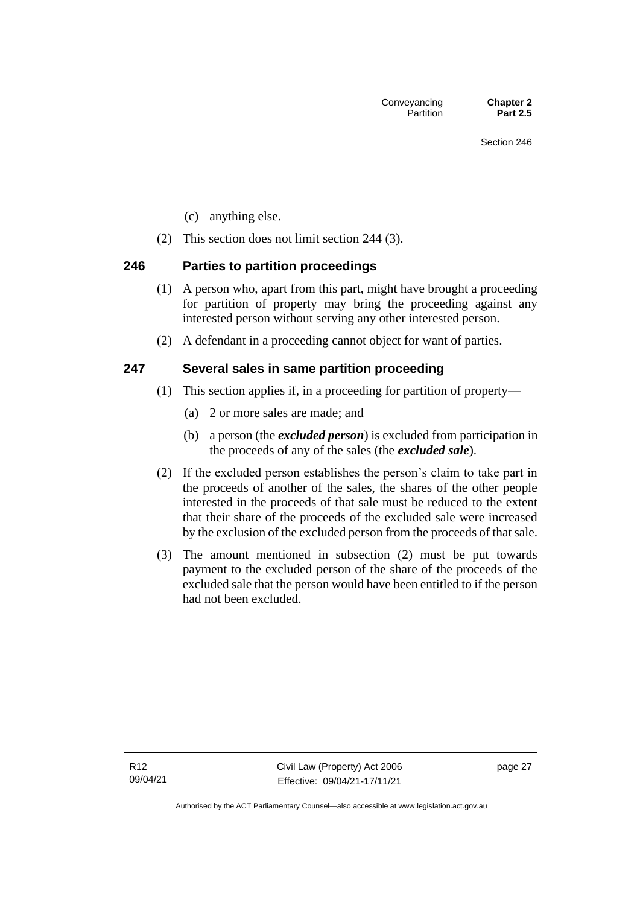- (c) anything else.
- (2) This section does not limit section 244 (3).

## **246 Parties to partition proceedings**

- (1) A person who, apart from this part, might have brought a proceeding for partition of property may bring the proceeding against any interested person without serving any other interested person.
- (2) A defendant in a proceeding cannot object for want of parties.

## **247 Several sales in same partition proceeding**

- (1) This section applies if, in a proceeding for partition of property—
	- (a) 2 or more sales are made; and
	- (b) a person (the *excluded person*) is excluded from participation in the proceeds of any of the sales (the *excluded sale*).
- (2) If the excluded person establishes the person's claim to take part in the proceeds of another of the sales, the shares of the other people interested in the proceeds of that sale must be reduced to the extent that their share of the proceeds of the excluded sale were increased by the exclusion of the excluded person from the proceeds of that sale.
- (3) The amount mentioned in subsection (2) must be put towards payment to the excluded person of the share of the proceeds of the excluded sale that the person would have been entitled to if the person had not been excluded.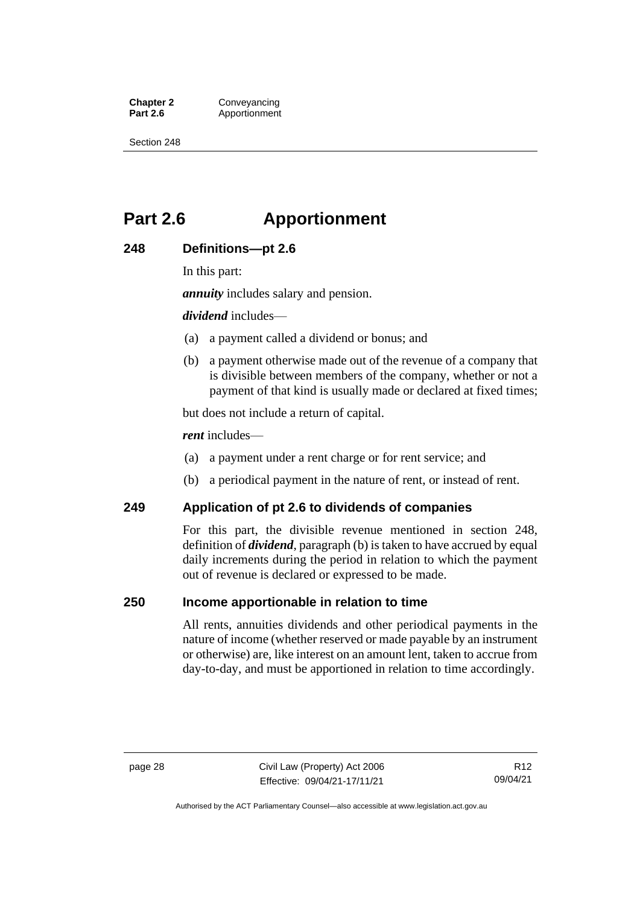**Chapter 2 Conveyancing**<br>**Part 2.6 Apportionment** Apportionment

Section 248

# **Part 2.6 Apportionment**

#### **248 Definitions—pt 2.6**

In this part:

*annuity* includes salary and pension.

*dividend* includes—

- (a) a payment called a dividend or bonus; and
- (b) a payment otherwise made out of the revenue of a company that is divisible between members of the company, whether or not a payment of that kind is usually made or declared at fixed times;

but does not include a return of capital.

*rent* includes—

- (a) a payment under a rent charge or for rent service; and
- (b) a periodical payment in the nature of rent, or instead of rent.

#### **249 Application of pt 2.6 to dividends of companies**

For this part, the divisible revenue mentioned in section 248, definition of *dividend*, paragraph (b) is taken to have accrued by equal daily increments during the period in relation to which the payment out of revenue is declared or expressed to be made.

#### **250 Income apportionable in relation to time**

All rents, annuities dividends and other periodical payments in the nature of income (whether reserved or made payable by an instrument or otherwise) are, like interest on an amount lent, taken to accrue from day-to-day, and must be apportioned in relation to time accordingly.

Authorised by the ACT Parliamentary Counsel—also accessible at www.legislation.act.gov.au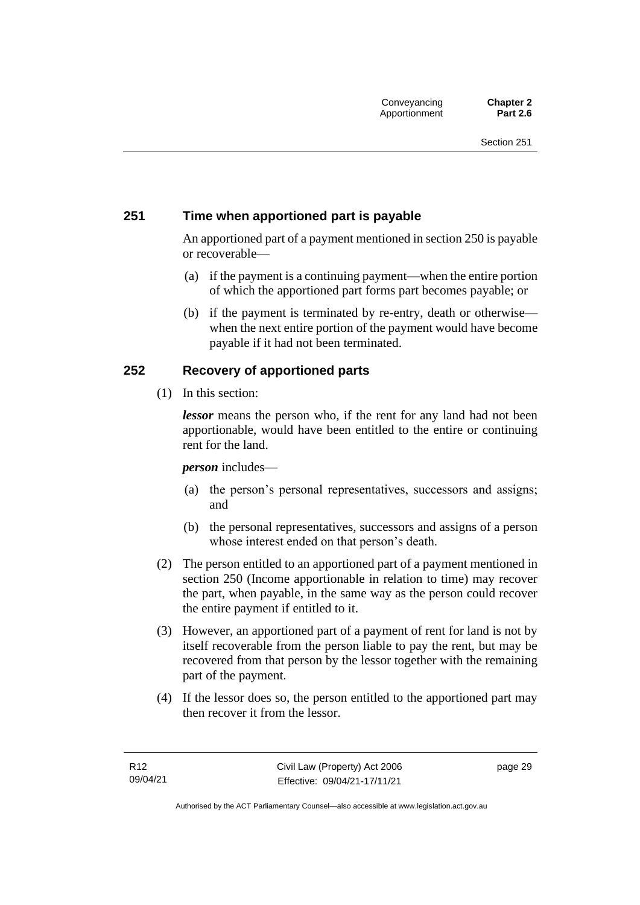## **251 Time when apportioned part is payable**

An apportioned part of a payment mentioned in section 250 is payable or recoverable—

- (a) if the payment is a continuing payment—when the entire portion of which the apportioned part forms part becomes payable; or
- (b) if the payment is terminated by re-entry, death or otherwise when the next entire portion of the payment would have become payable if it had not been terminated.

## **252 Recovery of apportioned parts**

(1) In this section:

*lessor* means the person who, if the rent for any land had not been apportionable, would have been entitled to the entire or continuing rent for the land.

#### *person* includes—

- (a) the person's personal representatives, successors and assigns; and
- (b) the personal representatives, successors and assigns of a person whose interest ended on that person's death.
- (2) The person entitled to an apportioned part of a payment mentioned in section 250 (Income apportionable in relation to time) may recover the part, when payable, in the same way as the person could recover the entire payment if entitled to it.
- (3) However, an apportioned part of a payment of rent for land is not by itself recoverable from the person liable to pay the rent, but may be recovered from that person by the lessor together with the remaining part of the payment.
- (4) If the lessor does so, the person entitled to the apportioned part may then recover it from the lessor.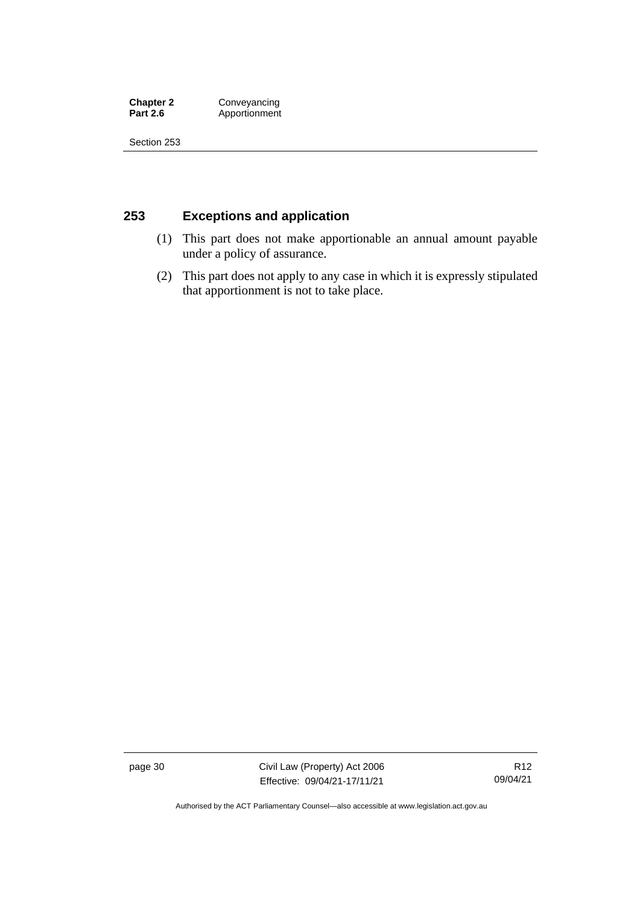**Chapter 2 Conveyancing**<br>**Part 2.6 Apportionment Part 2.6** Apportionment

Section 253

## **253 Exceptions and application**

- (1) This part does not make apportionable an annual amount payable under a policy of assurance.
- (2) This part does not apply to any case in which it is expressly stipulated that apportionment is not to take place.

page 30 Civil Law (Property) Act 2006 Effective: 09/04/21-17/11/21

R12 09/04/21

Authorised by the ACT Parliamentary Counsel—also accessible at www.legislation.act.gov.au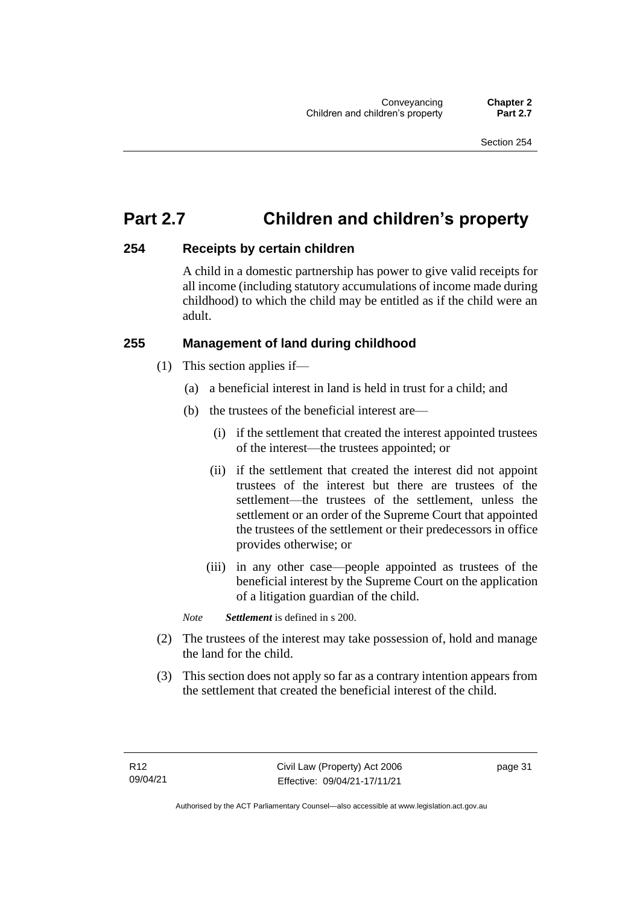# **Part 2.7 Children and children's property**

## **254 Receipts by certain children**

A child in a domestic partnership has power to give valid receipts for all income (including statutory accumulations of income made during childhood) to which the child may be entitled as if the child were an adult.

## **255 Management of land during childhood**

- (1) This section applies if—
	- (a) a beneficial interest in land is held in trust for a child; and
	- (b) the trustees of the beneficial interest are—
		- (i) if the settlement that created the interest appointed trustees of the interest—the trustees appointed; or
		- (ii) if the settlement that created the interest did not appoint trustees of the interest but there are trustees of the settlement—the trustees of the settlement, unless the settlement or an order of the Supreme Court that appointed the trustees of the settlement or their predecessors in office provides otherwise; or
		- (iii) in any other case—people appointed as trustees of the beneficial interest by the Supreme Court on the application of a litigation guardian of the child.

*Note Settlement* is defined in s 200.

- (2) The trustees of the interest may take possession of, hold and manage the land for the child.
- (3) This section does not apply so far as a contrary intention appears from the settlement that created the beneficial interest of the child.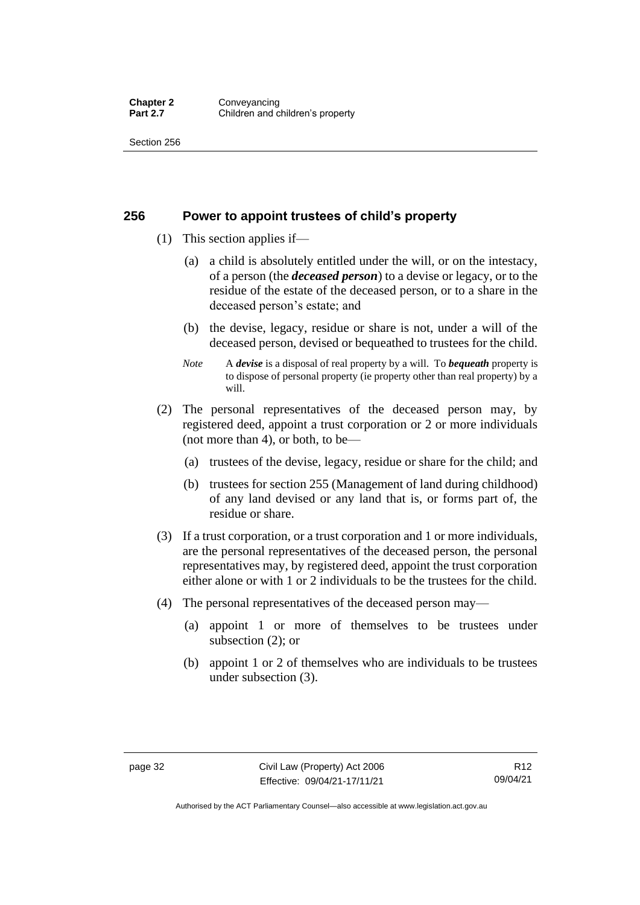#### **256 Power to appoint trustees of child's property**

- (1) This section applies if—
	- (a) a child is absolutely entitled under the will, or on the intestacy, of a person (the *deceased person*) to a devise or legacy, or to the residue of the estate of the deceased person, or to a share in the deceased person's estate; and
	- (b) the devise, legacy, residue or share is not, under a will of the deceased person, devised or bequeathed to trustees for the child.
	- *Note* A *devise* is a disposal of real property by a will. To *bequeath* property is to dispose of personal property (ie property other than real property) by a will.
- (2) The personal representatives of the deceased person may, by registered deed, appoint a trust corporation or 2 or more individuals (not more than 4), or both, to be—
	- (a) trustees of the devise, legacy, residue or share for the child; and
	- (b) trustees for section 255 (Management of land during childhood) of any land devised or any land that is, or forms part of, the residue or share.
- (3) If a trust corporation, or a trust corporation and 1 or more individuals, are the personal representatives of the deceased person, the personal representatives may, by registered deed, appoint the trust corporation either alone or with 1 or 2 individuals to be the trustees for the child.
- (4) The personal representatives of the deceased person may—
	- (a) appoint 1 or more of themselves to be trustees under subsection (2); or
	- (b) appoint 1 or 2 of themselves who are individuals to be trustees under subsection (3).

Authorised by the ACT Parliamentary Counsel—also accessible at www.legislation.act.gov.au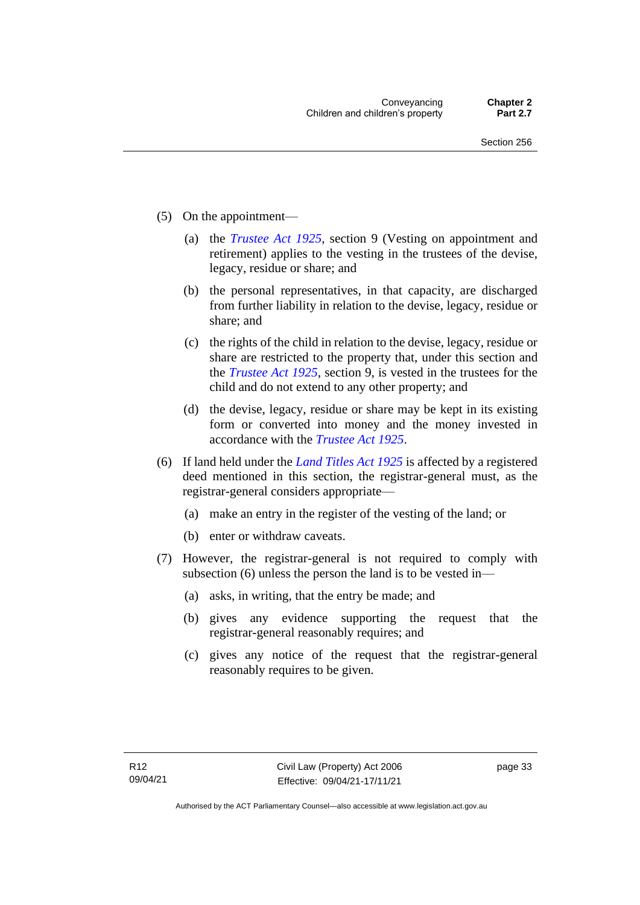- (5) On the appointment—
	- (a) the *[Trustee Act 1925](http://www.legislation.act.gov.au/a/1925-14)*, section 9 (Vesting on appointment and retirement) applies to the vesting in the trustees of the devise, legacy, residue or share; and
	- (b) the personal representatives, in that capacity, are discharged from further liability in relation to the devise, legacy, residue or share; and
	- (c) the rights of the child in relation to the devise, legacy, residue or share are restricted to the property that, under this section and the *[Trustee Act 1925](http://www.legislation.act.gov.au/a/1925-14)*, section 9, is vested in the trustees for the child and do not extend to any other property; and
	- (d) the devise, legacy, residue or share may be kept in its existing form or converted into money and the money invested in accordance with the *[Trustee Act 1925](http://www.legislation.act.gov.au/a/1925-14)*.
- (6) If land held under the *[Land Titles Act 1925](http://www.legislation.act.gov.au/a/1925-1)* is affected by a registered deed mentioned in this section, the registrar-general must, as the registrar-general considers appropriate—
	- (a) make an entry in the register of the vesting of the land; or
	- (b) enter or withdraw caveats.
- (7) However, the registrar-general is not required to comply with subsection (6) unless the person the land is to be vested in—
	- (a) asks, in writing, that the entry be made; and
	- (b) gives any evidence supporting the request that the registrar-general reasonably requires; and
	- (c) gives any notice of the request that the registrar-general reasonably requires to be given.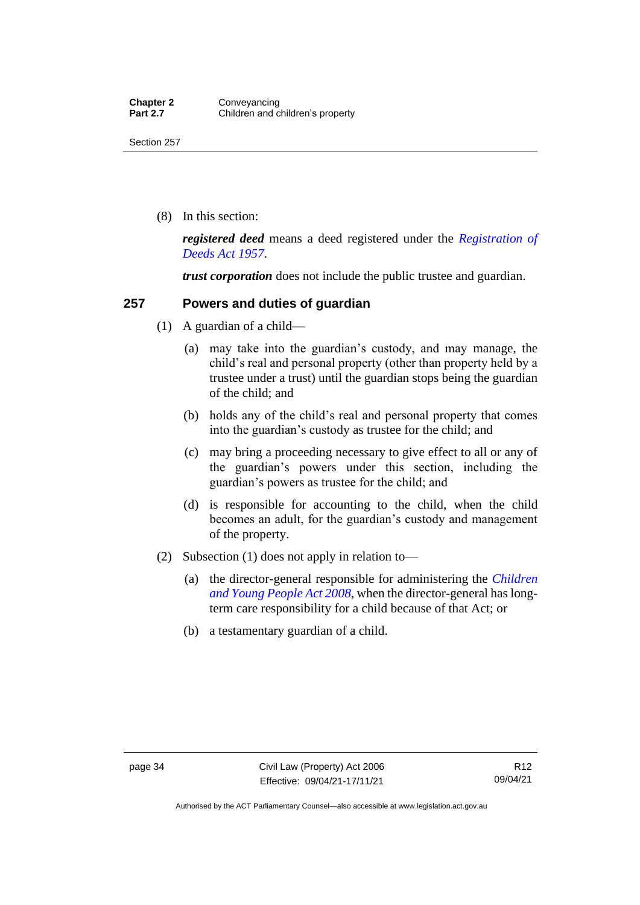(8) In this section:

*registered deed* means a deed registered under the *[Registration of](http://www.legislation.act.gov.au/a/1957-13)  [Deeds Act 1957](http://www.legislation.act.gov.au/a/1957-13)*.

*trust corporation* does not include the public trustee and guardian.

## **257 Powers and duties of guardian**

- (1) A guardian of a child—
	- (a) may take into the guardian's custody, and may manage, the child's real and personal property (other than property held by a trustee under a trust) until the guardian stops being the guardian of the child; and
	- (b) holds any of the child's real and personal property that comes into the guardian's custody as trustee for the child; and
	- (c) may bring a proceeding necessary to give effect to all or any of the guardian's powers under this section, including the guardian's powers as trustee for the child; and
	- (d) is responsible for accounting to the child, when the child becomes an adult, for the guardian's custody and management of the property.
- (2) Subsection (1) does not apply in relation to—
	- (a) the director-general responsible for administering the *[Children](http://www.legislation.act.gov.au/a/2008-19)  [and Young People Act 2008](http://www.legislation.act.gov.au/a/2008-19)*, when the director-general has longterm care responsibility for a child because of that Act; or
	- (b) a testamentary guardian of a child.

Authorised by the ACT Parliamentary Counsel—also accessible at www.legislation.act.gov.au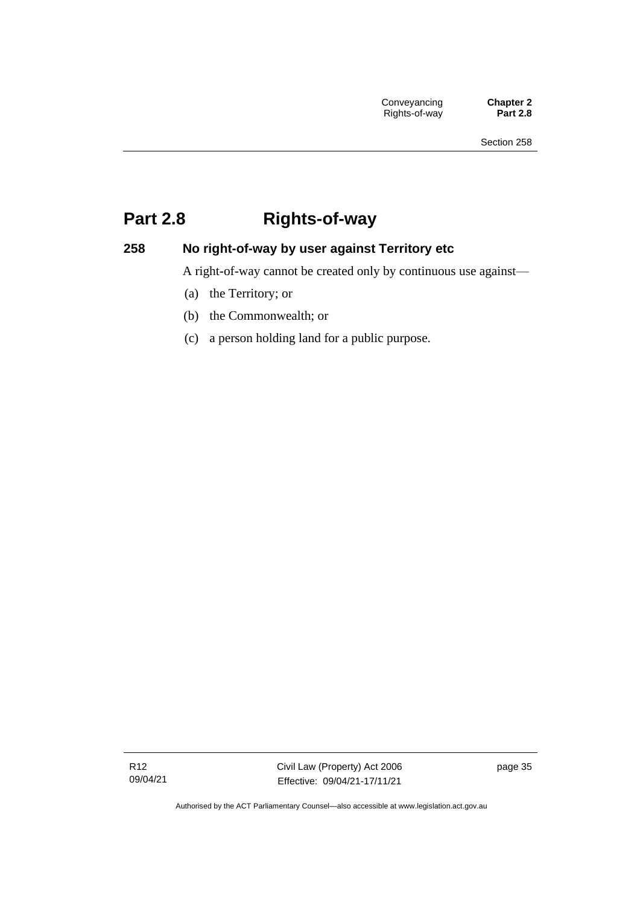# **Part 2.8 Rights-of-way**

## **258 No right-of-way by user against Territory etc**

A right-of-way cannot be created only by continuous use against—

- (a) the Territory; or
- (b) the Commonwealth; or
- (c) a person holding land for a public purpose.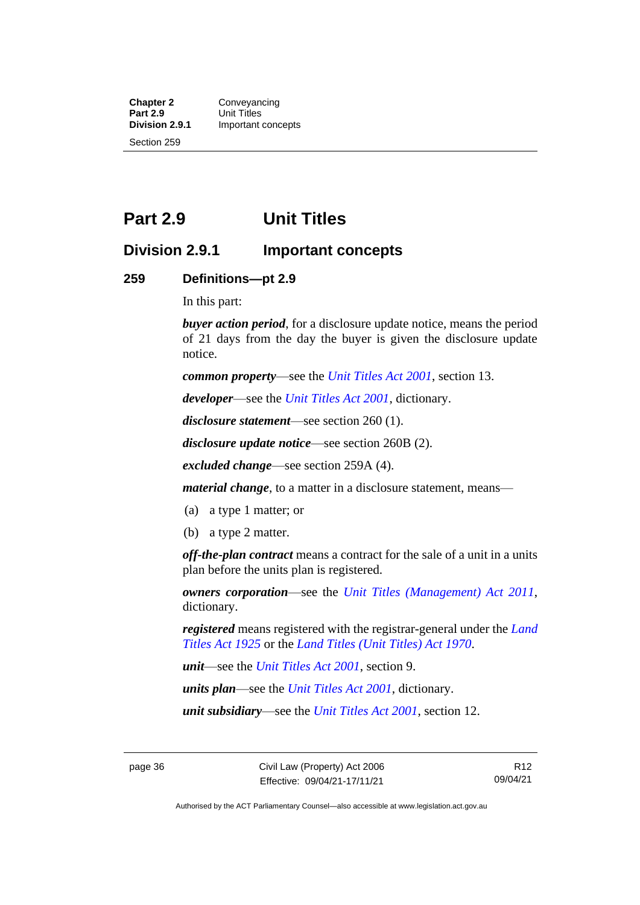**Chapter 2 Conveyancing**<br>**Part 2.9 Unit Titles Part 2.9** Unit Titles<br> **Division 2.9.1** Important **Division 2.9.1** Important concepts Section 259

## **Part 2.9 Unit Titles**

## **Division 2.9.1 Important concepts**

#### **259 Definitions—pt 2.9**

In this part:

*buyer action period*, for a disclosure update notice, means the period of 21 days from the day the buyer is given the disclosure update notice.

*common property*—see the *[Unit Titles Act 2001](http://www.legislation.act.gov.au/a/2001-16)*, section 13.

*developer*—see the *[Unit Titles Act 2001](http://www.legislation.act.gov.au/a/2001-16)*, dictionary.

*disclosure statement*—see section 260 (1).

*disclosure update notice*—see section 260B (2).

*excluded change*—see section 259A (4).

*material change*, to a matter in a disclosure statement, means—

- (a) a type 1 matter; or
- (b) a type 2 matter.

*off-the-plan contract* means a contract for the sale of a unit in a units plan before the units plan is registered.

*owners corporation*—see the *[Unit Titles \(Management\) Act 2011](http://www.legislation.act.gov.au/a/2011-41)*, dictionary.

*registered* means registered with the registrar-general under the *[Land](http://www.legislation.act.gov.au/a/1925-1)  [Titles Act 1925](http://www.legislation.act.gov.au/a/1925-1)* or the *[Land Titles \(Unit Titles\) Act 1970](http://www.legislation.act.gov.au/a/1970-32)*.

*unit*—see the *[Unit Titles Act 2001](http://www.legislation.act.gov.au/a/2001-16)*, section 9.

*units plan*—see the *[Unit Titles Act 2001](http://www.legislation.act.gov.au/a/2001-16)*, dictionary.

*unit subsidiary*—see the *[Unit Titles Act 2001](http://www.legislation.act.gov.au/a/2001-16)*, section 12.

R12 09/04/21

Authorised by the ACT Parliamentary Counsel—also accessible at www.legislation.act.gov.au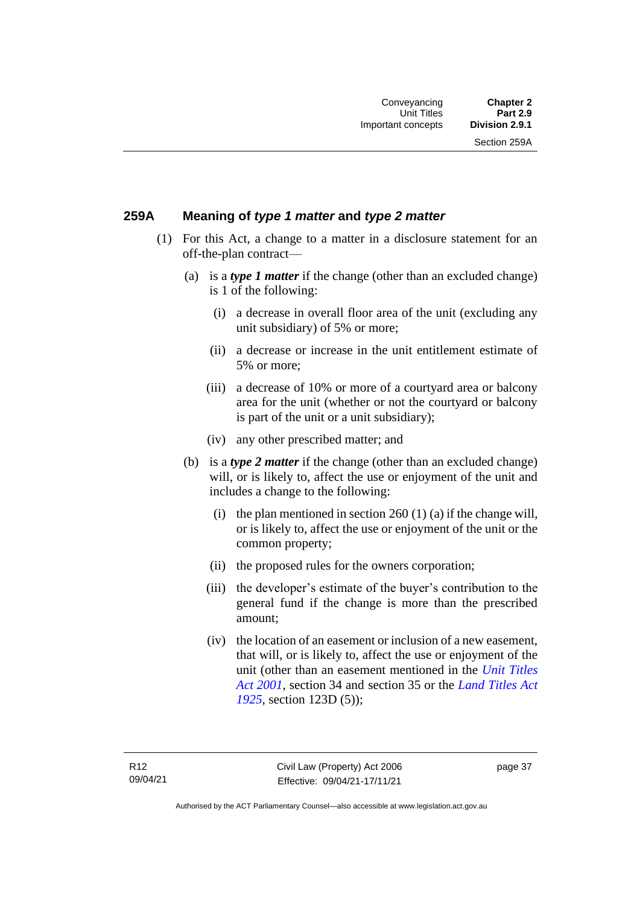Section 259A

## **259A Meaning of** *type 1 matter* **and** *type 2 matter*

- (1) For this Act, a change to a matter in a disclosure statement for an off-the-plan contract—
	- (a) is a *type 1 matter* if the change (other than an excluded change) is 1 of the following:
		- (i) a decrease in overall floor area of the unit (excluding any unit subsidiary) of 5% or more;
		- (ii) a decrease or increase in the unit entitlement estimate of 5% or more;
		- (iii) a decrease of 10% or more of a courtyard area or balcony area for the unit (whether or not the courtyard or balcony is part of the unit or a unit subsidiary);
		- (iv) any other prescribed matter; and
	- (b) is a *type 2 matter* if the change (other than an excluded change) will, or is likely to, affect the use or enjoyment of the unit and includes a change to the following:
		- (i) the plan mentioned in section  $260(1)(a)$  if the change will, or is likely to, affect the use or enjoyment of the unit or the common property;
		- (ii) the proposed rules for the owners corporation;
		- (iii) the developer's estimate of the buyer's contribution to the general fund if the change is more than the prescribed amount;
		- (iv) the location of an easement or inclusion of a new easement, that will, or is likely to, affect the use or enjoyment of the unit (other than an easement mentioned in the *[Unit Titles](http://www.legislation.act.gov.au/a/2001-16)  Act [2001](http://www.legislation.act.gov.au/a/2001-16)*, section 34 and section 35 or the *[Land Titles Act](http://www.legislation.act.gov.au/a/1925-1)  [1925](http://www.legislation.act.gov.au/a/1925-1)*, section 123D (5));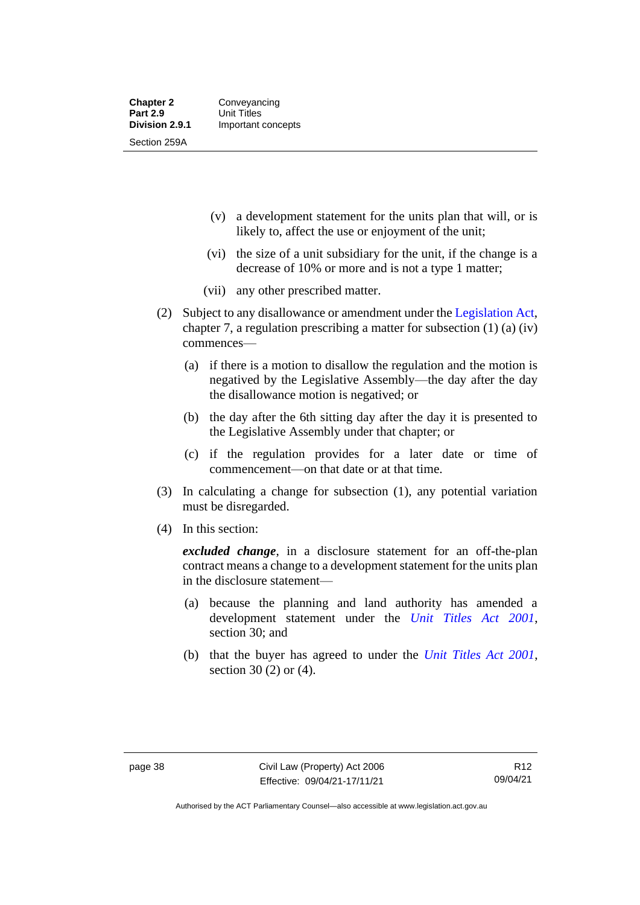- (v) a development statement for the units plan that will, or is likely to, affect the use or enjoyment of the unit;
- (vi) the size of a unit subsidiary for the unit, if the change is a decrease of 10% or more and is not a type 1 matter;
- (vii) any other prescribed matter.
- (2) Subject to any disallowance or amendment under the [Legislation Act,](http://www.legislation.act.gov.au/a/2001-14) chapter 7, a regulation prescribing a matter for subsection (1) (a) (iv) commences—
	- (a) if there is a motion to disallow the regulation and the motion is negatived by the Legislative Assembly—the day after the day the disallowance motion is negatived; or
	- (b) the day after the 6th sitting day after the day it is presented to the Legislative Assembly under that chapter; or
	- (c) if the regulation provides for a later date or time of commencement—on that date or at that time.
- (3) In calculating a change for subsection (1), any potential variation must be disregarded.
- (4) In this section:

*excluded change*, in a disclosure statement for an off-the-plan contract means a change to a development statement for the units plan in the disclosure statement—

- (a) because the planning and land authority has amended a development statement under the *[Unit Titles Act 2001](http://www.legislation.act.gov.au/a/2001-16)*, section 30; and
- (b) that the buyer has agreed to under the *[Unit Titles Act 2001](http://www.legislation.act.gov.au/a/2001-16)*, section 30 (2) or (4).

Authorised by the ACT Parliamentary Counsel—also accessible at www.legislation.act.gov.au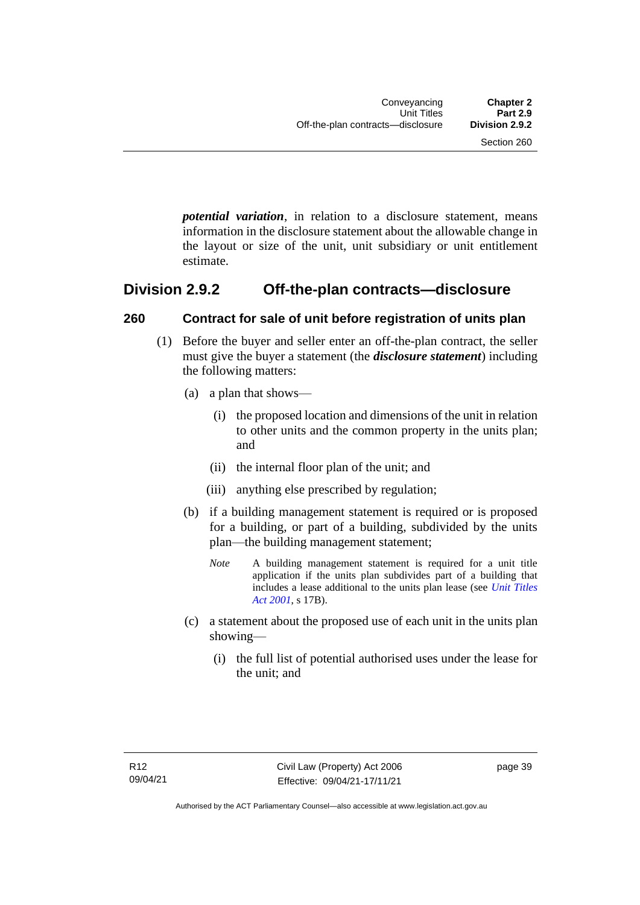*potential variation*, in relation to a disclosure statement, means information in the disclosure statement about the allowable change in the layout or size of the unit, unit subsidiary or unit entitlement estimate.

## **Division 2.9.2 Off-the-plan contracts—disclosure**

## **260 Contract for sale of unit before registration of units plan**

- (1) Before the buyer and seller enter an off-the-plan contract, the seller must give the buyer a statement (the *disclosure statement*) including the following matters:
	- (a) a plan that shows—
		- (i) the proposed location and dimensions of the unit in relation to other units and the common property in the units plan; and
		- (ii) the internal floor plan of the unit; and
		- (iii) anything else prescribed by regulation;
	- (b) if a building management statement is required or is proposed for a building, or part of a building, subdivided by the units plan—the building management statement;
		- *Note* A building management statement is required for a unit title application if the units plan subdivides part of a building that includes a lease additional to the units plan lease (see *[Unit Titles](http://www.legislation.act.gov.au/a/2001-16)  [Act 2001](http://www.legislation.act.gov.au/a/2001-16)*, s 17B).
	- (c) a statement about the proposed use of each unit in the units plan showing—
		- (i) the full list of potential authorised uses under the lease for the unit; and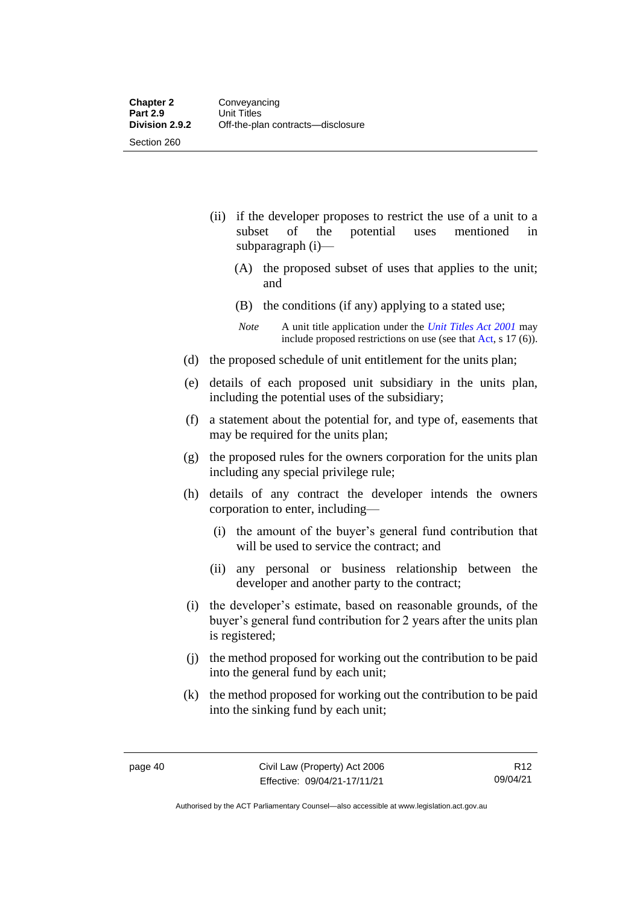- (ii) if the developer proposes to restrict the use of a unit to a subset of the potential uses mentioned in subparagraph (i)—
	- (A) the proposed subset of uses that applies to the unit; and
	- (B) the conditions (if any) applying to a stated use;
	- *Note* A unit title application under the *[Unit Titles Act 2001](http://www.legislation.act.gov.au/a/2001-16)* may include proposed restrictions on use (see tha[t Act,](https://www.legislation.act.gov.au/a/2001-16/) s 17 (6)).
- (d) the proposed schedule of unit entitlement for the units plan;
- (e) details of each proposed unit subsidiary in the units plan, including the potential uses of the subsidiary;
- (f) a statement about the potential for, and type of, easements that may be required for the units plan;
- (g) the proposed rules for the owners corporation for the units plan including any special privilege rule;
- (h) details of any contract the developer intends the owners corporation to enter, including—
	- (i) the amount of the buyer's general fund contribution that will be used to service the contract; and
	- (ii) any personal or business relationship between the developer and another party to the contract;
- (i) the developer's estimate, based on reasonable grounds, of the buyer's general fund contribution for 2 years after the units plan is registered;
- (j) the method proposed for working out the contribution to be paid into the general fund by each unit;
- (k) the method proposed for working out the contribution to be paid into the sinking fund by each unit;

Authorised by the ACT Parliamentary Counsel—also accessible at www.legislation.act.gov.au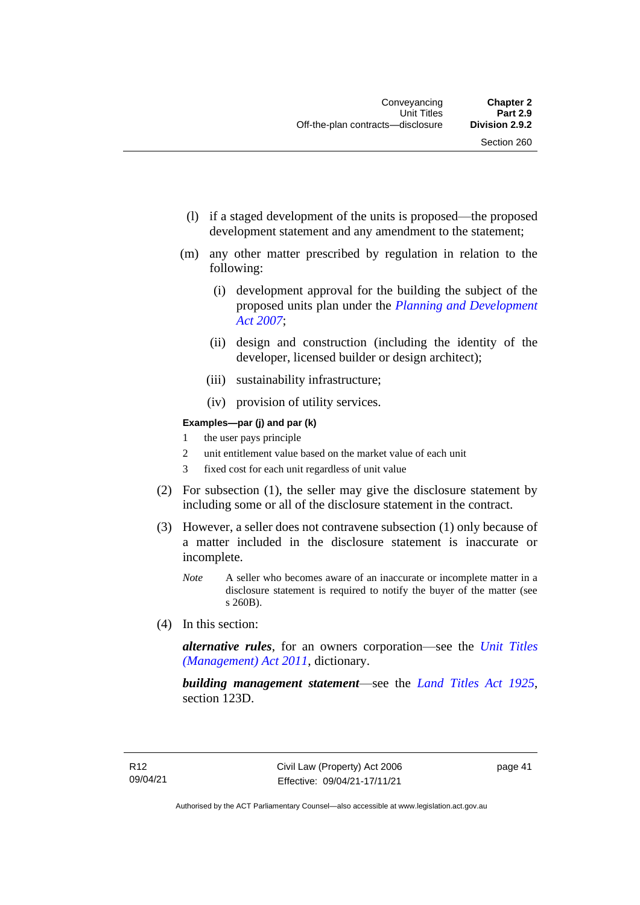- (l) if a staged development of the units is proposed—the proposed development statement and any amendment to the statement;
- (m) any other matter prescribed by regulation in relation to the following:
	- (i) development approval for the building the subject of the proposed units plan under the *[Planning and Development](http://www.legislation.act.gov.au/a/2007-24)  [Act 2007](http://www.legislation.act.gov.au/a/2007-24)*;
	- (ii) design and construction (including the identity of the developer, licensed builder or design architect);
	- (iii) sustainability infrastructure;
	- (iv) provision of utility services.

#### **Examples—par (j) and par (k)**

- 1 the user pays principle
- 2 unit entitlement value based on the market value of each unit
- 3 fixed cost for each unit regardless of unit value
- (2) For subsection (1), the seller may give the disclosure statement by including some or all of the disclosure statement in the contract.
- (3) However, a seller does not contravene subsection (1) only because of a matter included in the disclosure statement is inaccurate or incomplete.
	- *Note* A seller who becomes aware of an inaccurate or incomplete matter in a disclosure statement is required to notify the buyer of the matter (see s 260B).
- (4) In this section:

*alternative rules*, for an owners corporation—see the *[Unit Titles](http://www.legislation.act.gov.au/a/2011-41)  [\(Management\) Act 2011](http://www.legislation.act.gov.au/a/2011-41)*, dictionary.

*building management statement*—see the *[Land Titles Act 1925](http://www.legislation.act.gov.au/a/1925-1)*, section 123D.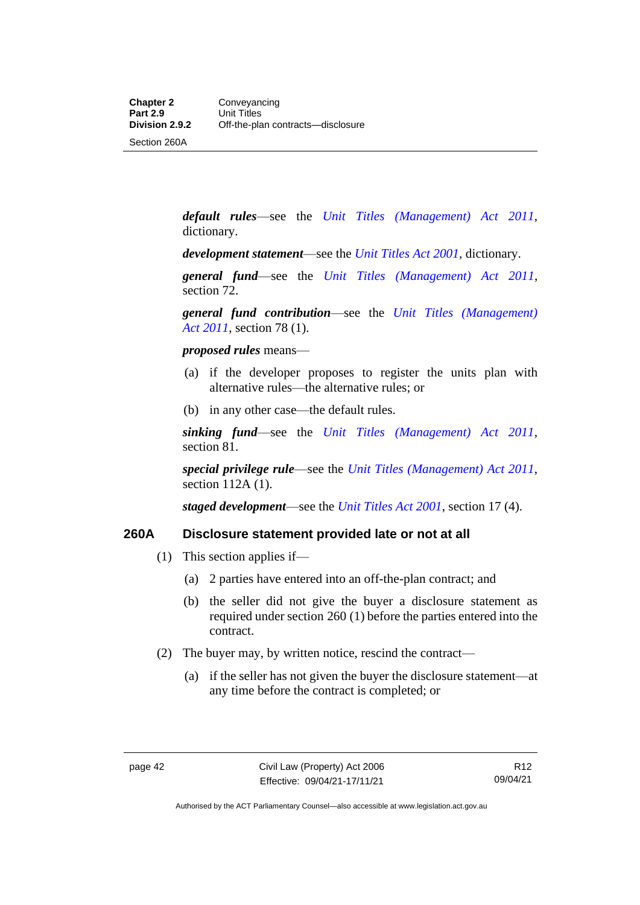Section 260A

*default rules*—see the *[Unit Titles \(Management\) Act 2011](http://www.legislation.act.gov.au/a/2011-41)*, dictionary.

*development statement*—see the *[Unit Titles Act 2001](http://www.legislation.act.gov.au/a/2001-16)*, dictionary.

*general fund*—see the *[Unit Titles \(Management\) Act 2011](http://www.legislation.act.gov.au/a/2011-41)*, section 72.

*general fund contribution*—see the *[Unit Titles \(Management\)](http://www.legislation.act.gov.au/a/2011-41)  Act [2011](http://www.legislation.act.gov.au/a/2011-41)*, section 78 (1).

*proposed rules* means—

- (a) if the developer proposes to register the units plan with alternative rules—the alternative rules; or
- (b) in any other case—the default rules.

*sinking fund*—see the *[Unit Titles \(Management\) Act 2011](http://www.legislation.act.gov.au/a/2011-41)*, section 81.

*special privilege rule*—see the *[Unit Titles \(Management\) Act 2011](http://www.legislation.act.gov.au/a/2011-41)*, section 112A (1).

*staged development*—see the *[Unit Titles Act 2001](http://www.legislation.act.gov.au/a/2001-16)*, section 17 (4).

#### **260A Disclosure statement provided late or not at all**

- (1) This section applies if—
	- (a) 2 parties have entered into an off-the-plan contract; and
	- (b) the seller did not give the buyer a disclosure statement as required under section 260 (1) before the parties entered into the contract.
- (2) The buyer may, by written notice, rescind the contract—
	- (a) if the seller has not given the buyer the disclosure statement—at any time before the contract is completed; or

R12 09/04/21

Authorised by the ACT Parliamentary Counsel—also accessible at www.legislation.act.gov.au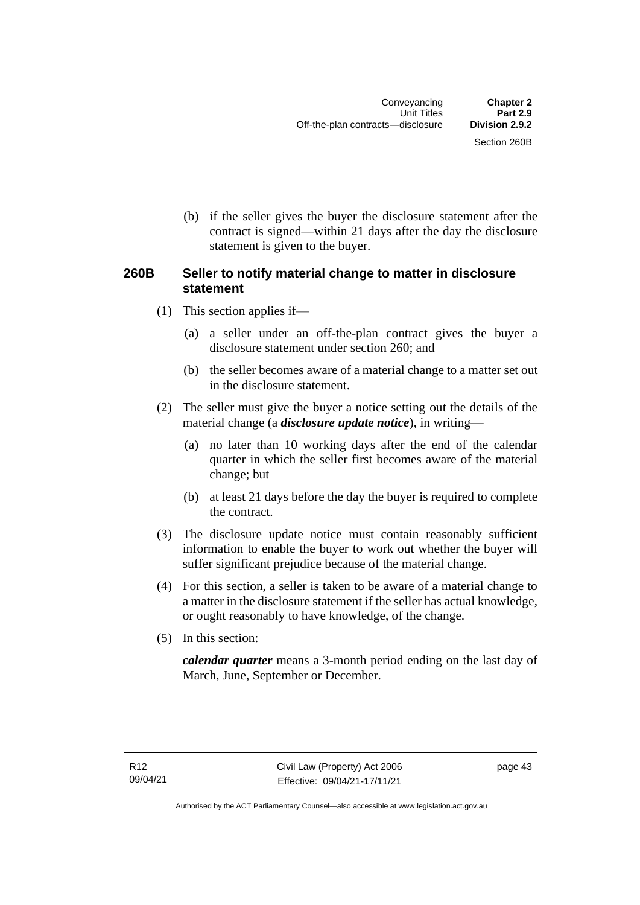Section 260B

(b) if the seller gives the buyer the disclosure statement after the contract is signed—within 21 days after the day the disclosure statement is given to the buyer.

## **260B Seller to notify material change to matter in disclosure statement**

- (1) This section applies if—
	- (a) a seller under an off-the-plan contract gives the buyer a disclosure statement under section 260; and
	- (b) the seller becomes aware of a material change to a matter set out in the disclosure statement.
- (2) The seller must give the buyer a notice setting out the details of the material change (a *disclosure update notice*), in writing—
	- (a) no later than 10 working days after the end of the calendar quarter in which the seller first becomes aware of the material change; but
	- (b) at least 21 days before the day the buyer is required to complete the contract.
- (3) The disclosure update notice must contain reasonably sufficient information to enable the buyer to work out whether the buyer will suffer significant prejudice because of the material change.
- (4) For this section, a seller is taken to be aware of a material change to a matter in the disclosure statement if the seller has actual knowledge, or ought reasonably to have knowledge, of the change.
- (5) In this section:

*calendar quarter* means a 3-month period ending on the last day of March, June, September or December.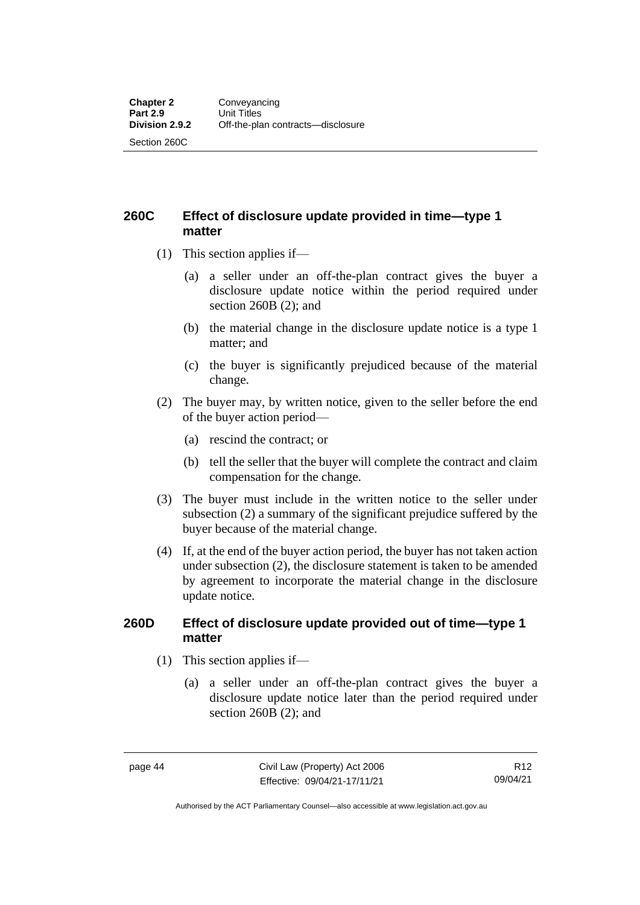**260C Effect of disclosure update provided in time—type 1 matter**

- (1) This section applies if—
	- (a) a seller under an off-the-plan contract gives the buyer a disclosure update notice within the period required under section 260B (2); and
	- (b) the material change in the disclosure update notice is a type 1 matter; and
	- (c) the buyer is significantly prejudiced because of the material change.
- (2) The buyer may, by written notice, given to the seller before the end of the buyer action period—
	- (a) rescind the contract; or
	- (b) tell the seller that the buyer will complete the contract and claim compensation for the change.
- (3) The buyer must include in the written notice to the seller under subsection (2) a summary of the significant prejudice suffered by the buyer because of the material change.
- (4) If, at the end of the buyer action period, the buyer has not taken action under subsection (2), the disclosure statement is taken to be amended by agreement to incorporate the material change in the disclosure update notice.

#### **260D Effect of disclosure update provided out of time—type 1 matter**

- (1) This section applies if—
	- (a) a seller under an off-the-plan contract gives the buyer a disclosure update notice later than the period required under section 260B (2); and

Authorised by the ACT Parliamentary Counsel—also accessible at www.legislation.act.gov.au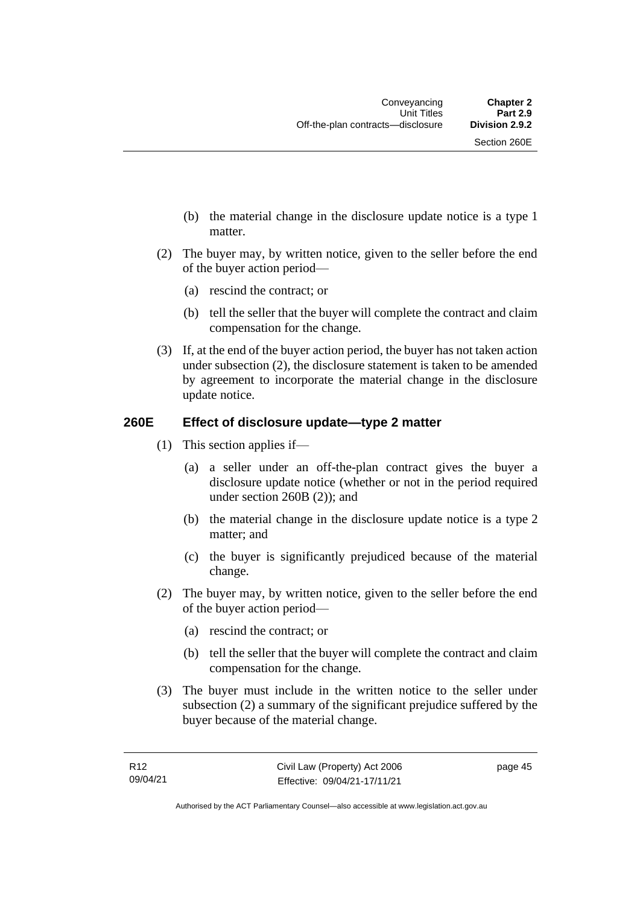- (b) the material change in the disclosure update notice is a type 1 matter.
- (2) The buyer may, by written notice, given to the seller before the end of the buyer action period—
	- (a) rescind the contract; or
	- (b) tell the seller that the buyer will complete the contract and claim compensation for the change.
- (3) If, at the end of the buyer action period, the buyer has not taken action under subsection (2), the disclosure statement is taken to be amended by agreement to incorporate the material change in the disclosure update notice.

## **260E Effect of disclosure update—type 2 matter**

- (1) This section applies if—
	- (a) a seller under an off-the-plan contract gives the buyer a disclosure update notice (whether or not in the period required under section 260B (2)); and
	- (b) the material change in the disclosure update notice is a type 2 matter; and
	- (c) the buyer is significantly prejudiced because of the material change.
- (2) The buyer may, by written notice, given to the seller before the end of the buyer action period—
	- (a) rescind the contract; or
	- (b) tell the seller that the buyer will complete the contract and claim compensation for the change.
- (3) The buyer must include in the written notice to the seller under subsection (2) a summary of the significant prejudice suffered by the buyer because of the material change.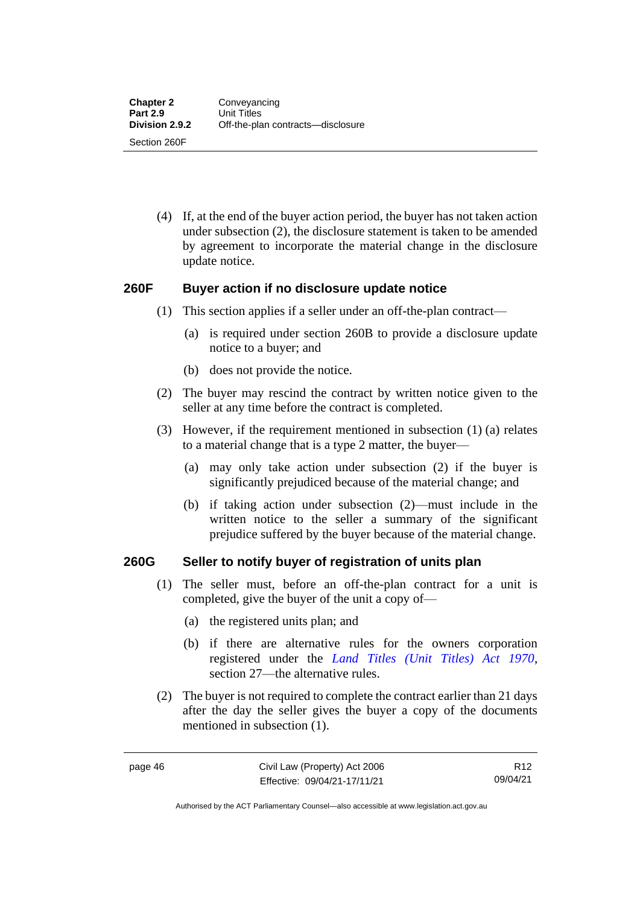(4) If, at the end of the buyer action period, the buyer has not taken action under subsection (2), the disclosure statement is taken to be amended by agreement to incorporate the material change in the disclosure update notice.

#### **260F Buyer action if no disclosure update notice**

- (1) This section applies if a seller under an off-the-plan contract—
	- (a) is required under section 260B to provide a disclosure update notice to a buyer; and
	- (b) does not provide the notice.
- (2) The buyer may rescind the contract by written notice given to the seller at any time before the contract is completed.
- (3) However, if the requirement mentioned in subsection (1) (a) relates to a material change that is a type 2 matter, the buyer—
	- (a) may only take action under subsection (2) if the buyer is significantly prejudiced because of the material change; and
	- (b) if taking action under subsection (2)—must include in the written notice to the seller a summary of the significant prejudice suffered by the buyer because of the material change.

#### **260G Seller to notify buyer of registration of units plan**

- (1) The seller must, before an off-the-plan contract for a unit is completed, give the buyer of the unit a copy of—
	- (a) the registered units plan; and
	- (b) if there are alternative rules for the owners corporation registered under the *[Land Titles \(Unit Titles\) Act 1970](http://www.legislation.act.gov.au/a/1970-32)*, section 27—the alternative rules.
- (2) The buyer is not required to complete the contract earlier than 21 days after the day the seller gives the buyer a copy of the documents mentioned in subsection (1).

R12 09/04/21

Authorised by the ACT Parliamentary Counsel—also accessible at www.legislation.act.gov.au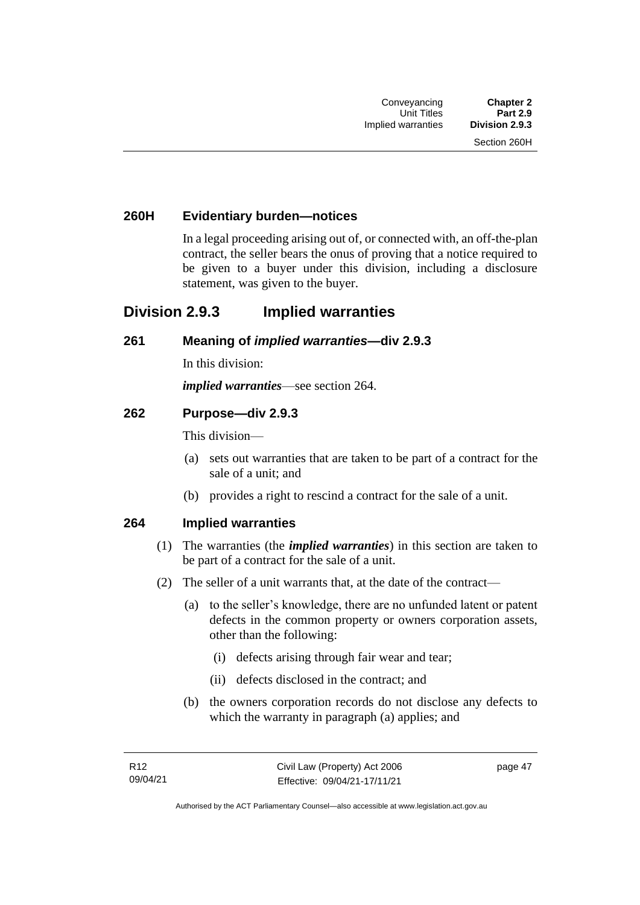## **260H Evidentiary burden—notices**

In a legal proceeding arising out of, or connected with, an off-the-plan contract, the seller bears the onus of proving that a notice required to be given to a buyer under this division, including a disclosure statement, was given to the buyer.

## **Division 2.9.3 Implied warranties**

#### **261 Meaning of** *implied warranties***—div 2.9.3**

In this division:

*implied warranties*—see section 264.

#### **262 Purpose—div 2.9.3**

This division—

- (a) sets out warranties that are taken to be part of a contract for the sale of a unit; and
- (b) provides a right to rescind a contract for the sale of a unit.

#### **264 Implied warranties**

- (1) The warranties (the *implied warranties*) in this section are taken to be part of a contract for the sale of a unit.
- (2) The seller of a unit warrants that, at the date of the contract—
	- (a) to the seller's knowledge, there are no unfunded latent or patent defects in the common property or owners corporation assets, other than the following:
		- (i) defects arising through fair wear and tear;
		- (ii) defects disclosed in the contract; and
	- (b) the owners corporation records do not disclose any defects to which the warranty in paragraph (a) applies; and

page 47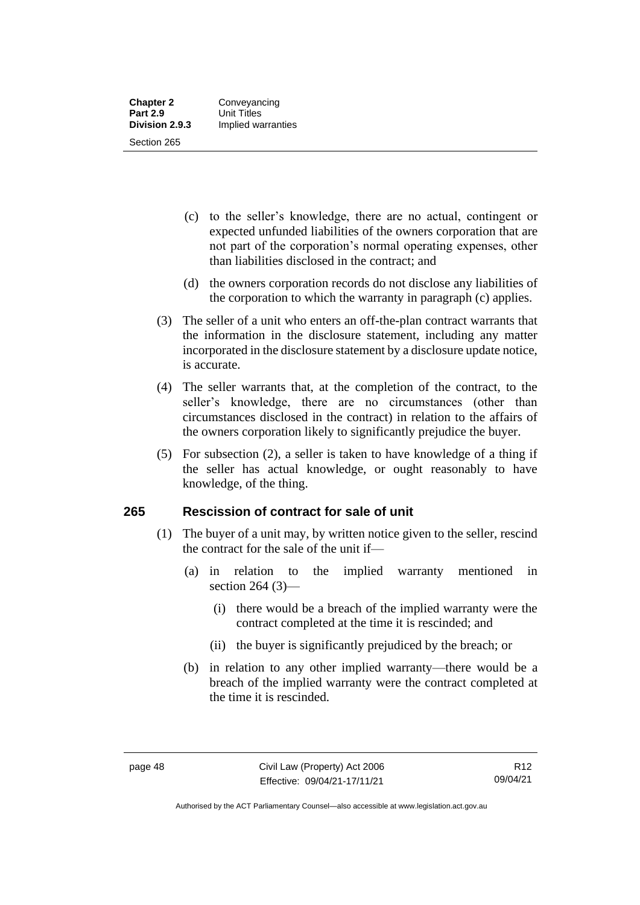- (c) to the seller's knowledge, there are no actual, contingent or expected unfunded liabilities of the owners corporation that are not part of the corporation's normal operating expenses, other than liabilities disclosed in the contract; and
- (d) the owners corporation records do not disclose any liabilities of the corporation to which the warranty in paragraph (c) applies.
- (3) The seller of a unit who enters an off-the-plan contract warrants that the information in the disclosure statement, including any matter incorporated in the disclosure statement by a disclosure update notice, is accurate.
- (4) The seller warrants that, at the completion of the contract, to the seller's knowledge, there are no circumstances (other than circumstances disclosed in the contract) in relation to the affairs of the owners corporation likely to significantly prejudice the buyer.
- (5) For subsection (2), a seller is taken to have knowledge of a thing if the seller has actual knowledge, or ought reasonably to have knowledge, of the thing.

## **265 Rescission of contract for sale of unit**

- (1) The buyer of a unit may, by written notice given to the seller, rescind the contract for the sale of the unit if—
	- (a) in relation to the implied warranty mentioned in section 264 (3)—
		- (i) there would be a breach of the implied warranty were the contract completed at the time it is rescinded; and
		- (ii) the buyer is significantly prejudiced by the breach; or
	- (b) in relation to any other implied warranty—there would be a breach of the implied warranty were the contract completed at the time it is rescinded.

Authorised by the ACT Parliamentary Counsel—also accessible at www.legislation.act.gov.au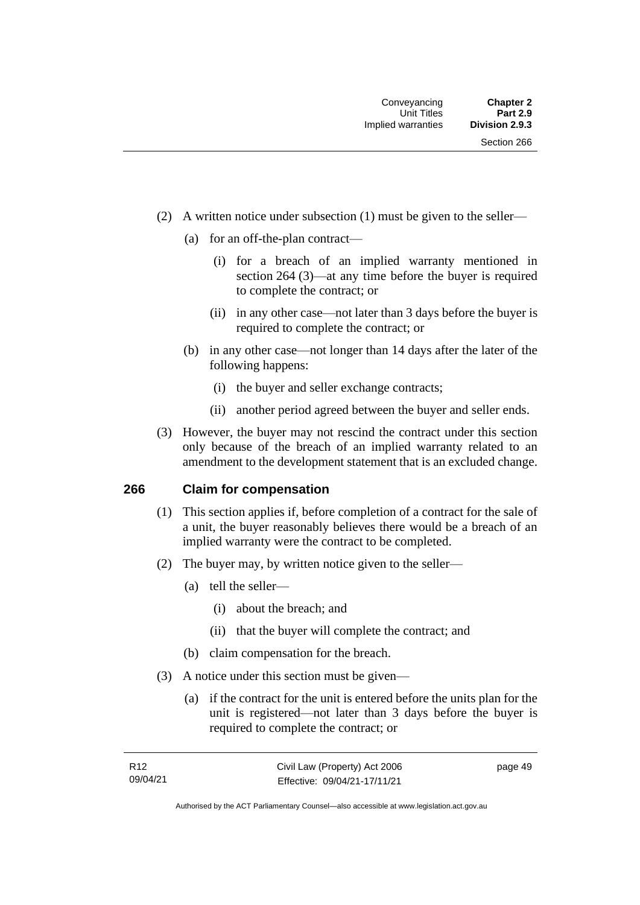- (2) A written notice under subsection (1) must be given to the seller—
	- (a) for an off-the-plan contract—
		- (i) for a breach of an implied warranty mentioned in section 264 (3)—at any time before the buyer is required to complete the contract; or
		- (ii) in any other case—not later than 3 days before the buyer is required to complete the contract; or
	- (b) in any other case—not longer than 14 days after the later of the following happens:
		- (i) the buyer and seller exchange contracts;
		- (ii) another period agreed between the buyer and seller ends.
- (3) However, the buyer may not rescind the contract under this section only because of the breach of an implied warranty related to an amendment to the development statement that is an excluded change.

#### **266 Claim for compensation**

- (1) This section applies if, before completion of a contract for the sale of a unit, the buyer reasonably believes there would be a breach of an implied warranty were the contract to be completed.
- (2) The buyer may, by written notice given to the seller—
	- (a) tell the seller—
		- (i) about the breach; and
		- (ii) that the buyer will complete the contract; and
	- (b) claim compensation for the breach.
- (3) A notice under this section must be given—
	- (a) if the contract for the unit is entered before the units plan for the unit is registered—not later than 3 days before the buyer is required to complete the contract; or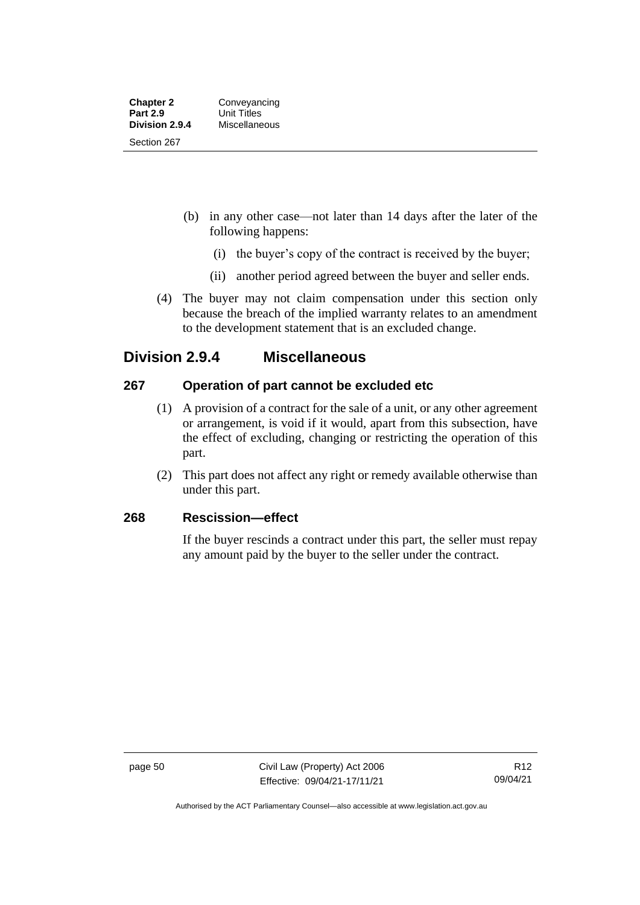- (b) in any other case—not later than 14 days after the later of the following happens:
	- (i) the buyer's copy of the contract is received by the buyer;
	- (ii) another period agreed between the buyer and seller ends.
- (4) The buyer may not claim compensation under this section only because the breach of the implied warranty relates to an amendment to the development statement that is an excluded change.

## **Division 2.9.4 Miscellaneous**

## **267 Operation of part cannot be excluded etc**

- (1) A provision of a contract for the sale of a unit, or any other agreement or arrangement, is void if it would, apart from this subsection, have the effect of excluding, changing or restricting the operation of this part.
- (2) This part does not affect any right or remedy available otherwise than under this part.

## **268 Rescission—effect**

If the buyer rescinds a contract under this part, the seller must repay any amount paid by the buyer to the seller under the contract.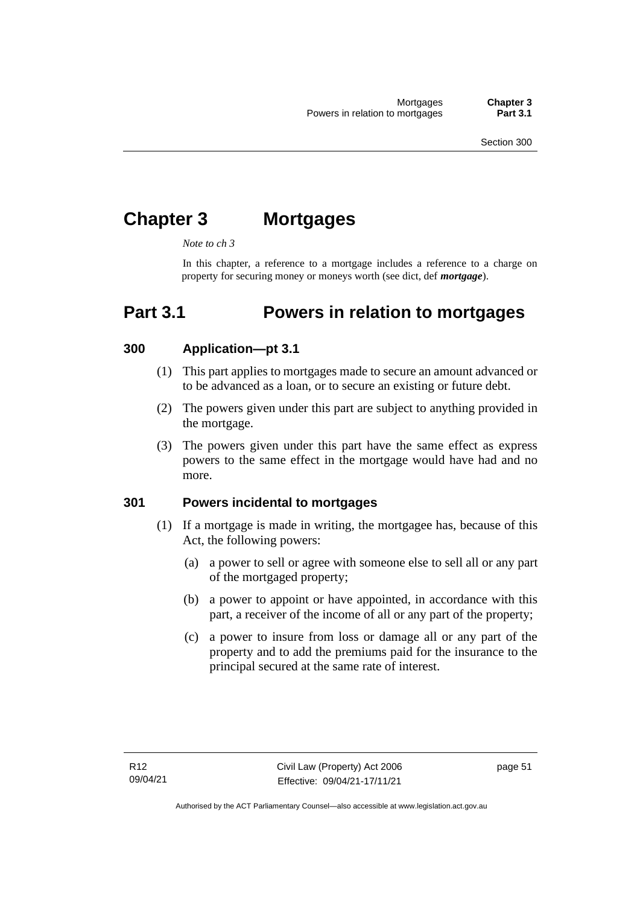# **Chapter 3 Mortgages**

*Note to ch 3*

In this chapter, a reference to a mortgage includes a reference to a charge on property for securing money or moneys worth (see dict, def *mortgage*).

# **Part 3.1 Powers in relation to mortgages**

## **300 Application—pt 3.1**

- (1) This part applies to mortgages made to secure an amount advanced or to be advanced as a loan, or to secure an existing or future debt.
- (2) The powers given under this part are subject to anything provided in the mortgage.
- (3) The powers given under this part have the same effect as express powers to the same effect in the mortgage would have had and no more.

## **301 Powers incidental to mortgages**

- (1) If a mortgage is made in writing, the mortgagee has, because of this Act, the following powers:
	- (a) a power to sell or agree with someone else to sell all or any part of the mortgaged property;
	- (b) a power to appoint or have appointed, in accordance with this part, a receiver of the income of all or any part of the property;
	- (c) a power to insure from loss or damage all or any part of the property and to add the premiums paid for the insurance to the principal secured at the same rate of interest.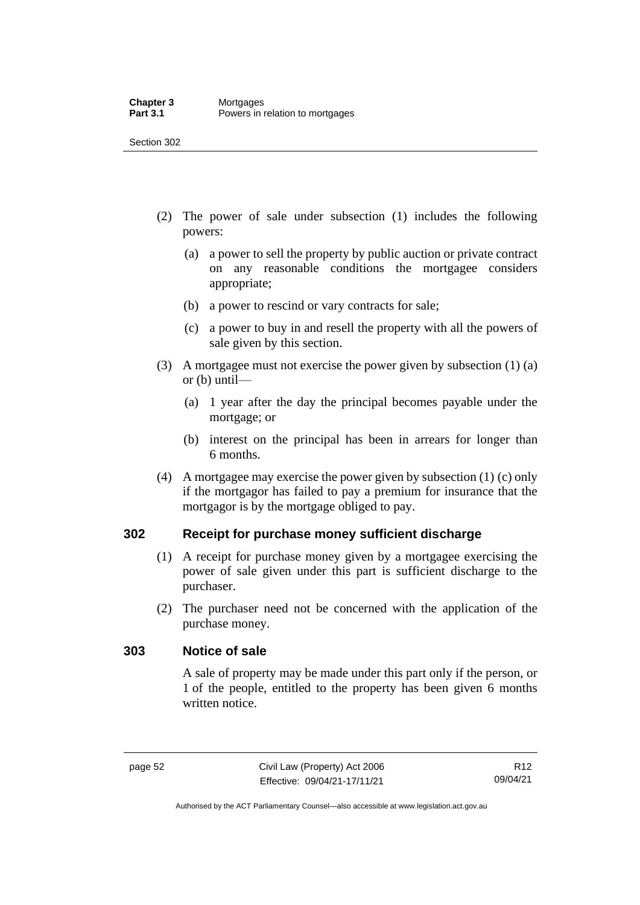- (2) The power of sale under subsection (1) includes the following powers:
	- (a) a power to sell the property by public auction or private contract on any reasonable conditions the mortgagee considers appropriate;
	- (b) a power to rescind or vary contracts for sale;
	- (c) a power to buy in and resell the property with all the powers of sale given by this section.
- (3) A mortgagee must not exercise the power given by subsection (1) (a) or (b) until—
	- (a) 1 year after the day the principal becomes payable under the mortgage; or
	- (b) interest on the principal has been in arrears for longer than 6 months.
- (4) A mortgagee may exercise the power given by subsection (1) (c) only if the mortgagor has failed to pay a premium for insurance that the mortgagor is by the mortgage obliged to pay.

## **302 Receipt for purchase money sufficient discharge**

- (1) A receipt for purchase money given by a mortgagee exercising the power of sale given under this part is sufficient discharge to the purchaser.
- (2) The purchaser need not be concerned with the application of the purchase money.

#### **303 Notice of sale**

A sale of property may be made under this part only if the person, or 1 of the people, entitled to the property has been given 6 months written notice.

Authorised by the ACT Parliamentary Counsel—also accessible at www.legislation.act.gov.au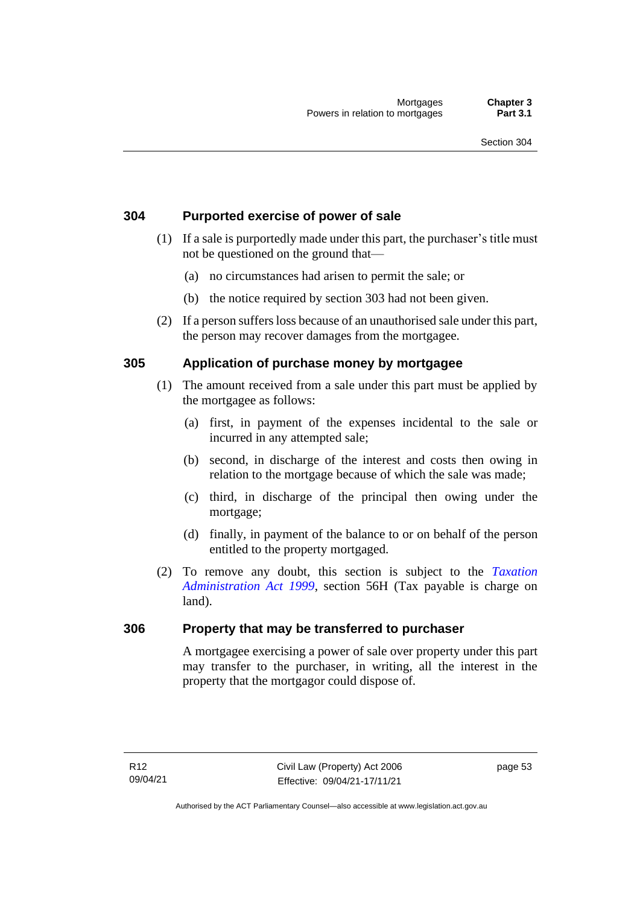## **304 Purported exercise of power of sale**

- (1) If a sale is purportedly made under this part, the purchaser's title must not be questioned on the ground that—
	- (a) no circumstances had arisen to permit the sale; or
	- (b) the notice required by section 303 had not been given.
- (2) If a person suffers loss because of an unauthorised sale under this part, the person may recover damages from the mortgagee.

## **305 Application of purchase money by mortgagee**

- (1) The amount received from a sale under this part must be applied by the mortgagee as follows:
	- (a) first, in payment of the expenses incidental to the sale or incurred in any attempted sale;
	- (b) second, in discharge of the interest and costs then owing in relation to the mortgage because of which the sale was made;
	- (c) third, in discharge of the principal then owing under the mortgage;
	- (d) finally, in payment of the balance to or on behalf of the person entitled to the property mortgaged.
- (2) To remove any doubt, this section is subject to the *[Taxation](http://www.legislation.act.gov.au/a/1999-4)  [Administration Act 1999](http://www.legislation.act.gov.au/a/1999-4)*, section 56H (Tax payable is charge on land).

#### **306 Property that may be transferred to purchaser**

A mortgagee exercising a power of sale over property under this part may transfer to the purchaser, in writing, all the interest in the property that the mortgagor could dispose of.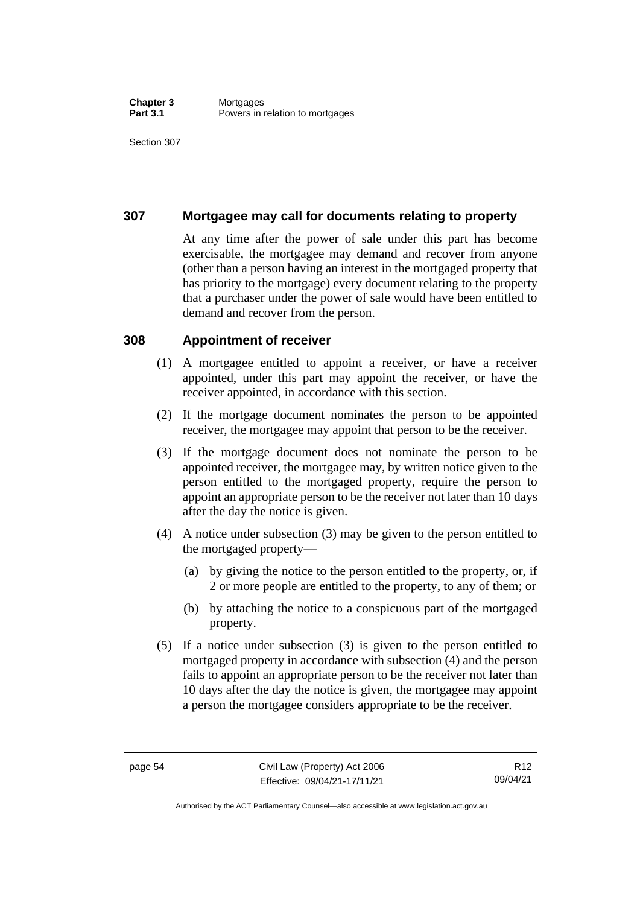## **307 Mortgagee may call for documents relating to property**

At any time after the power of sale under this part has become exercisable, the mortgagee may demand and recover from anyone (other than a person having an interest in the mortgaged property that has priority to the mortgage) every document relating to the property that a purchaser under the power of sale would have been entitled to demand and recover from the person.

#### **308 Appointment of receiver**

- (1) A mortgagee entitled to appoint a receiver, or have a receiver appointed, under this part may appoint the receiver, or have the receiver appointed, in accordance with this section.
- (2) If the mortgage document nominates the person to be appointed receiver, the mortgagee may appoint that person to be the receiver.
- (3) If the mortgage document does not nominate the person to be appointed receiver, the mortgagee may, by written notice given to the person entitled to the mortgaged property, require the person to appoint an appropriate person to be the receiver not later than 10 days after the day the notice is given.
- (4) A notice under subsection (3) may be given to the person entitled to the mortgaged property—
	- (a) by giving the notice to the person entitled to the property, or, if 2 or more people are entitled to the property, to any of them; or
	- (b) by attaching the notice to a conspicuous part of the mortgaged property.
- (5) If a notice under subsection (3) is given to the person entitled to mortgaged property in accordance with subsection (4) and the person fails to appoint an appropriate person to be the receiver not later than 10 days after the day the notice is given, the mortgagee may appoint a person the mortgagee considers appropriate to be the receiver.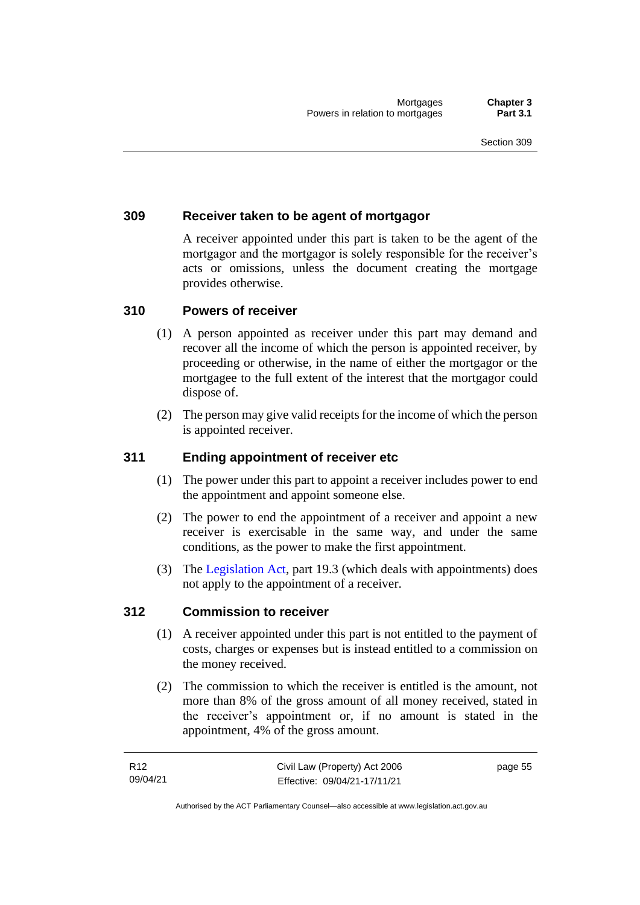## **309 Receiver taken to be agent of mortgagor**

A receiver appointed under this part is taken to be the agent of the mortgagor and the mortgagor is solely responsible for the receiver's acts or omissions, unless the document creating the mortgage provides otherwise.

## **310 Powers of receiver**

- (1) A person appointed as receiver under this part may demand and recover all the income of which the person is appointed receiver, by proceeding or otherwise, in the name of either the mortgagor or the mortgagee to the full extent of the interest that the mortgagor could dispose of.
- (2) The person may give valid receipts for the income of which the person is appointed receiver.

#### **311 Ending appointment of receiver etc**

- (1) The power under this part to appoint a receiver includes power to end the appointment and appoint someone else.
- (2) The power to end the appointment of a receiver and appoint a new receiver is exercisable in the same way, and under the same conditions, as the power to make the first appointment.
- (3) The [Legislation Act,](http://www.legislation.act.gov.au/a/2001-14) part 19.3 (which deals with appointments) does not apply to the appointment of a receiver.

#### **312 Commission to receiver**

- (1) A receiver appointed under this part is not entitled to the payment of costs, charges or expenses but is instead entitled to a commission on the money received.
- (2) The commission to which the receiver is entitled is the amount, not more than 8% of the gross amount of all money received, stated in the receiver's appointment or, if no amount is stated in the appointment, 4% of the gross amount.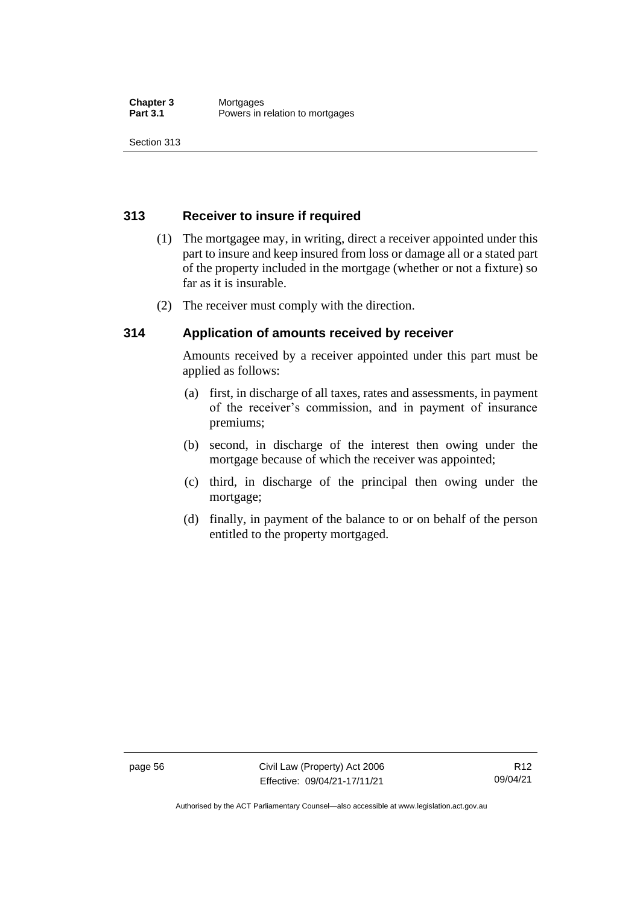## **313 Receiver to insure if required**

- (1) The mortgagee may, in writing, direct a receiver appointed under this part to insure and keep insured from loss or damage all or a stated part of the property included in the mortgage (whether or not a fixture) so far as it is insurable.
- (2) The receiver must comply with the direction.

## **314 Application of amounts received by receiver**

Amounts received by a receiver appointed under this part must be applied as follows:

- (a) first, in discharge of all taxes, rates and assessments, in payment of the receiver's commission, and in payment of insurance premiums;
- (b) second, in discharge of the interest then owing under the mortgage because of which the receiver was appointed;
- (c) third, in discharge of the principal then owing under the mortgage;
- (d) finally, in payment of the balance to or on behalf of the person entitled to the property mortgaged.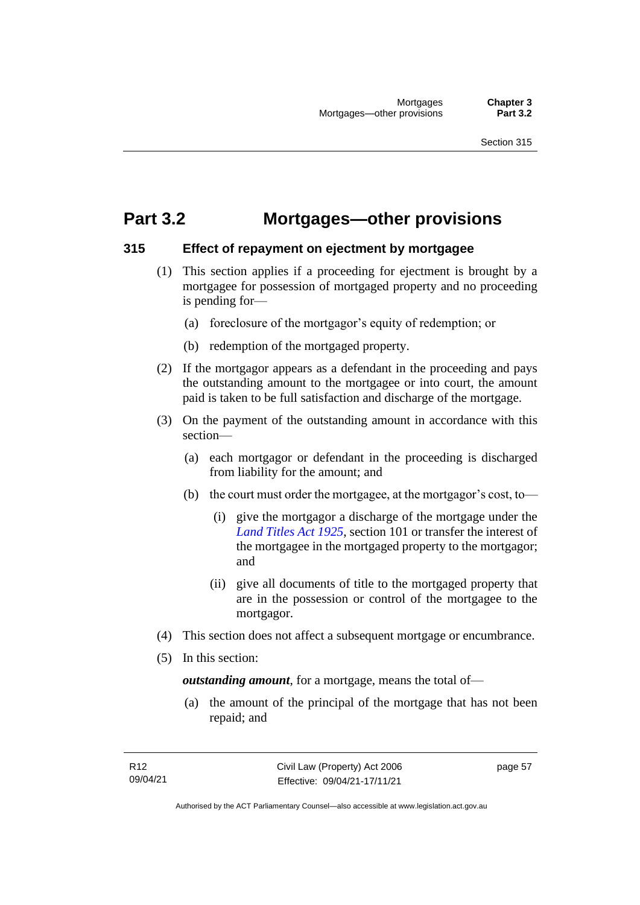## **Part 3.2 Mortgages—other provisions**

#### **315 Effect of repayment on ejectment by mortgagee**

- (1) This section applies if a proceeding for ejectment is brought by a mortgagee for possession of mortgaged property and no proceeding is pending for—
	- (a) foreclosure of the mortgagor's equity of redemption; or
	- (b) redemption of the mortgaged property.
- (2) If the mortgagor appears as a defendant in the proceeding and pays the outstanding amount to the mortgagee or into court, the amount paid is taken to be full satisfaction and discharge of the mortgage.
- (3) On the payment of the outstanding amount in accordance with this section—
	- (a) each mortgagor or defendant in the proceeding is discharged from liability for the amount; and
	- (b) the court must order the mortgagee, at the mortgagor's cost, to—
		- (i) give the mortgagor a discharge of the mortgage under the *[Land Titles Act 1925](http://www.legislation.act.gov.au/a/1925-1)*, section 101 or transfer the interest of the mortgagee in the mortgaged property to the mortgagor; and
		- (ii) give all documents of title to the mortgaged property that are in the possession or control of the mortgagee to the mortgagor.
- (4) This section does not affect a subsequent mortgage or encumbrance.
- (5) In this section:

*outstanding amount*, for a mortgage, means the total of—

(a) the amount of the principal of the mortgage that has not been repaid; and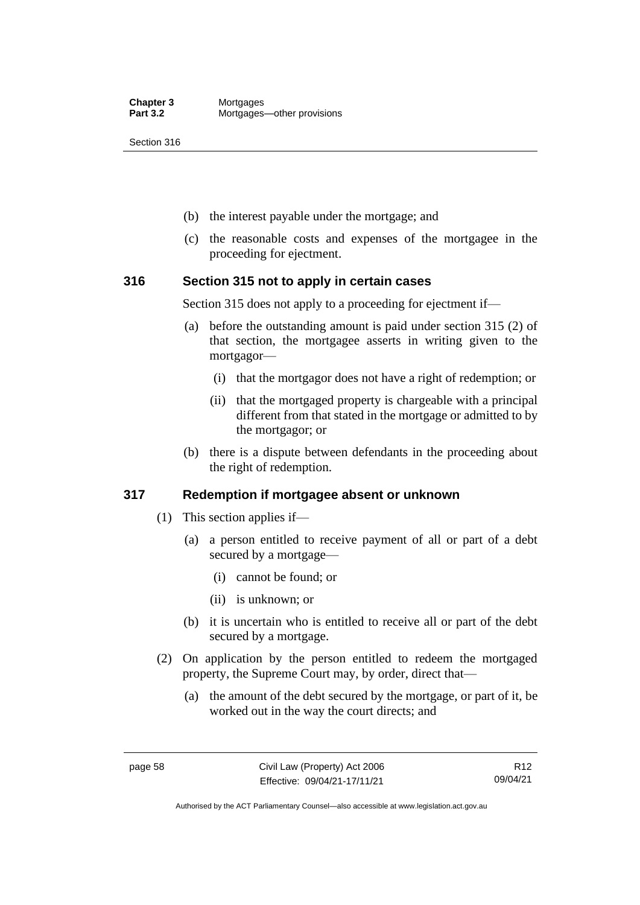- (b) the interest payable under the mortgage; and
- (c) the reasonable costs and expenses of the mortgagee in the proceeding for ejectment.

#### **316 Section 315 not to apply in certain cases**

Section 315 does not apply to a proceeding for ejectment if—

- (a) before the outstanding amount is paid under section 315 (2) of that section, the mortgagee asserts in writing given to the mortgagor—
	- (i) that the mortgagor does not have a right of redemption; or
	- (ii) that the mortgaged property is chargeable with a principal different from that stated in the mortgage or admitted to by the mortgagor; or
- (b) there is a dispute between defendants in the proceeding about the right of redemption.

#### **317 Redemption if mortgagee absent or unknown**

- (1) This section applies if—
	- (a) a person entitled to receive payment of all or part of a debt secured by a mortgage—
		- (i) cannot be found; or
		- (ii) is unknown; or
	- (b) it is uncertain who is entitled to receive all or part of the debt secured by a mortgage.
- (2) On application by the person entitled to redeem the mortgaged property, the Supreme Court may, by order, direct that—
	- (a) the amount of the debt secured by the mortgage, or part of it, be worked out in the way the court directs; and

Authorised by the ACT Parliamentary Counsel—also accessible at www.legislation.act.gov.au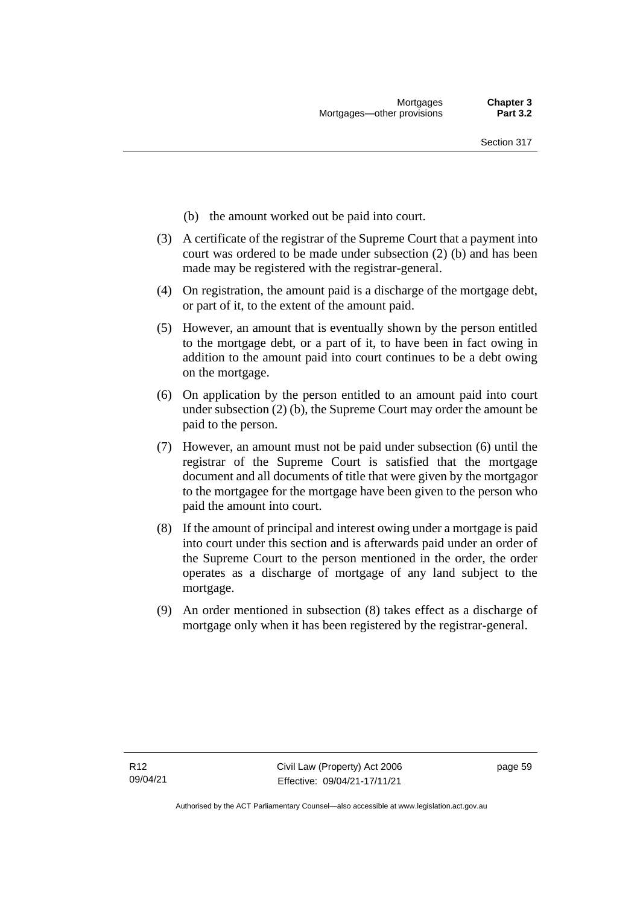- (b) the amount worked out be paid into court.
- (3) A certificate of the registrar of the Supreme Court that a payment into court was ordered to be made under subsection (2) (b) and has been made may be registered with the registrar-general.
- (4) On registration, the amount paid is a discharge of the mortgage debt, or part of it, to the extent of the amount paid.
- (5) However, an amount that is eventually shown by the person entitled to the mortgage debt, or a part of it, to have been in fact owing in addition to the amount paid into court continues to be a debt owing on the mortgage.
- (6) On application by the person entitled to an amount paid into court under subsection (2) (b), the Supreme Court may order the amount be paid to the person.
- (7) However, an amount must not be paid under subsection (6) until the registrar of the Supreme Court is satisfied that the mortgage document and all documents of title that were given by the mortgagor to the mortgagee for the mortgage have been given to the person who paid the amount into court.
- (8) If the amount of principal and interest owing under a mortgage is paid into court under this section and is afterwards paid under an order of the Supreme Court to the person mentioned in the order, the order operates as a discharge of mortgage of any land subject to the mortgage.
- (9) An order mentioned in subsection (8) takes effect as a discharge of mortgage only when it has been registered by the registrar-general.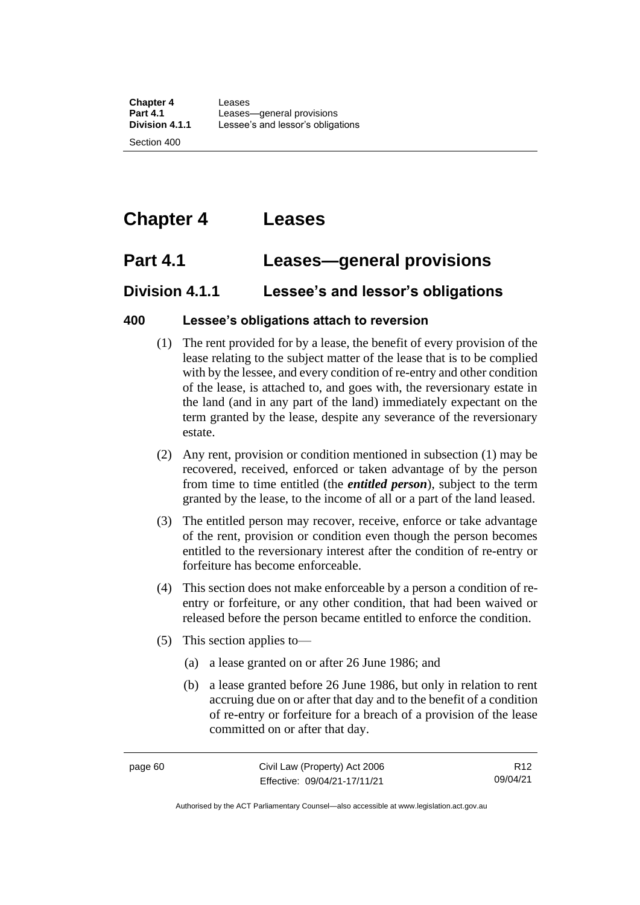# **Chapter 4 Leases**

# **Part 4.1 Leases—general provisions**

## **Division 4.1.1 Lessee's and lessor's obligations**

## **400 Lessee's obligations attach to reversion**

- (1) The rent provided for by a lease, the benefit of every provision of the lease relating to the subject matter of the lease that is to be complied with by the lessee, and every condition of re-entry and other condition of the lease, is attached to, and goes with, the reversionary estate in the land (and in any part of the land) immediately expectant on the term granted by the lease, despite any severance of the reversionary estate.
- (2) Any rent, provision or condition mentioned in subsection (1) may be recovered, received, enforced or taken advantage of by the person from time to time entitled (the *entitled person*), subject to the term granted by the lease, to the income of all or a part of the land leased.
- (3) The entitled person may recover, receive, enforce or take advantage of the rent, provision or condition even though the person becomes entitled to the reversionary interest after the condition of re-entry or forfeiture has become enforceable.
- (4) This section does not make enforceable by a person a condition of reentry or forfeiture, or any other condition, that had been waived or released before the person became entitled to enforce the condition.
- (5) This section applies to—
	- (a) a lease granted on or after 26 June 1986; and
	- (b) a lease granted before 26 June 1986, but only in relation to rent accruing due on or after that day and to the benefit of a condition of re-entry or forfeiture for a breach of a provision of the lease committed on or after that day.

R12 09/04/21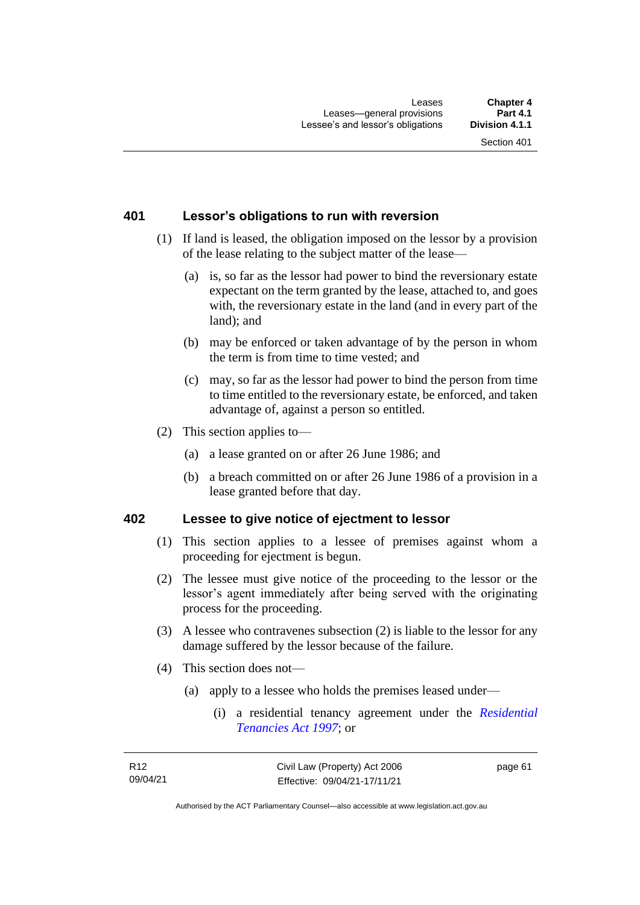## **401 Lessor's obligations to run with reversion**

- (1) If land is leased, the obligation imposed on the lessor by a provision of the lease relating to the subject matter of the lease—
	- (a) is, so far as the lessor had power to bind the reversionary estate expectant on the term granted by the lease, attached to, and goes with, the reversionary estate in the land (and in every part of the land); and
	- (b) may be enforced or taken advantage of by the person in whom the term is from time to time vested; and
	- (c) may, so far as the lessor had power to bind the person from time to time entitled to the reversionary estate, be enforced, and taken advantage of, against a person so entitled.
- (2) This section applies to—
	- (a) a lease granted on or after 26 June 1986; and
	- (b) a breach committed on or after 26 June 1986 of a provision in a lease granted before that day.

#### **402 Lessee to give notice of ejectment to lessor**

- (1) This section applies to a lessee of premises against whom a proceeding for ejectment is begun.
- (2) The lessee must give notice of the proceeding to the lessor or the lessor's agent immediately after being served with the originating process for the proceeding.
- (3) A lessee who contravenes subsection (2) is liable to the lessor for any damage suffered by the lessor because of the failure.
- (4) This section does not—
	- (a) apply to a lessee who holds the premises leased under—
		- (i) a residential tenancy agreement under the *[Residential](http://www.legislation.act.gov.au/a/1997-84)  [Tenancies Act 1997](http://www.legislation.act.gov.au/a/1997-84)*; or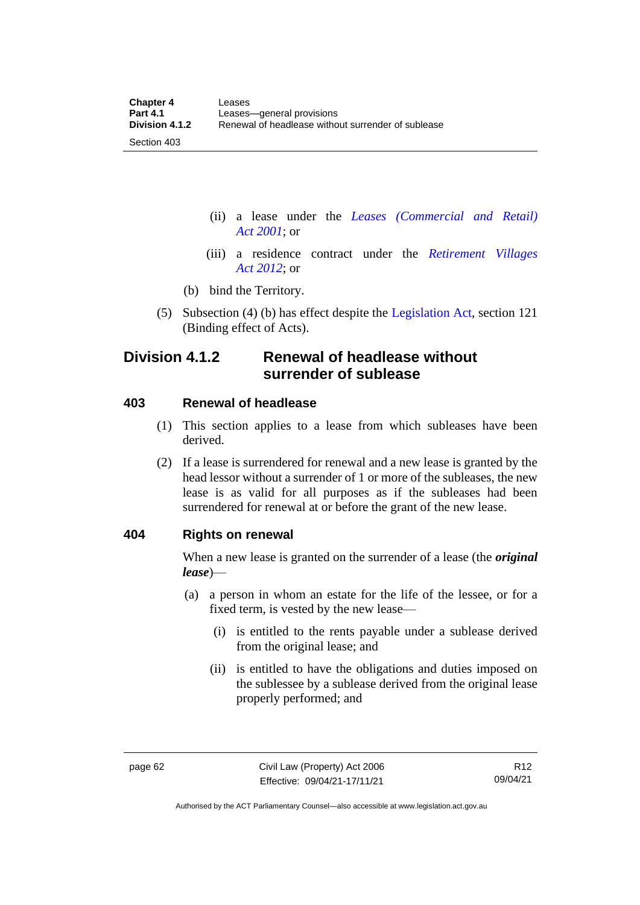(ii) a lease under the *[Leases \(Commercial and Retail\)](http://www.legislation.act.gov.au/a/2001-18)  Act [2001](http://www.legislation.act.gov.au/a/2001-18)*; or

- (iii) a residence contract under the *[Retirement Villages](http://www.legislation.act.gov.au/a/2012-38)  Act [2012](http://www.legislation.act.gov.au/a/2012-38)*; or
- (b) bind the Territory.
- (5) Subsection (4) (b) has effect despite the [Legislation Act,](http://www.legislation.act.gov.au/a/2001-14) section 121 (Binding effect of Acts).

## **Division 4.1.2 Renewal of headlease without surrender of sublease**

#### **403 Renewal of headlease**

Section 403

- (1) This section applies to a lease from which subleases have been derived.
- (2) If a lease is surrendered for renewal and a new lease is granted by the head lessor without a surrender of 1 or more of the subleases, the new lease is as valid for all purposes as if the subleases had been surrendered for renewal at or before the grant of the new lease.

#### **404 Rights on renewal**

When a new lease is granted on the surrender of a lease (the *original lease*)—

- (a) a person in whom an estate for the life of the lessee, or for a fixed term, is vested by the new lease—
	- (i) is entitled to the rents payable under a sublease derived from the original lease; and
	- (ii) is entitled to have the obligations and duties imposed on the sublessee by a sublease derived from the original lease properly performed; and

Authorised by the ACT Parliamentary Counsel—also accessible at www.legislation.act.gov.au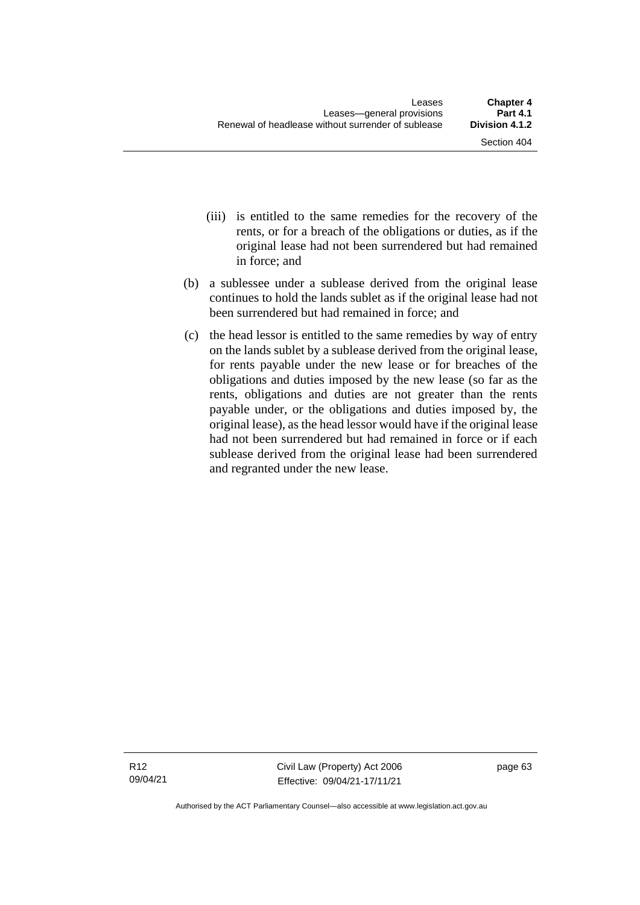- (iii) is entitled to the same remedies for the recovery of the rents, or for a breach of the obligations or duties, as if the original lease had not been surrendered but had remained in force; and
- (b) a sublessee under a sublease derived from the original lease continues to hold the lands sublet as if the original lease had not been surrendered but had remained in force; and
- (c) the head lessor is entitled to the same remedies by way of entry on the lands sublet by a sublease derived from the original lease, for rents payable under the new lease or for breaches of the obligations and duties imposed by the new lease (so far as the rents, obligations and duties are not greater than the rents payable under, or the obligations and duties imposed by, the original lease), as the head lessor would have if the original lease had not been surrendered but had remained in force or if each sublease derived from the original lease had been surrendered and regranted under the new lease.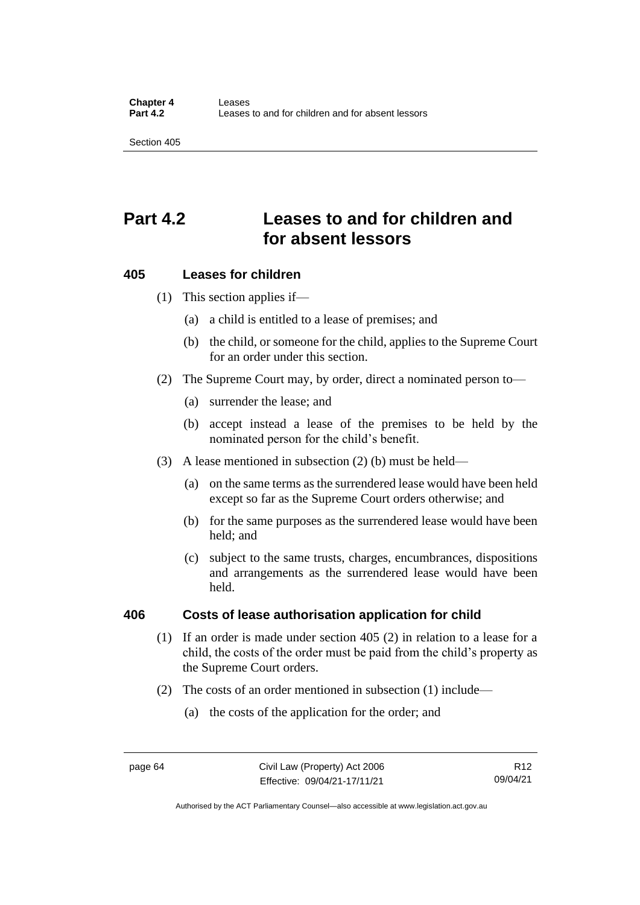## **Part 4.2 Leases to and for children and for absent lessors**

## **405 Leases for children**

(1) This section applies if—

- (a) a child is entitled to a lease of premises; and
- (b) the child, or someone for the child, applies to the Supreme Court for an order under this section.
- (2) The Supreme Court may, by order, direct a nominated person to—
	- (a) surrender the lease; and
	- (b) accept instead a lease of the premises to be held by the nominated person for the child's benefit.
- (3) A lease mentioned in subsection (2) (b) must be held—
	- (a) on the same terms as the surrendered lease would have been held except so far as the Supreme Court orders otherwise; and
	- (b) for the same purposes as the surrendered lease would have been held; and
	- (c) subject to the same trusts, charges, encumbrances, dispositions and arrangements as the surrendered lease would have been held.

### **406 Costs of lease authorisation application for child**

- (1) If an order is made under section 405 (2) in relation to a lease for a child, the costs of the order must be paid from the child's property as the Supreme Court orders.
- (2) The costs of an order mentioned in subsection (1) include—
	- (a) the costs of the application for the order; and

R12 09/04/21

Authorised by the ACT Parliamentary Counsel—also accessible at www.legislation.act.gov.au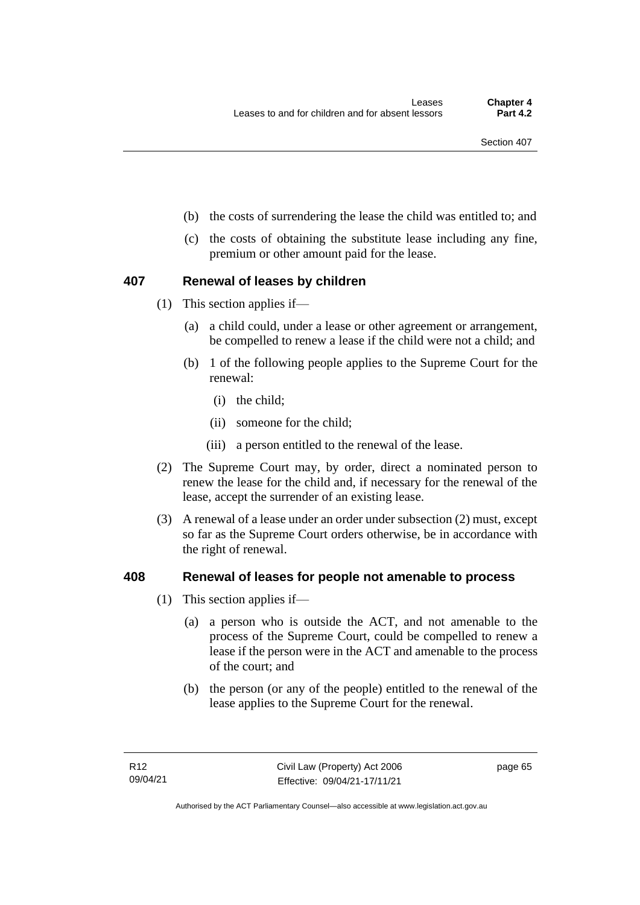- (b) the costs of surrendering the lease the child was entitled to; and
- (c) the costs of obtaining the substitute lease including any fine, premium or other amount paid for the lease.

## **407 Renewal of leases by children**

- (1) This section applies if—
	- (a) a child could, under a lease or other agreement or arrangement, be compelled to renew a lease if the child were not a child; and
	- (b) 1 of the following people applies to the Supreme Court for the renewal:
		- (i) the child;
		- (ii) someone for the child;
		- (iii) a person entitled to the renewal of the lease.
- (2) The Supreme Court may, by order, direct a nominated person to renew the lease for the child and, if necessary for the renewal of the lease, accept the surrender of an existing lease.
- (3) A renewal of a lease under an order under subsection (2) must, except so far as the Supreme Court orders otherwise, be in accordance with the right of renewal.

## **408 Renewal of leases for people not amenable to process**

- (1) This section applies if—
	- (a) a person who is outside the ACT, and not amenable to the process of the Supreme Court, could be compelled to renew a lease if the person were in the ACT and amenable to the process of the court; and
	- (b) the person (or any of the people) entitled to the renewal of the lease applies to the Supreme Court for the renewal.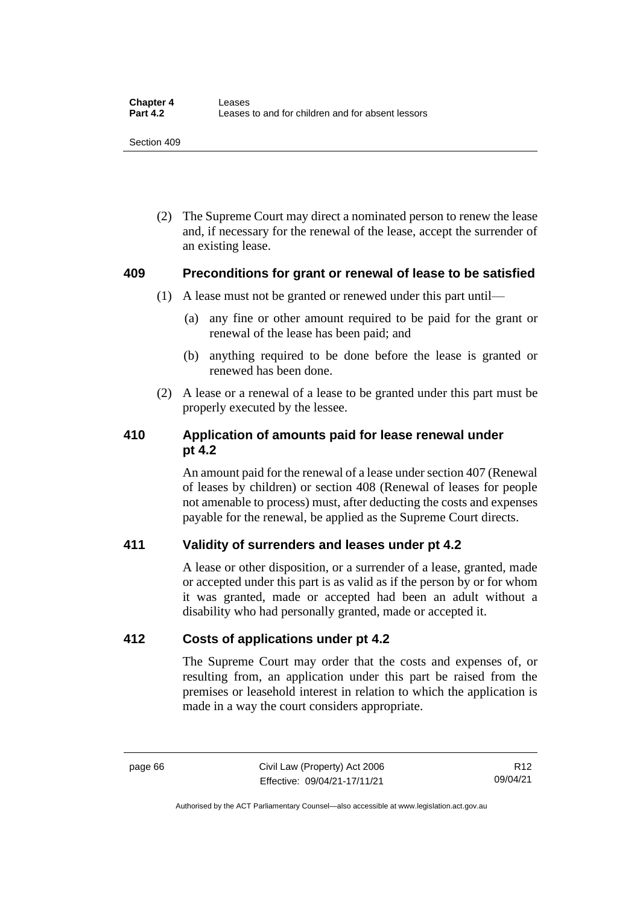(2) The Supreme Court may direct a nominated person to renew the lease and, if necessary for the renewal of the lease, accept the surrender of an existing lease.

## **409 Preconditions for grant or renewal of lease to be satisfied**

- (1) A lease must not be granted or renewed under this part until—
	- (a) any fine or other amount required to be paid for the grant or renewal of the lease has been paid; and
	- (b) anything required to be done before the lease is granted or renewed has been done.
- (2) A lease or a renewal of a lease to be granted under this part must be properly executed by the lessee.

## **410 Application of amounts paid for lease renewal under pt 4.2**

An amount paid for the renewal of a lease under section 407 (Renewal of leases by children) or section 408 (Renewal of leases for people not amenable to process) must, after deducting the costs and expenses payable for the renewal, be applied as the Supreme Court directs.

## **411 Validity of surrenders and leases under pt 4.2**

A lease or other disposition, or a surrender of a lease, granted, made or accepted under this part is as valid as if the person by or for whom it was granted, made or accepted had been an adult without a disability who had personally granted, made or accepted it.

## **412 Costs of applications under pt 4.2**

The Supreme Court may order that the costs and expenses of, or resulting from, an application under this part be raised from the premises or leasehold interest in relation to which the application is made in a way the court considers appropriate.

page 66 Civil Law (Property) Act 2006 Effective: 09/04/21-17/11/21

R12 09/04/21

Authorised by the ACT Parliamentary Counsel—also accessible at www.legislation.act.gov.au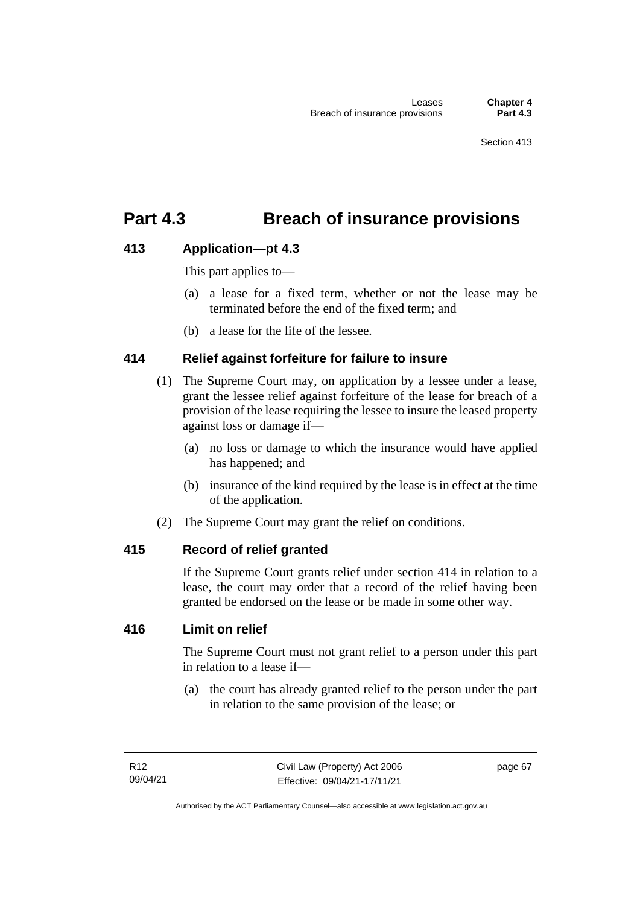## **Part 4.3 Breach of insurance provisions**

## **413 Application—pt 4.3**

This part applies to—

- (a) a lease for a fixed term, whether or not the lease may be terminated before the end of the fixed term; and
- (b) a lease for the life of the lessee.

## **414 Relief against forfeiture for failure to insure**

- (1) The Supreme Court may, on application by a lessee under a lease, grant the lessee relief against forfeiture of the lease for breach of a provision of the lease requiring the lessee to insure the leased property against loss or damage if—
	- (a) no loss or damage to which the insurance would have applied has happened; and
	- (b) insurance of the kind required by the lease is in effect at the time of the application.
- (2) The Supreme Court may grant the relief on conditions.

## **415 Record of relief granted**

If the Supreme Court grants relief under section 414 in relation to a lease, the court may order that a record of the relief having been granted be endorsed on the lease or be made in some other way.

## **416 Limit on relief**

The Supreme Court must not grant relief to a person under this part in relation to a lease if—

(a) the court has already granted relief to the person under the part in relation to the same provision of the lease; or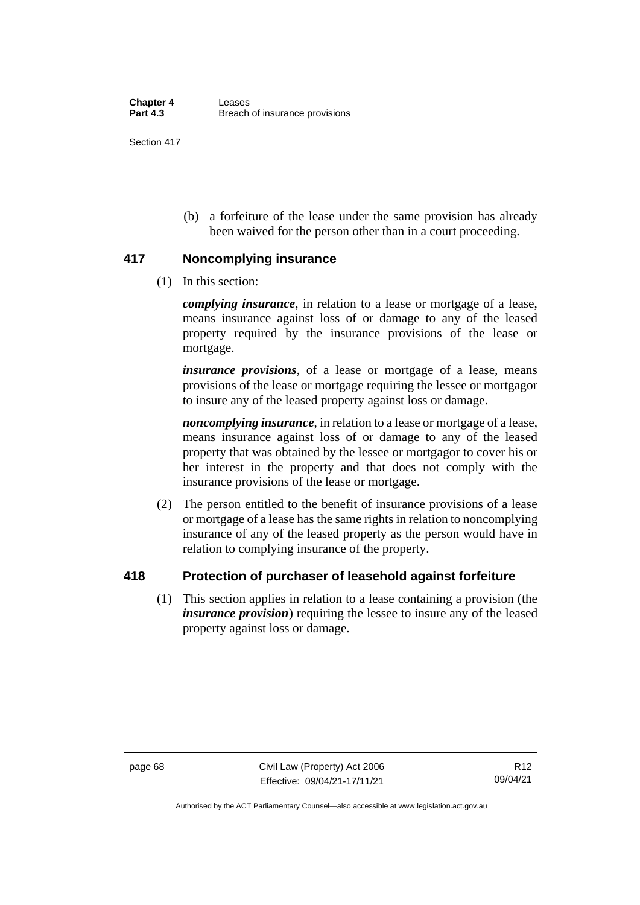(b) a forfeiture of the lease under the same provision has already been waived for the person other than in a court proceeding.

## **417 Noncomplying insurance**

(1) In this section:

*complying insurance*, in relation to a lease or mortgage of a lease, means insurance against loss of or damage to any of the leased property required by the insurance provisions of the lease or mortgage.

*insurance provisions*, of a lease or mortgage of a lease, means provisions of the lease or mortgage requiring the lessee or mortgagor to insure any of the leased property against loss or damage.

*noncomplying insurance*, in relation to a lease or mortgage of a lease, means insurance against loss of or damage to any of the leased property that was obtained by the lessee or mortgagor to cover his or her interest in the property and that does not comply with the insurance provisions of the lease or mortgage.

(2) The person entitled to the benefit of insurance provisions of a lease or mortgage of a lease has the same rights in relation to noncomplying insurance of any of the leased property as the person would have in relation to complying insurance of the property.

## **418 Protection of purchaser of leasehold against forfeiture**

(1) This section applies in relation to a lease containing a provision (the *insurance provision*) requiring the lessee to insure any of the leased property against loss or damage.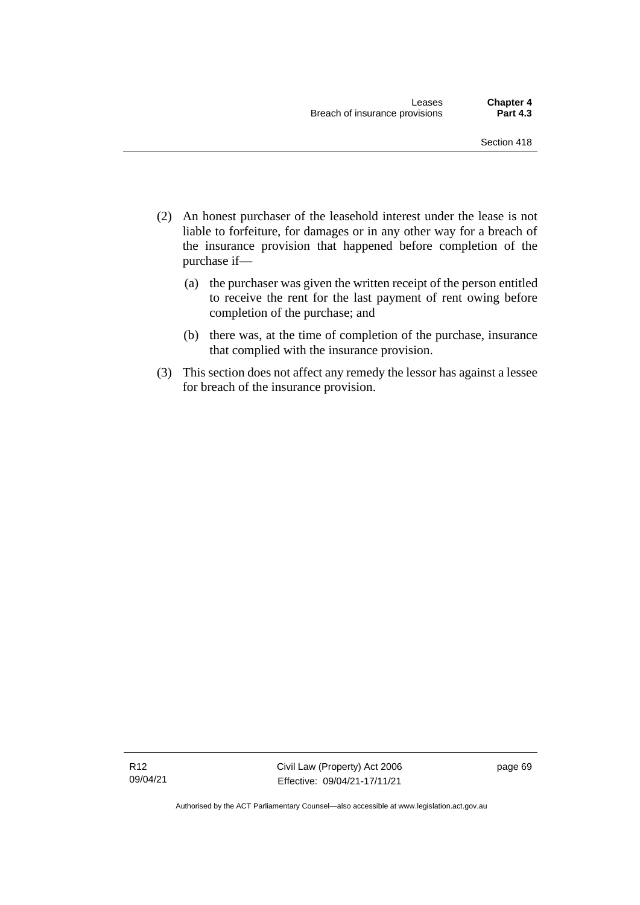- (2) An honest purchaser of the leasehold interest under the lease is not liable to forfeiture, for damages or in any other way for a breach of the insurance provision that happened before completion of the purchase if—
	- (a) the purchaser was given the written receipt of the person entitled to receive the rent for the last payment of rent owing before completion of the purchase; and
	- (b) there was, at the time of completion of the purchase, insurance that complied with the insurance provision.
- (3) This section does not affect any remedy the lessor has against a lessee for breach of the insurance provision.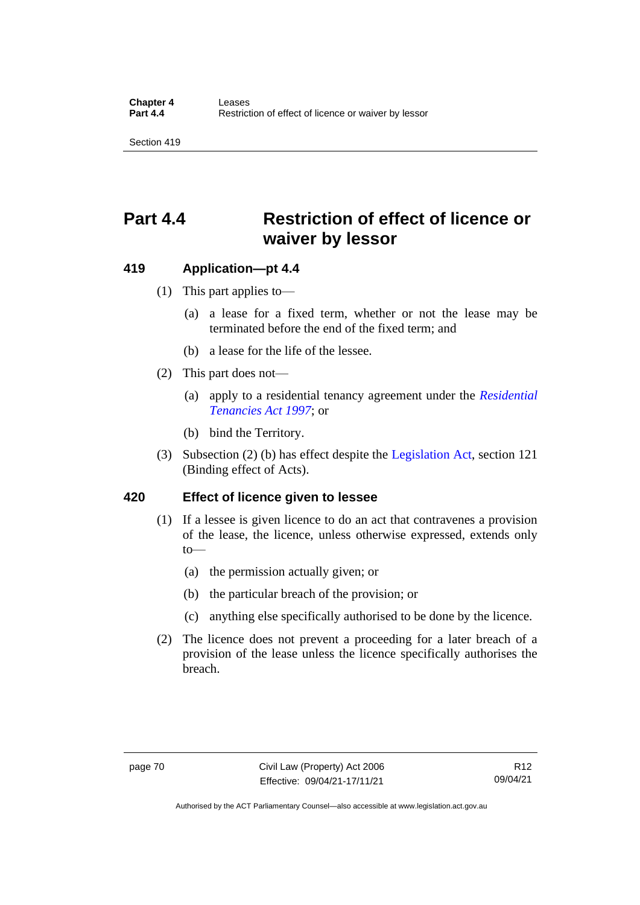## **Part 4.4 Restriction of effect of licence or waiver by lessor**

## **419 Application—pt 4.4**

- (1) This part applies to—
	- (a) a lease for a fixed term, whether or not the lease may be terminated before the end of the fixed term; and
	- (b) a lease for the life of the lessee.
- (2) This part does not—
	- (a) apply to a residential tenancy agreement under the *[Residential](http://www.legislation.act.gov.au/a/1997-84)  [Tenancies Act 1997](http://www.legislation.act.gov.au/a/1997-84)*; or
	- (b) bind the Territory.
- (3) Subsection (2) (b) has effect despite the [Legislation Act,](http://www.legislation.act.gov.au/a/2001-14) section 121 (Binding effect of Acts).

## **420 Effect of licence given to lessee**

- (1) If a lessee is given licence to do an act that contravenes a provision of the lease, the licence, unless otherwise expressed, extends only  $to$ —
	- (a) the permission actually given; or
	- (b) the particular breach of the provision; or
	- (c) anything else specifically authorised to be done by the licence.
- (2) The licence does not prevent a proceeding for a later breach of a provision of the lease unless the licence specifically authorises the breach.

Authorised by the ACT Parliamentary Counsel—also accessible at www.legislation.act.gov.au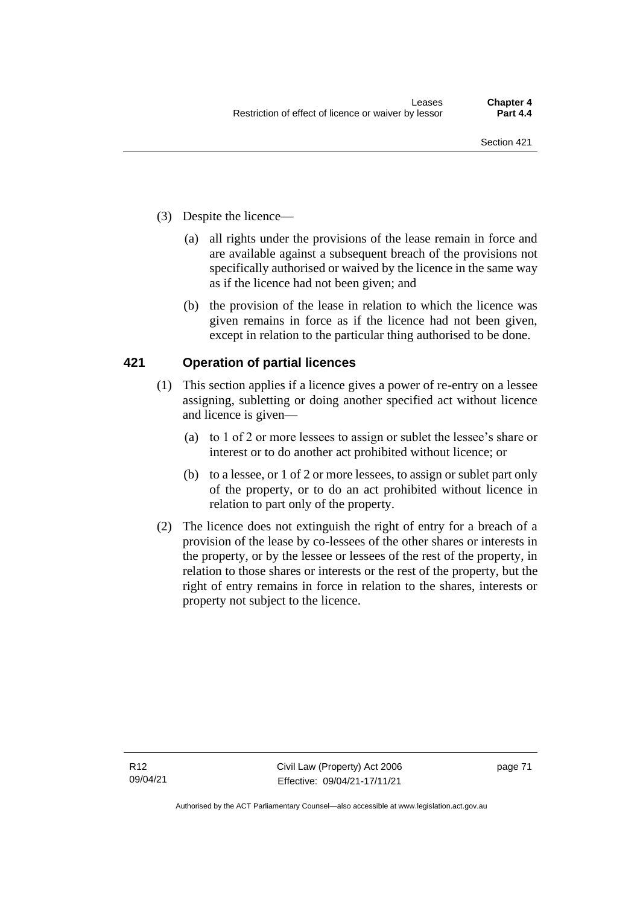- (3) Despite the licence—
	- (a) all rights under the provisions of the lease remain in force and are available against a subsequent breach of the provisions not specifically authorised or waived by the licence in the same way as if the licence had not been given; and
	- (b) the provision of the lease in relation to which the licence was given remains in force as if the licence had not been given, except in relation to the particular thing authorised to be done.

## **421 Operation of partial licences**

- (1) This section applies if a licence gives a power of re-entry on a lessee assigning, subletting or doing another specified act without licence and licence is given—
	- (a) to 1 of 2 or more lessees to assign or sublet the lessee's share or interest or to do another act prohibited without licence; or
	- (b) to a lessee, or 1 of 2 or more lessees, to assign or sublet part only of the property, or to do an act prohibited without licence in relation to part only of the property.
- (2) The licence does not extinguish the right of entry for a breach of a provision of the lease by co-lessees of the other shares or interests in the property, or by the lessee or lessees of the rest of the property, in relation to those shares or interests or the rest of the property, but the right of entry remains in force in relation to the shares, interests or property not subject to the licence.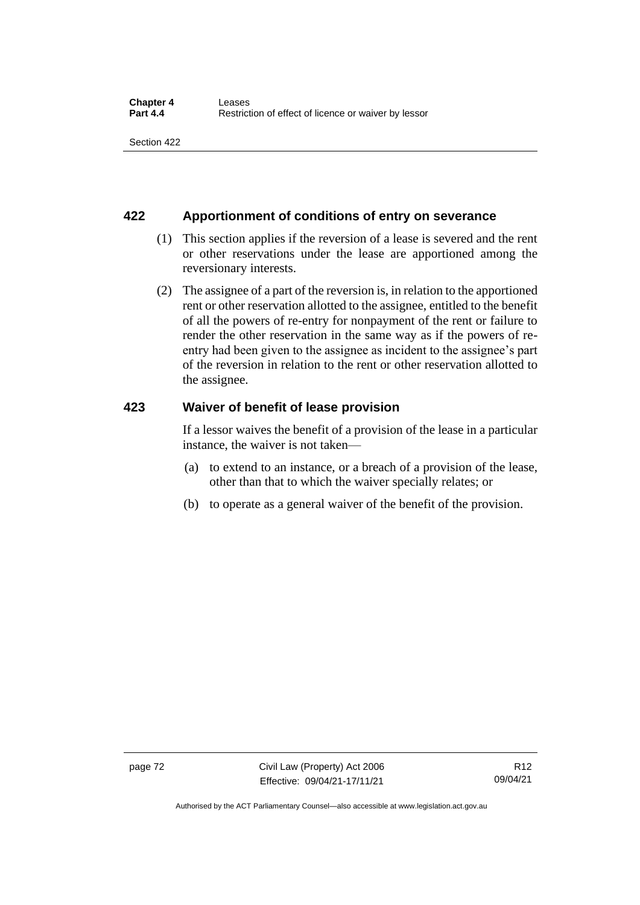## **422 Apportionment of conditions of entry on severance**

- (1) This section applies if the reversion of a lease is severed and the rent or other reservations under the lease are apportioned among the reversionary interests.
- (2) The assignee of a part of the reversion is, in relation to the apportioned rent or other reservation allotted to the assignee, entitled to the benefit of all the powers of re-entry for nonpayment of the rent or failure to render the other reservation in the same way as if the powers of reentry had been given to the assignee as incident to the assignee's part of the reversion in relation to the rent or other reservation allotted to the assignee.

## **423 Waiver of benefit of lease provision**

If a lessor waives the benefit of a provision of the lease in a particular instance, the waiver is not taken—

- (a) to extend to an instance, or a breach of a provision of the lease, other than that to which the waiver specially relates; or
- (b) to operate as a general waiver of the benefit of the provision.

Authorised by the ACT Parliamentary Counsel—also accessible at www.legislation.act.gov.au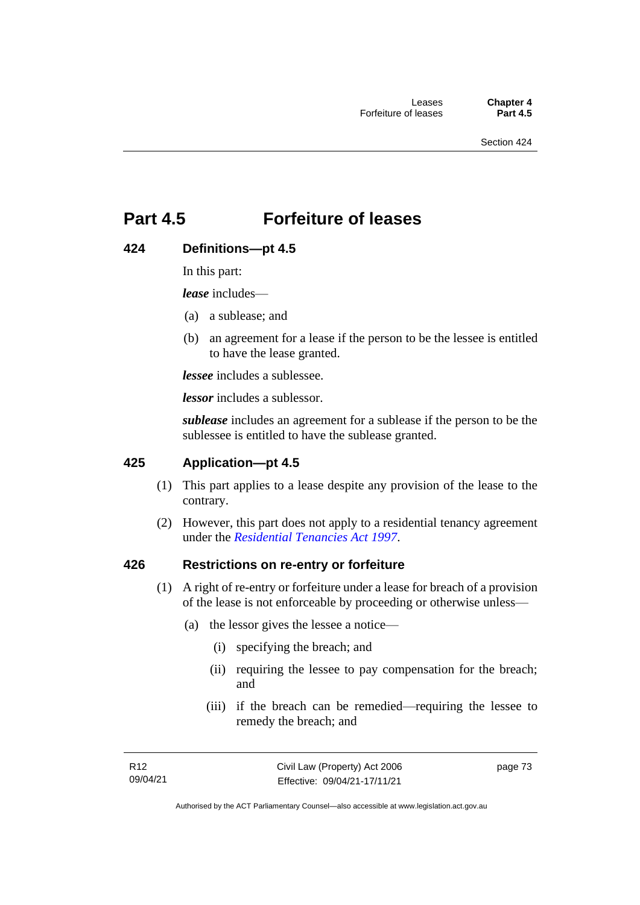## **Part 4.5 Forfeiture of leases**

## **424 Definitions—pt 4.5**

In this part:

*lease* includes—

- (a) a sublease; and
- (b) an agreement for a lease if the person to be the lessee is entitled to have the lease granted.

*lessee* includes a sublessee.

*lessor* includes a sublessor.

*sublease* includes an agreement for a sublease if the person to be the sublessee is entitled to have the sublease granted.

## **425 Application—pt 4.5**

- (1) This part applies to a lease despite any provision of the lease to the contrary.
- (2) However, this part does not apply to a residential tenancy agreement under the *[Residential Tenancies Act 1997](http://www.legislation.act.gov.au/a/1997-84)*.

## **426 Restrictions on re-entry or forfeiture**

- (1) A right of re-entry or forfeiture under a lease for breach of a provision of the lease is not enforceable by proceeding or otherwise unless—
	- (a) the lessor gives the lessee a notice—
		- (i) specifying the breach; and
		- (ii) requiring the lessee to pay compensation for the breach; and
		- (iii) if the breach can be remedied—requiring the lessee to remedy the breach; and

page 73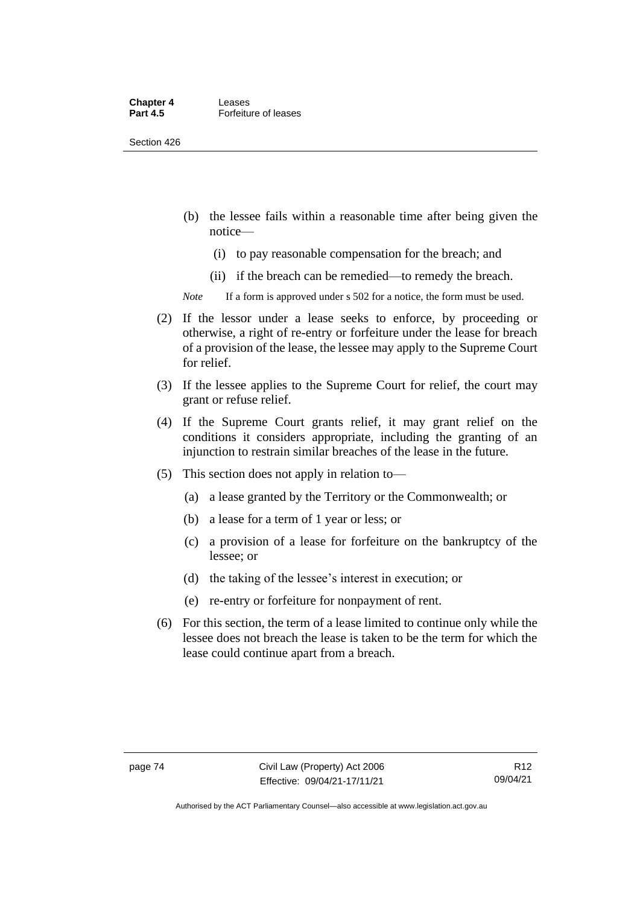#### **Chapter 4 Leases**<br>**Part 4.5 Forfeitu Forfeiture of leases**

Section 426

- (b) the lessee fails within a reasonable time after being given the notice—
	- (i) to pay reasonable compensation for the breach; and
	- (ii) if the breach can be remedied—to remedy the breach.

*Note* If a form is approved under s 502 for a notice, the form must be used.

- (2) If the lessor under a lease seeks to enforce, by proceeding or otherwise, a right of re-entry or forfeiture under the lease for breach of a provision of the lease, the lessee may apply to the Supreme Court for relief.
- (3) If the lessee applies to the Supreme Court for relief, the court may grant or refuse relief.
- (4) If the Supreme Court grants relief, it may grant relief on the conditions it considers appropriate, including the granting of an injunction to restrain similar breaches of the lease in the future.
- (5) This section does not apply in relation to—
	- (a) a lease granted by the Territory or the Commonwealth; or
	- (b) a lease for a term of 1 year or less; or
	- (c) a provision of a lease for forfeiture on the bankruptcy of the lessee; or
	- (d) the taking of the lessee's interest in execution; or
	- (e) re-entry or forfeiture for nonpayment of rent.
- (6) For this section, the term of a lease limited to continue only while the lessee does not breach the lease is taken to be the term for which the lease could continue apart from a breach.

Authorised by the ACT Parliamentary Counsel—also accessible at www.legislation.act.gov.au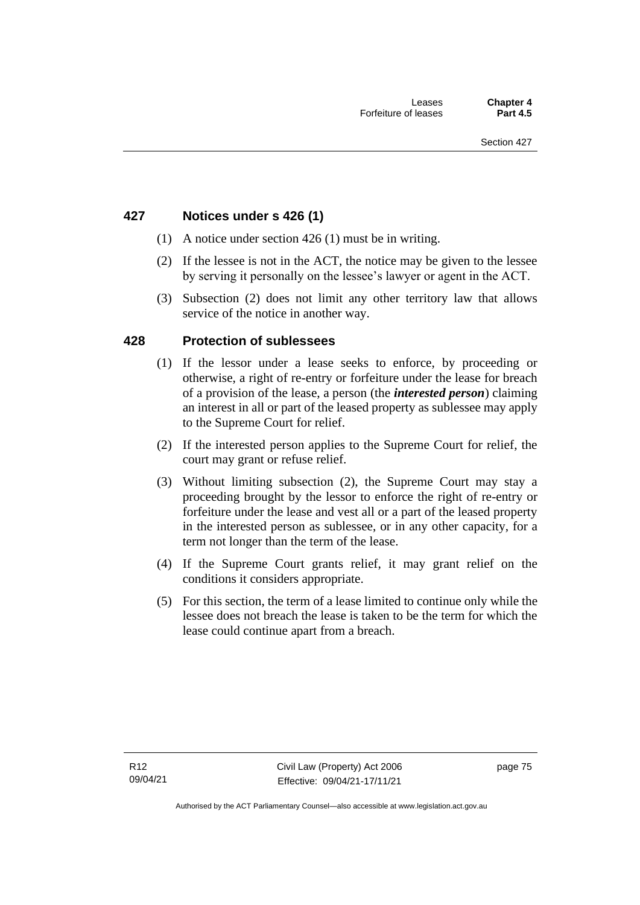## **427 Notices under s 426 (1)**

- (1) A notice under section 426 (1) must be in writing.
- (2) If the lessee is not in the ACT, the notice may be given to the lessee by serving it personally on the lessee's lawyer or agent in the ACT.
- (3) Subsection (2) does not limit any other territory law that allows service of the notice in another way.

## **428 Protection of sublessees**

- (1) If the lessor under a lease seeks to enforce, by proceeding or otherwise, a right of re-entry or forfeiture under the lease for breach of a provision of the lease, a person (the *interested person*) claiming an interest in all or part of the leased property as sublessee may apply to the Supreme Court for relief.
- (2) If the interested person applies to the Supreme Court for relief, the court may grant or refuse relief.
- (3) Without limiting subsection (2), the Supreme Court may stay a proceeding brought by the lessor to enforce the right of re-entry or forfeiture under the lease and vest all or a part of the leased property in the interested person as sublessee, or in any other capacity, for a term not longer than the term of the lease.
- (4) If the Supreme Court grants relief, it may grant relief on the conditions it considers appropriate.
- (5) For this section, the term of a lease limited to continue only while the lessee does not breach the lease is taken to be the term for which the lease could continue apart from a breach.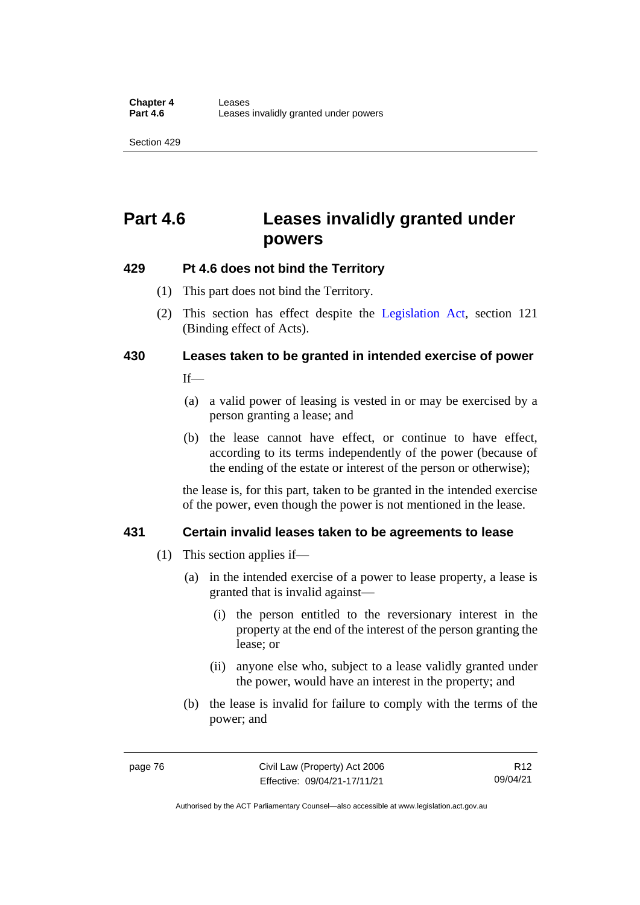## **Part 4.6 Leases invalidly granted under powers**

## **429 Pt 4.6 does not bind the Territory**

- (1) This part does not bind the Territory.
- (2) This section has effect despite the [Legislation Act](http://www.legislation.act.gov.au/a/2001-14)*,* section 121 (Binding effect of Acts).

# **430 Leases taken to be granted in intended exercise of power**

 $If$ <sub>—</sub>

- (a) a valid power of leasing is vested in or may be exercised by a person granting a lease; and
- (b) the lease cannot have effect, or continue to have effect, according to its terms independently of the power (because of the ending of the estate or interest of the person or otherwise);

the lease is, for this part, taken to be granted in the intended exercise of the power, even though the power is not mentioned in the lease.

## **431 Certain invalid leases taken to be agreements to lease**

- (1) This section applies if—
	- (a) in the intended exercise of a power to lease property, a lease is granted that is invalid against—
		- (i) the person entitled to the reversionary interest in the property at the end of the interest of the person granting the lease; or
		- (ii) anyone else who, subject to a lease validly granted under the power, would have an interest in the property; and
	- (b) the lease is invalid for failure to comply with the terms of the power; and

Authorised by the ACT Parliamentary Counsel—also accessible at www.legislation.act.gov.au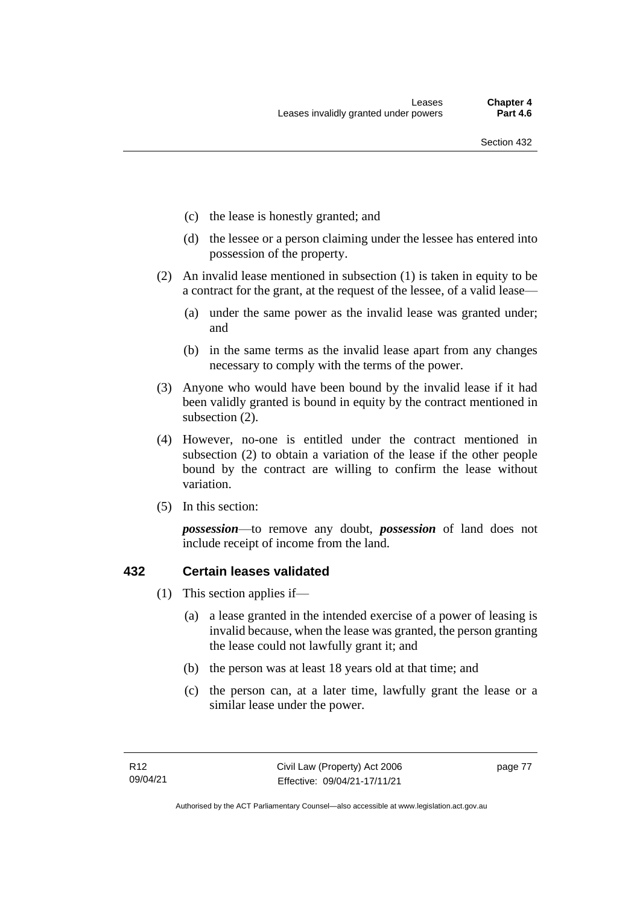- (c) the lease is honestly granted; and
- (d) the lessee or a person claiming under the lessee has entered into possession of the property.
- (2) An invalid lease mentioned in subsection (1) is taken in equity to be a contract for the grant, at the request of the lessee, of a valid lease—
	- (a) under the same power as the invalid lease was granted under; and
	- (b) in the same terms as the invalid lease apart from any changes necessary to comply with the terms of the power.
- (3) Anyone who would have been bound by the invalid lease if it had been validly granted is bound in equity by the contract mentioned in subsection (2).
- (4) However, no-one is entitled under the contract mentioned in subsection (2) to obtain a variation of the lease if the other people bound by the contract are willing to confirm the lease without variation.
- (5) In this section:

*possession*—to remove any doubt, *possession* of land does not include receipt of income from the land.

## **432 Certain leases validated**

- (1) This section applies if—
	- (a) a lease granted in the intended exercise of a power of leasing is invalid because, when the lease was granted, the person granting the lease could not lawfully grant it; and
	- (b) the person was at least 18 years old at that time; and
	- (c) the person can, at a later time, lawfully grant the lease or a similar lease under the power.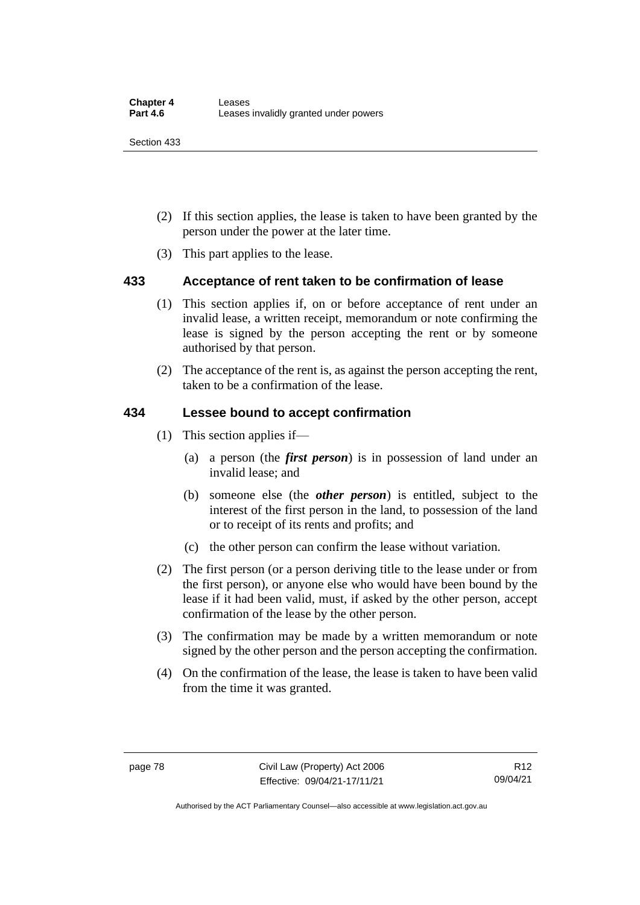- (2) If this section applies, the lease is taken to have been granted by the person under the power at the later time.
- (3) This part applies to the lease.

## **433 Acceptance of rent taken to be confirmation of lease**

- (1) This section applies if, on or before acceptance of rent under an invalid lease, a written receipt, memorandum or note confirming the lease is signed by the person accepting the rent or by someone authorised by that person.
- (2) The acceptance of the rent is, as against the person accepting the rent, taken to be a confirmation of the lease.

## **434 Lessee bound to accept confirmation**

- (1) This section applies if—
	- (a) a person (the *first person*) is in possession of land under an invalid lease; and
	- (b) someone else (the *other person*) is entitled, subject to the interest of the first person in the land, to possession of the land or to receipt of its rents and profits; and
	- (c) the other person can confirm the lease without variation.
- (2) The first person (or a person deriving title to the lease under or from the first person), or anyone else who would have been bound by the lease if it had been valid, must, if asked by the other person, accept confirmation of the lease by the other person.
- (3) The confirmation may be made by a written memorandum or note signed by the other person and the person accepting the confirmation.
- (4) On the confirmation of the lease, the lease is taken to have been valid from the time it was granted.

Authorised by the ACT Parliamentary Counsel—also accessible at www.legislation.act.gov.au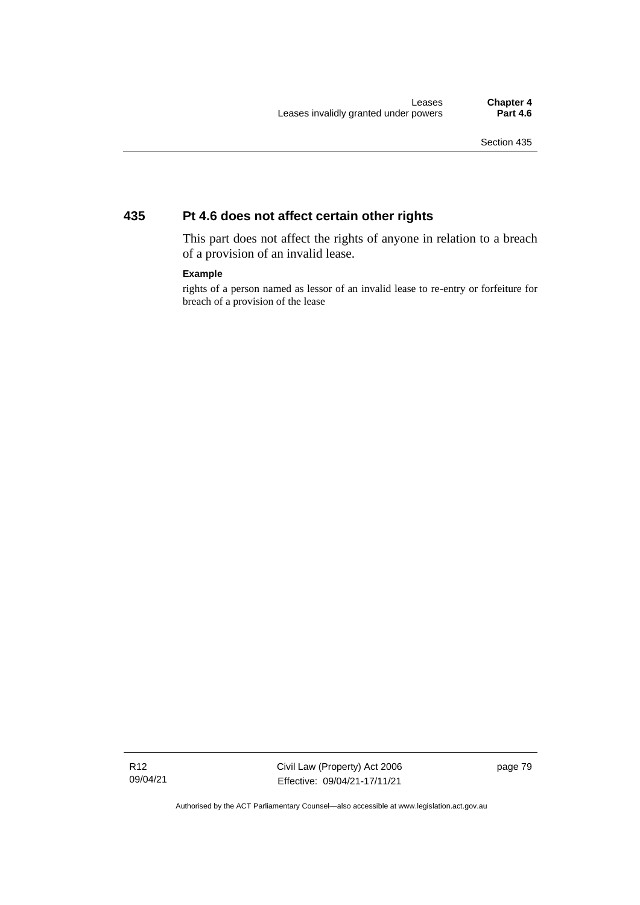## **435 Pt 4.6 does not affect certain other rights**

This part does not affect the rights of anyone in relation to a breach of a provision of an invalid lease.

### **Example**

rights of a person named as lessor of an invalid lease to re-entry or forfeiture for breach of a provision of the lease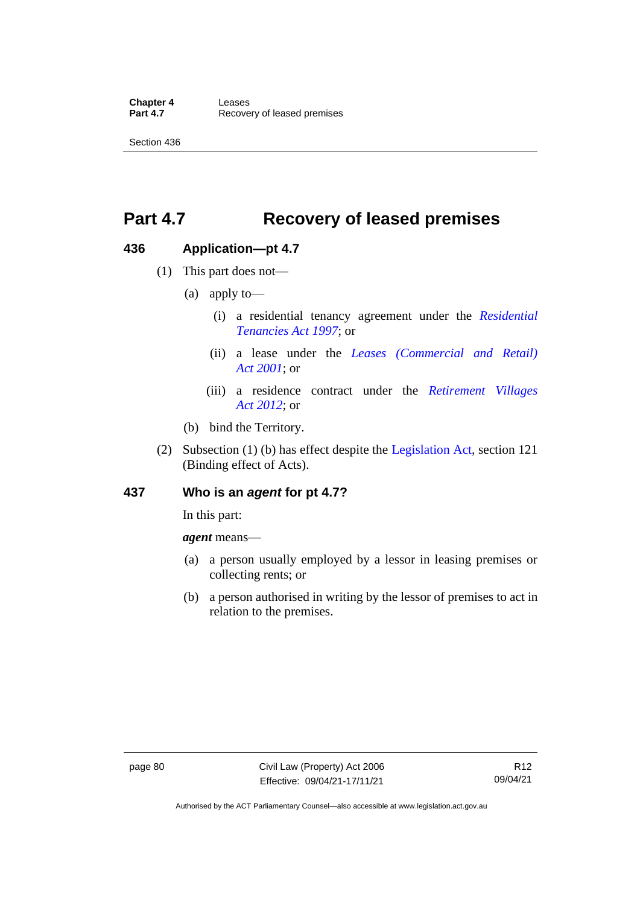## **Part 4.7 Recovery of leased premises**

## **436 Application—pt 4.7**

- (1) This part does not—
	- (a) apply to—
		- (i) a residential tenancy agreement under the *[Residential](http://www.legislation.act.gov.au/a/1997-84)  [Tenancies Act 1997](http://www.legislation.act.gov.au/a/1997-84)*; or
		- (ii) a lease under the *[Leases \(Commercial and Retail\)](http://www.legislation.act.gov.au/a/2001-18)  Act [2001](http://www.legislation.act.gov.au/a/2001-18)*; or
		- (iii) a residence contract under the *[Retirement Villages](http://www.legislation.act.gov.au/a/2012-38)  Act [2012](http://www.legislation.act.gov.au/a/2012-38)*; or
	- (b) bind the Territory.
- (2) Subsection (1) (b) has effect despite the [Legislation Act,](http://www.legislation.act.gov.au/a/2001-14) section 121 (Binding effect of Acts).

## **437 Who is an** *agent* **for pt 4.7?**

In this part:

*agent* means—

- (a) a person usually employed by a lessor in leasing premises or collecting rents; or
- (b) a person authorised in writing by the lessor of premises to act in relation to the premises.

Authorised by the ACT Parliamentary Counsel—also accessible at www.legislation.act.gov.au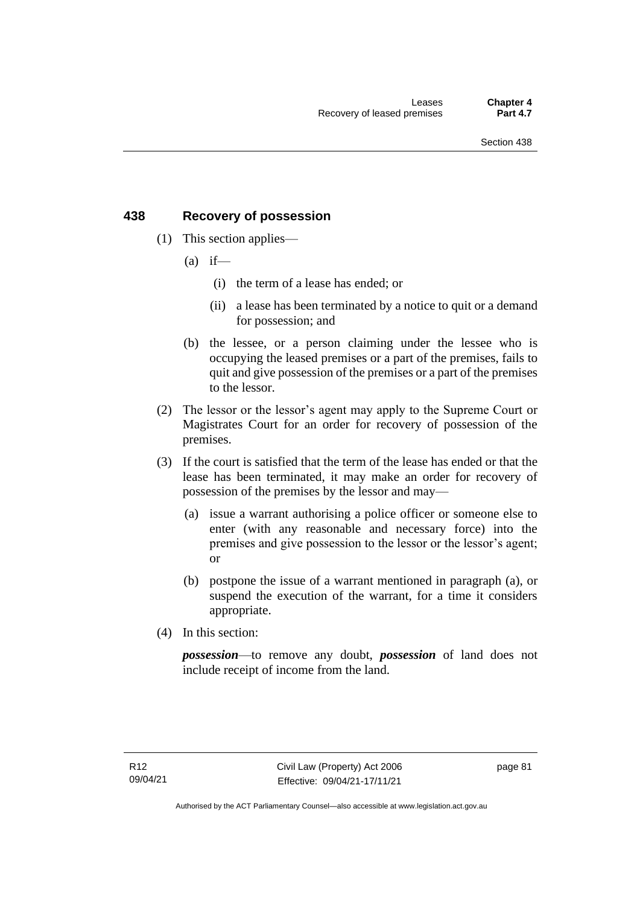## **438 Recovery of possession**

- (1) This section applies—
	- $(a)$  if—
		- (i) the term of a lease has ended; or
		- (ii) a lease has been terminated by a notice to quit or a demand for possession; and
	- (b) the lessee, or a person claiming under the lessee who is occupying the leased premises or a part of the premises, fails to quit and give possession of the premises or a part of the premises to the lessor.
- (2) The lessor or the lessor's agent may apply to the Supreme Court or Magistrates Court for an order for recovery of possession of the premises.
- (3) If the court is satisfied that the term of the lease has ended or that the lease has been terminated, it may make an order for recovery of possession of the premises by the lessor and may—
	- (a) issue a warrant authorising a police officer or someone else to enter (with any reasonable and necessary force) into the premises and give possession to the lessor or the lessor's agent; or
	- (b) postpone the issue of a warrant mentioned in paragraph (a), or suspend the execution of the warrant, for a time it considers appropriate.
- (4) In this section:

*possession*—to remove any doubt, *possession* of land does not include receipt of income from the land.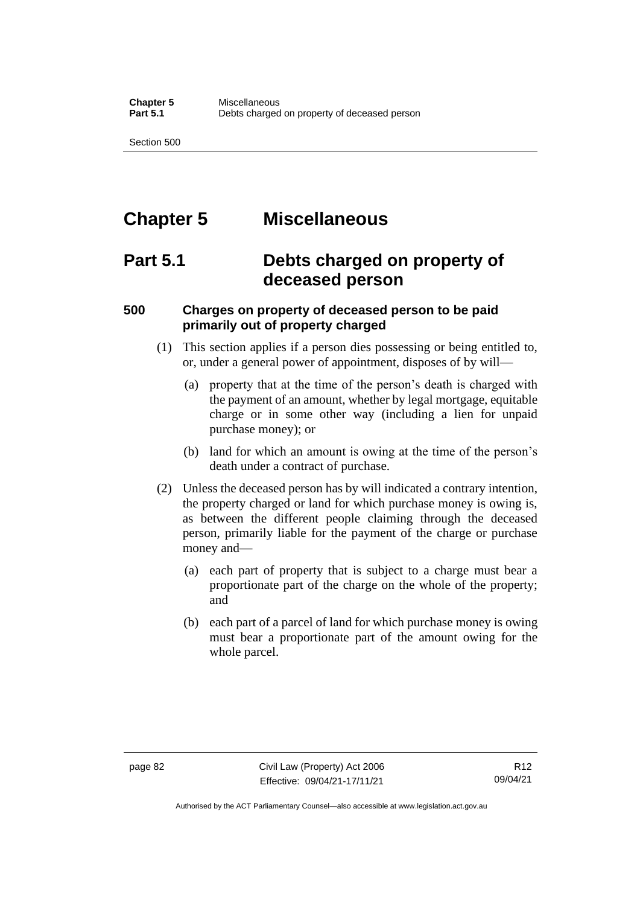## **Chapter 5 Miscellaneous**

## **Part 5.1 Debts charged on property of deceased person**

## **500 Charges on property of deceased person to be paid primarily out of property charged**

- (1) This section applies if a person dies possessing or being entitled to, or, under a general power of appointment, disposes of by will—
	- (a) property that at the time of the person's death is charged with the payment of an amount, whether by legal mortgage, equitable charge or in some other way (including a lien for unpaid purchase money); or
	- (b) land for which an amount is owing at the time of the person's death under a contract of purchase.
- (2) Unless the deceased person has by will indicated a contrary intention, the property charged or land for which purchase money is owing is, as between the different people claiming through the deceased person, primarily liable for the payment of the charge or purchase money and—
	- (a) each part of property that is subject to a charge must bear a proportionate part of the charge on the whole of the property; and
	- (b) each part of a parcel of land for which purchase money is owing must bear a proportionate part of the amount owing for the whole parcel.

Authorised by the ACT Parliamentary Counsel—also accessible at www.legislation.act.gov.au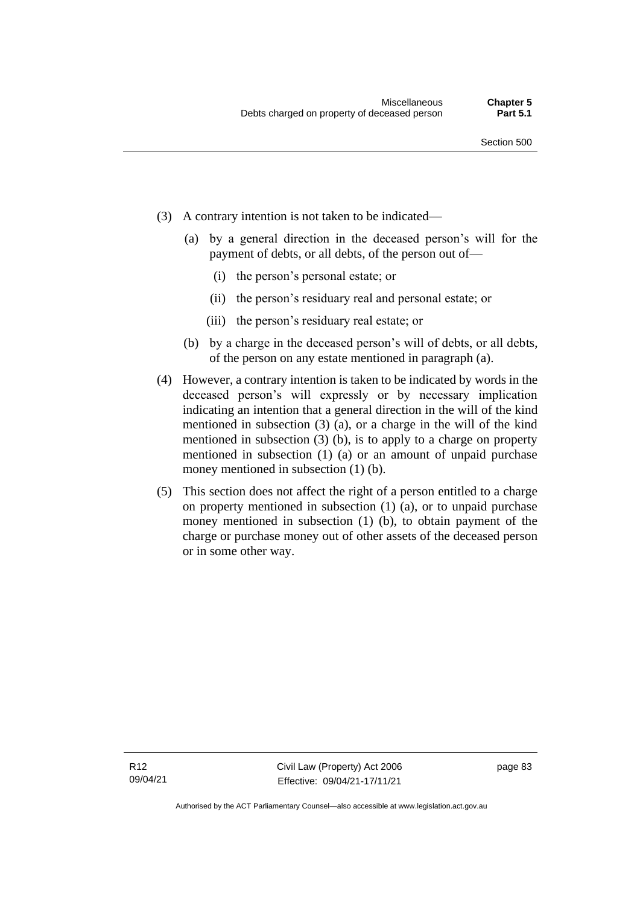- (3) A contrary intention is not taken to be indicated—
	- (a) by a general direction in the deceased person's will for the payment of debts, or all debts, of the person out of—
		- (i) the person's personal estate; or
		- (ii) the person's residuary real and personal estate; or
		- (iii) the person's residuary real estate; or
	- (b) by a charge in the deceased person's will of debts, or all debts, of the person on any estate mentioned in paragraph (a).
- (4) However, a contrary intention is taken to be indicated by words in the deceased person's will expressly or by necessary implication indicating an intention that a general direction in the will of the kind mentioned in subsection (3) (a), or a charge in the will of the kind mentioned in subsection (3) (b), is to apply to a charge on property mentioned in subsection (1) (a) or an amount of unpaid purchase money mentioned in subsection (1) (b).
- (5) This section does not affect the right of a person entitled to a charge on property mentioned in subsection (1) (a), or to unpaid purchase money mentioned in subsection (1) (b), to obtain payment of the charge or purchase money out of other assets of the deceased person or in some other way.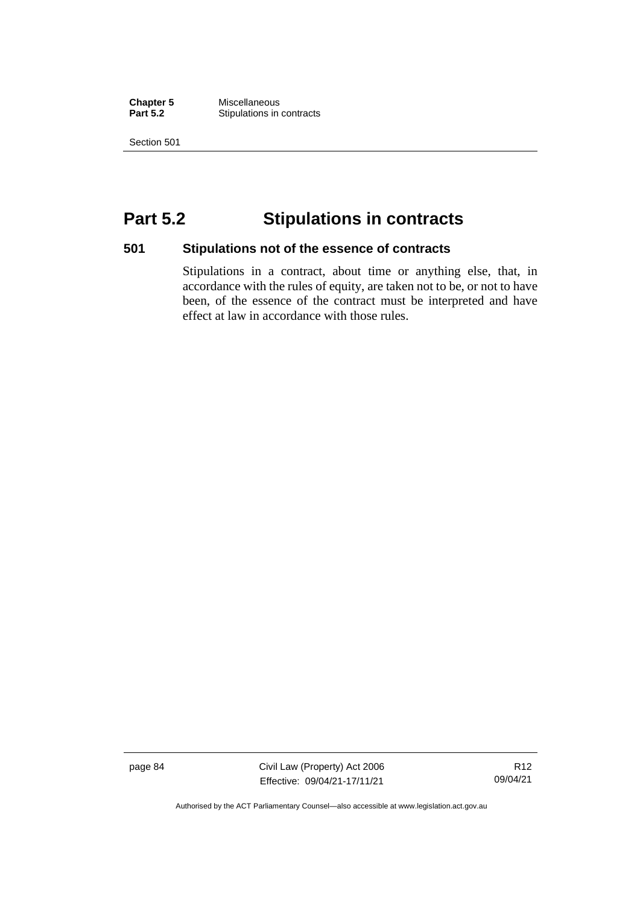**Chapter 5** Miscellaneous **Stipulations in contracts** 

Section 501

## **Part 5.2 Stipulations in contracts**

## **501 Stipulations not of the essence of contracts**

Stipulations in a contract, about time or anything else, that, in accordance with the rules of equity, are taken not to be, or not to have been, of the essence of the contract must be interpreted and have effect at law in accordance with those rules.

page 84 Civil Law (Property) Act 2006 Effective: 09/04/21-17/11/21

R12 09/04/21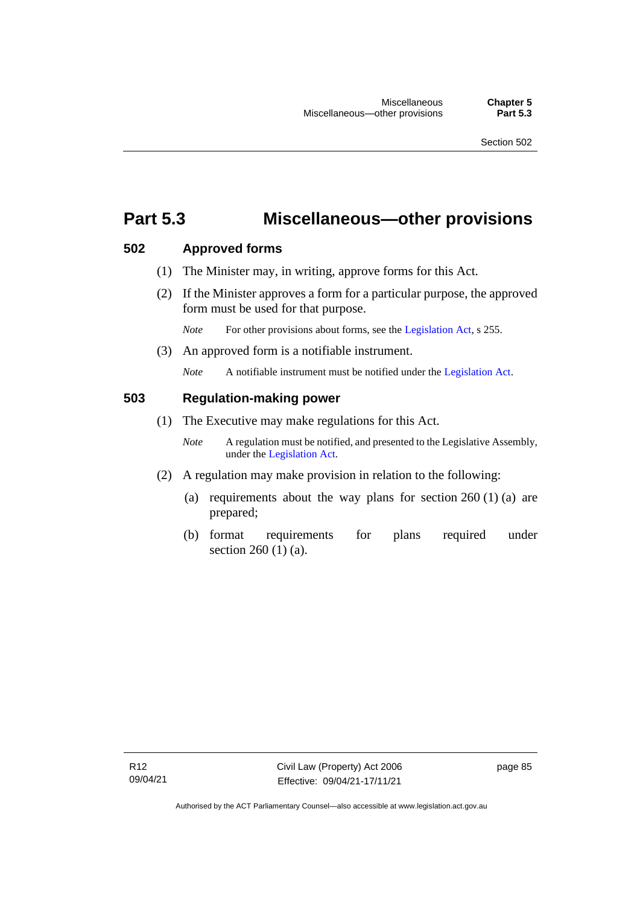## **Part 5.3 Miscellaneous—other provisions**

## **502 Approved forms**

- (1) The Minister may, in writing, approve forms for this Act.
- (2) If the Minister approves a form for a particular purpose, the approved form must be used for that purpose.

*Note* For other provisions about forms, see the [Legislation Act,](http://www.legislation.act.gov.au/a/2001-14) s 255.

(3) An approved form is a notifiable instrument.

*Note* A notifiable instrument must be notified under the [Legislation Act.](http://www.legislation.act.gov.au/a/2001-14)

## **503 Regulation-making power**

- (1) The Executive may make regulations for this Act.
	- *Note* A regulation must be notified, and presented to the Legislative Assembly, under the [Legislation Act.](http://www.legislation.act.gov.au/a/2001-14)
- (2) A regulation may make provision in relation to the following:
	- (a) requirements about the way plans for section  $260(1)(a)$  are prepared;
	- (b) format requirements for plans required under section 260 (1) (a).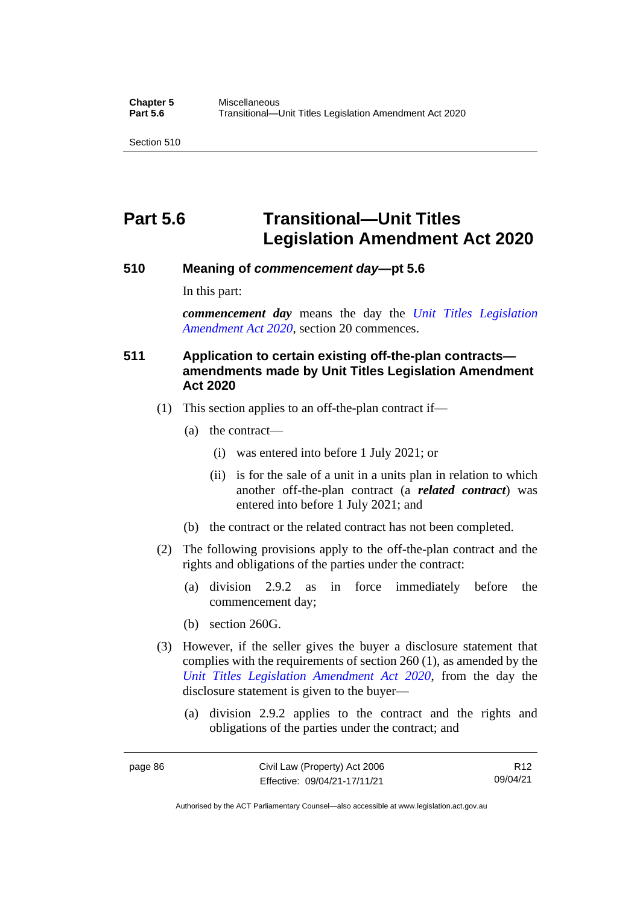## **Part 5.6 Transitional—Unit Titles Legislation Amendment Act 2020**

## **510 Meaning of** *commencement day***—pt 5.6**

In this part:

*commencement day* means the day the *[Unit Titles Legislation](http://www.legislation.act.gov.au/a/2020-4/default.asp)  [Amendment Act 2020](http://www.legislation.act.gov.au/a/2020-4/default.asp)*, section 20 commences.

## **511 Application to certain existing off-the-plan contracts amendments made by Unit Titles Legislation Amendment Act 2020**

- (1) This section applies to an off-the-plan contract if—
	- (a) the contract—
		- (i) was entered into before 1 July 2021; or
		- (ii) is for the sale of a unit in a units plan in relation to which another off-the-plan contract (a *related contract*) was entered into before 1 July 2021; and
	- (b) the contract or the related contract has not been completed.
- (2) The following provisions apply to the off-the-plan contract and the rights and obligations of the parties under the contract:
	- (a) division 2.9.2 as in force immediately before the commencement day;
	- (b) section 260G.
- (3) However, if the seller gives the buyer a disclosure statement that complies with the requirements of section 260 (1), as amended by the *[Unit Titles Legislation Amendment Act 2020](http://www.legislation.act.gov.au/a/2020-4/default.asp)*, from the day the disclosure statement is given to the buyer—
	- (a) division 2.9.2 applies to the contract and the rights and obligations of the parties under the contract; and

R12 09/04/21

Authorised by the ACT Parliamentary Counsel—also accessible at www.legislation.act.gov.au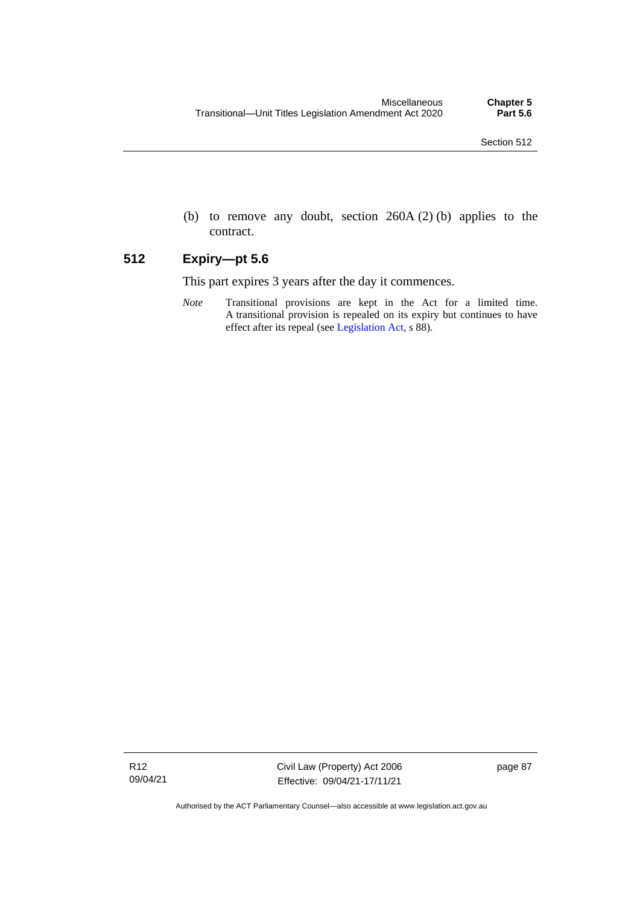(b) to remove any doubt, section 260A (2) (b) applies to the contract.

## **512 Expiry—pt 5.6**

This part expires 3 years after the day it commences.

*Note* Transitional provisions are kept in the Act for a limited time. A transitional provision is repealed on its expiry but continues to have effect after its repeal (se[e Legislation Act,](http://www.legislation.act.gov.au/a/2001-14) s 88).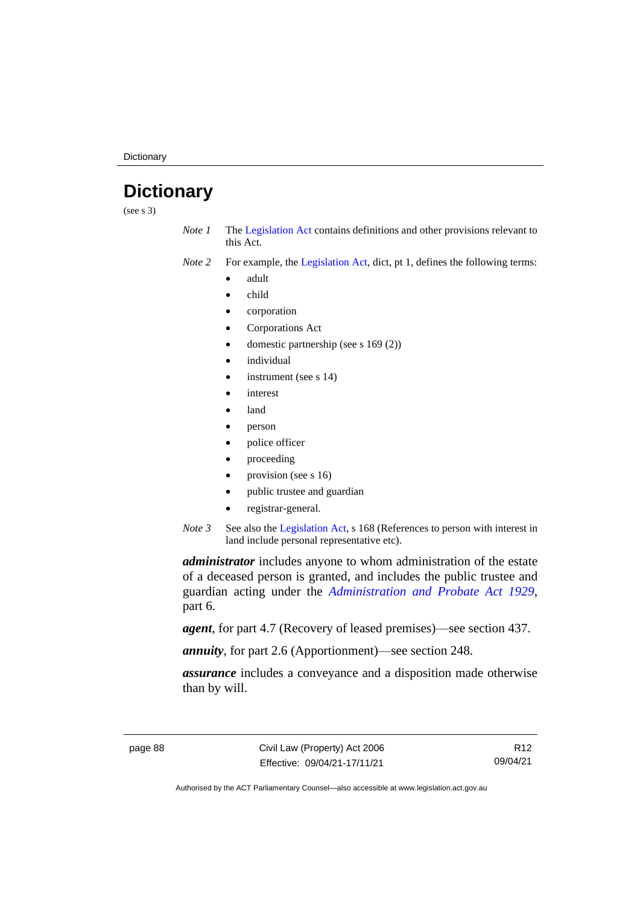**Dictionary** 

## **Dictionary**

(see s 3)

- *Note 1* The [Legislation Act](http://www.legislation.act.gov.au/a/2001-14) contains definitions and other provisions relevant to this Act.
- *Note 2* For example, the [Legislation Act,](http://www.legislation.act.gov.au/a/2001-14) dict, pt 1, defines the following terms:
	- adult
	- child
	- corporation
	- Corporations Act
	- domestic partnership (see s 169 (2))
	- *individual*
	- instrument (see s 14)
	- *interest*
	- land
	- person
	- police officer
	- proceeding
	- provision (see s 16)
	- public trustee and guardian
	- registrar-general.
- *Note 3* See also the [Legislation Act,](http://www.legislation.act.gov.au/a/2001-14) s 168 (References to person with interest in land include personal representative etc).

*administrator* includes anyone to whom administration of the estate of a deceased person is granted, and includes the public trustee and guardian acting under the *[Administration and Probate Act 1929](http://www.legislation.act.gov.au/a/1929-18)*, part 6.

*agent*, for part 4.7 (Recovery of leased premises)—see section 437.

*annuity*, for part 2.6 (Apportionment)—see section 248.

*assurance* includes a conveyance and a disposition made otherwise than by will.

R12 09/04/21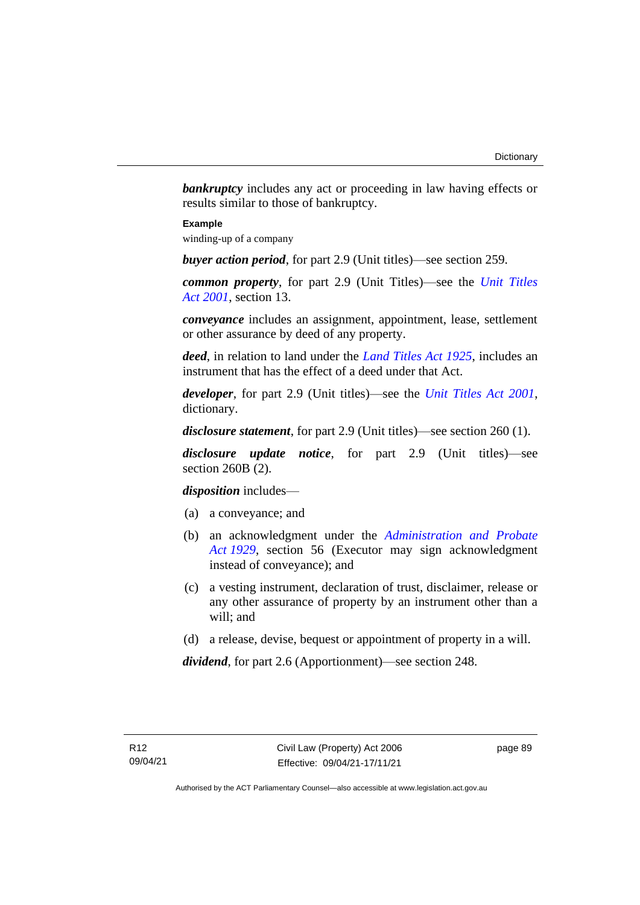**bankruptcy** includes any act or proceeding in law having effects or results similar to those of bankruptcy.

### **Example**

winding-up of a company

*buyer action period*, for part 2.9 (Unit titles)—see section 259.

*common property*, for part 2.9 (Unit Titles)—see the *[Unit Titles](http://www.legislation.act.gov.au/a/2001-16)  Act [2001](http://www.legislation.act.gov.au/a/2001-16)*, section 13.

*conveyance* includes an assignment, appointment, lease, settlement or other assurance by deed of any property.

*deed*, in relation to land under the *[Land Titles Act 1925](http://www.legislation.act.gov.au/a/1925-1)*, includes an instrument that has the effect of a deed under that Act.

*developer*, for part 2.9 (Unit titles)—see the *[Unit Titles Act 2001](http://www.legislation.act.gov.au/a/2001-16)*, dictionary.

*disclosure statement*, for part 2.9 (Unit titles)—see section 260 (1).

*disclosure update notice*, for part 2.9 (Unit titles)—see section 260B (2).

*disposition* includes—

- (a) a conveyance; and
- (b) an acknowledgment under the *[Administration and Probate](http://www.legislation.act.gov.au/a/1929-18)  Act [1929](http://www.legislation.act.gov.au/a/1929-18)*, section 56 (Executor may sign acknowledgment instead of conveyance); and
- (c) a vesting instrument, declaration of trust, disclaimer, release or any other assurance of property by an instrument other than a will; and
- (d) a release, devise, bequest or appointment of property in a will.

*dividend*, for part 2.6 (Apportionment)—see section 248.

page 89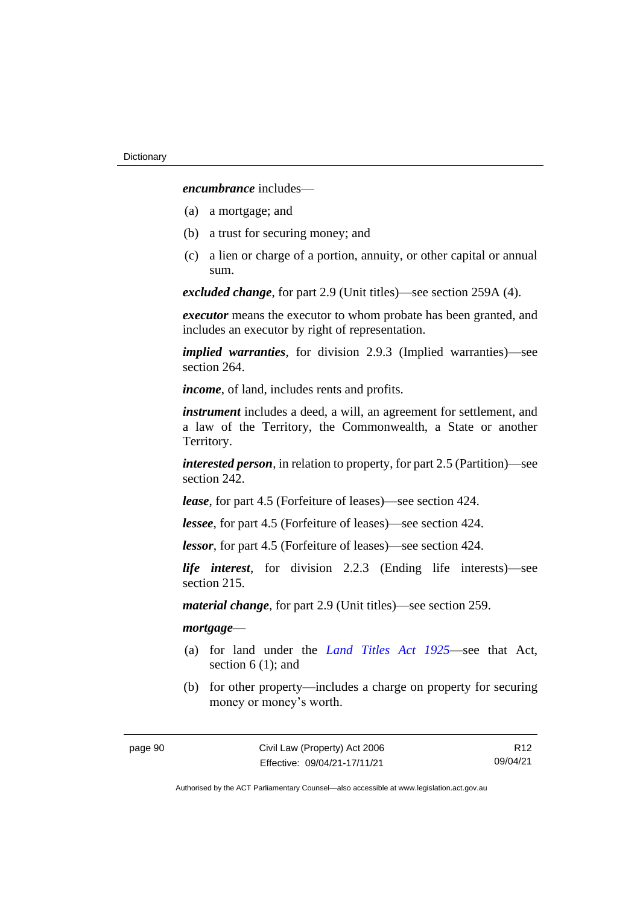*encumbrance* includes—

- (a) a mortgage; and
- (b) a trust for securing money; and
- (c) a lien or charge of a portion, annuity, or other capital or annual sum.

*excluded change*, for part 2.9 (Unit titles)—see section 259A (4).

*executor* means the executor to whom probate has been granted, and includes an executor by right of representation.

*implied warranties*, for division 2.9.3 (Implied warranties)—see section 264.

*income*, of land, includes rents and profits.

*instrument* includes a deed, a will, an agreement for settlement, and a law of the Territory, the Commonwealth, a State or another Territory.

*interested person*, in relation to property, for part 2.5 (Partition)—see section 242.

*lease*, for part 4.5 (Forfeiture of leases)—see section 424.

*lessee*, for part 4.5 (Forfeiture of leases)—see section 424.

*lessor*, for part 4.5 (Forfeiture of leases)—see section 424.

*life interest*, for division 2.2.3 (Ending life interests)—see section 215.

*material change*, for part 2.9 (Unit titles)—see section 259.

### *mortgage*—

- (a) for land under the *[Land Titles Act 1925](http://www.legislation.act.gov.au/a/1925-1)*—see that Act, section 6 (1); and
- (b) for other property—includes a charge on property for securing money or money's worth.

R12 09/04/21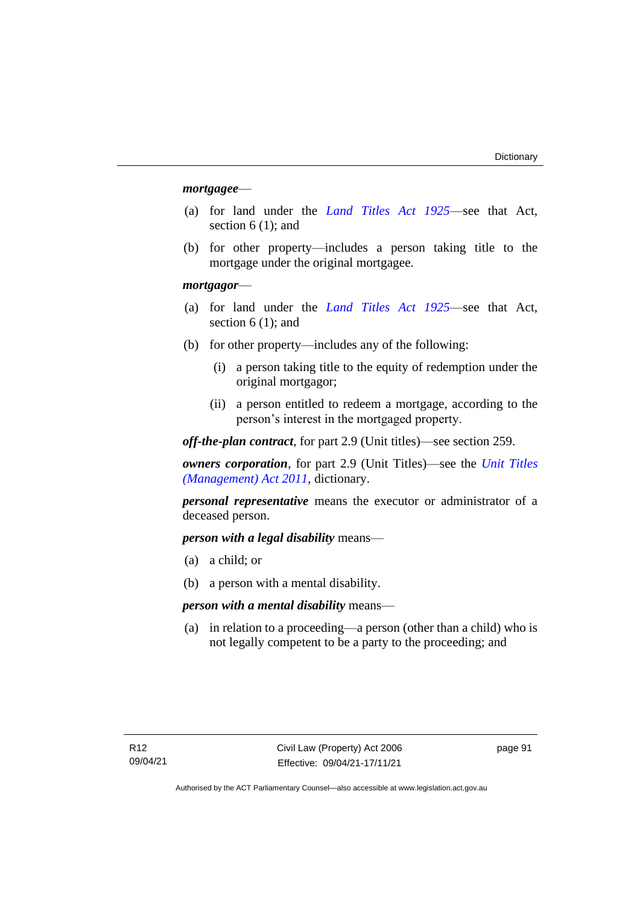### *mortgagee*—

- (a) for land under the *[Land Titles Act 1925](http://www.legislation.act.gov.au/a/1925-1)*—see that Act, section 6 (1); and
- (b) for other property—includes a person taking title to the mortgage under the original mortgagee.

### *mortgagor*—

- (a) for land under the *[Land Titles Act 1925](http://www.legislation.act.gov.au/a/1925-1)*—see that Act, section 6 (1); and
- (b) for other property—includes any of the following:
	- (i) a person taking title to the equity of redemption under the original mortgagor;
	- (ii) a person entitled to redeem a mortgage, according to the person's interest in the mortgaged property.

*off-the-plan contract*, for part 2.9 (Unit titles)—see section 259.

*owners corporation*, for part 2.9 (Unit Titles)—see the *[Unit Titles](http://www.legislation.act.gov.au/a/2011-41)  [\(Management\) Act](http://www.legislation.act.gov.au/a/2011-41) 2011*, dictionary.

*personal representative* means the executor or administrator of a deceased person.

*person with a legal disability* means—

- (a) a child; or
- (b) a person with a mental disability.

*person with a mental disability* means—

(a) in relation to a proceeding—a person (other than a child) who is not legally competent to be a party to the proceeding; and

page 91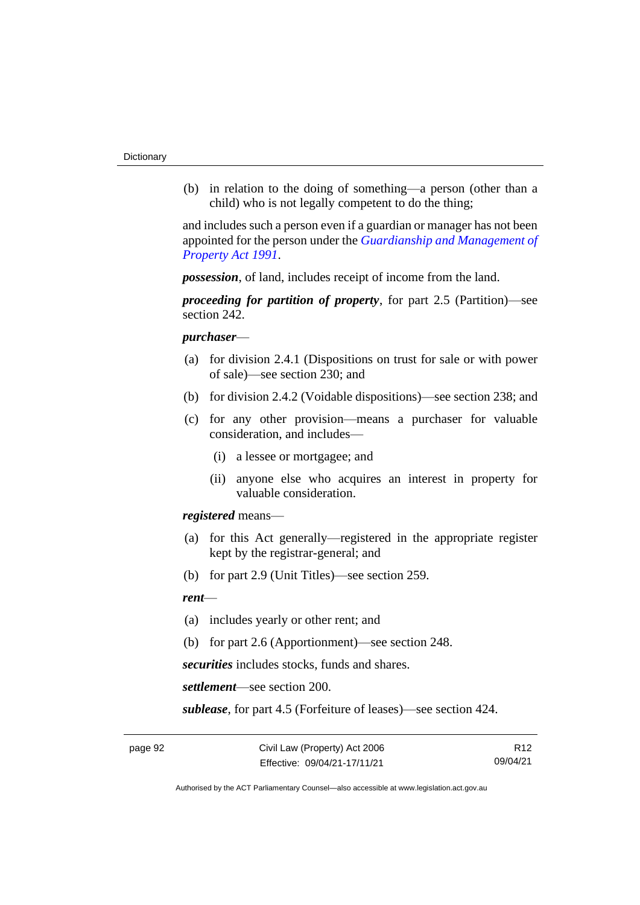(b) in relation to the doing of something—a person (other than a child) who is not legally competent to do the thing;

and includes such a person even if a guardian or manager has not been appointed for the person under the *[Guardianship and Management of](http://www.legislation.act.gov.au/a/1991-62)  [Property Act 1991](http://www.legislation.act.gov.au/a/1991-62)*.

*possession*, of land, includes receipt of income from the land.

*proceeding for partition of property*, for part 2.5 (Partition)—see section 242.

### *purchaser*—

- (a) for division 2.4.1 (Dispositions on trust for sale or with power of sale)—see section 230; and
- (b) for division 2.4.2 (Voidable dispositions)—see section 238; and
- (c) for any other provision—means a purchaser for valuable consideration, and includes—
	- (i) a lessee or mortgagee; and
	- (ii) anyone else who acquires an interest in property for valuable consideration.

*registered* means—

- (a) for this Act generally—registered in the appropriate register kept by the registrar-general; and
- (b) for part 2.9 (Unit Titles)—see section 259.

### *rent*—

- (a) includes yearly or other rent; and
- (b) for part 2.6 (Apportionment)—see section 248.

*securities* includes stocks, funds and shares.

*settlement*—see section 200.

*sublease*, for part 4.5 (Forfeiture of leases)—see section 424.

R12 09/04/21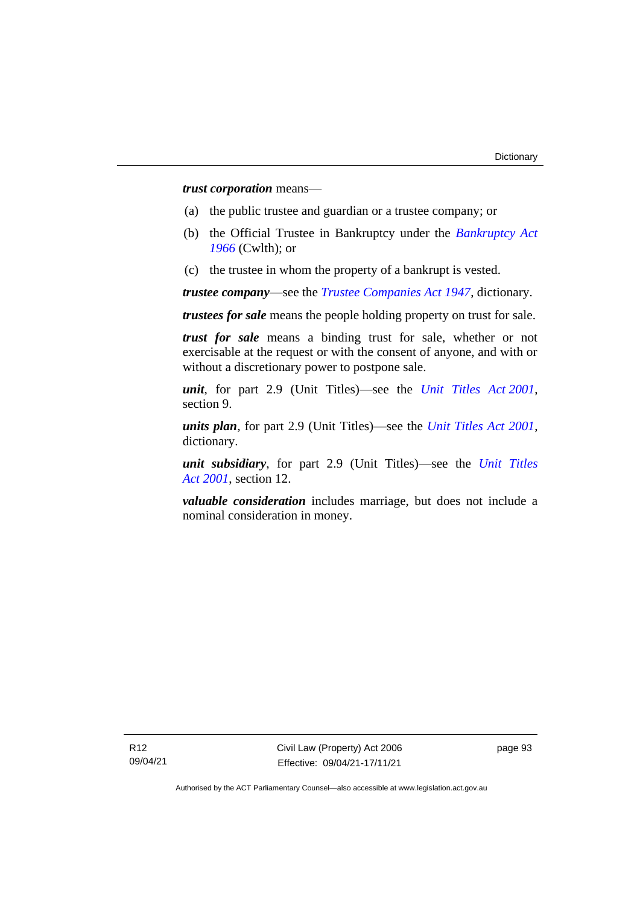*trust corporation* means—

- (a) the public trustee and guardian or a trustee company; or
- (b) the Official Trustee in Bankruptcy under the *[Bankruptcy Act](http://www.comlaw.gov.au/Series/C2004A07422)  [1966](http://www.comlaw.gov.au/Series/C2004A07422)* (Cwlth); or
- (c) the trustee in whom the property of a bankrupt is vested.

*trustee company*—see the *[Trustee Companies Act 1947](http://www.legislation.act.gov.au/a/1947-15)*, dictionary.

*trustees for sale* means the people holding property on trust for sale.

*trust for sale* means a binding trust for sale, whether or not exercisable at the request or with the consent of anyone, and with or without a discretionary power to postpone sale.

*unit*, for part 2.9 (Unit Titles)—see the *[Unit Titles Act](http://www.legislation.act.gov.au/a/2001-16) 2001*, section 9.

*units plan*, for part 2.9 (Unit Titles)—see the *[Unit Titles Act 2001](http://www.legislation.act.gov.au/a/2001-16)*, dictionary.

*unit subsidiary*, for part 2.9 (Unit Titles)—see the *[Unit Titles](http://www.legislation.act.gov.au/a/2001-16)  Act [2001](http://www.legislation.act.gov.au/a/2001-16)*, section 12.

*valuable consideration* includes marriage, but does not include a nominal consideration in money.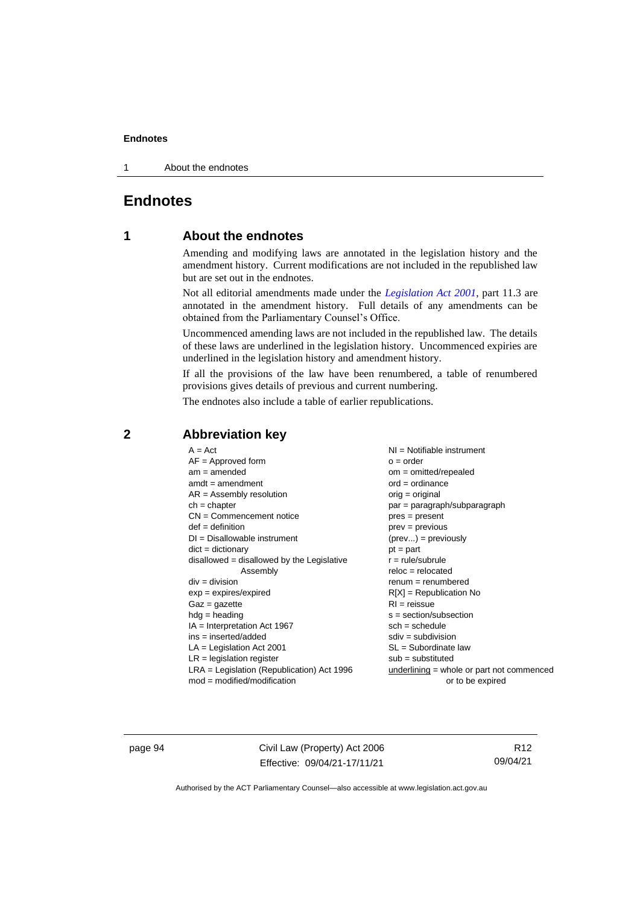1 About the endnotes

## **Endnotes**

## **1 About the endnotes**

Amending and modifying laws are annotated in the legislation history and the amendment history. Current modifications are not included in the republished law but are set out in the endnotes.

Not all editorial amendments made under the *[Legislation Act 2001](http://www.legislation.act.gov.au/a/2001-14)*, part 11.3 are annotated in the amendment history. Full details of any amendments can be obtained from the Parliamentary Counsel's Office.

Uncommenced amending laws are not included in the republished law. The details of these laws are underlined in the legislation history. Uncommenced expiries are underlined in the legislation history and amendment history.

If all the provisions of the law have been renumbered, a table of renumbered provisions gives details of previous and current numbering.

The endnotes also include a table of earlier republications.

| $A = Act$                                  | $NI =$ Notifiable instrument              |  |  |
|--------------------------------------------|-------------------------------------------|--|--|
| $AF =$ Approved form                       | $o = order$                               |  |  |
| $am = amended$                             | $om = omitted/repealed$                   |  |  |
| $amdt = amendment$                         | $ord = ordinance$                         |  |  |
| $AR = Assembly resolution$                 | $orig = original$                         |  |  |
| $ch = chapter$                             | par = paragraph/subparagraph              |  |  |
| $CN =$ Commencement notice                 | $pres = present$                          |  |  |
| $def = definition$                         | $prev = previous$                         |  |  |
| $DI = Disallowable instrument$             | $(\text{prev}) = \text{previously}$       |  |  |
| $dict = dictionary$                        | $pt = part$                               |  |  |
| disallowed = disallowed by the Legislative | $r = rule/subrule$                        |  |  |
| Assembly                                   | $reloc = relocated$                       |  |  |
| $div = division$                           | $remum = renumbered$                      |  |  |
| $exp = expires/expired$                    | $R[X]$ = Republication No                 |  |  |
| $Gaz = gazette$                            | $RI = reissue$                            |  |  |
| $hdg =$ heading                            | $s = section/subsection$                  |  |  |
| $IA = Interpretation Act 1967$             | $sch = schedule$                          |  |  |
| ins = inserted/added                       | $sdiv = subdivision$                      |  |  |
| $LA =$ Legislation Act 2001                |                                           |  |  |
|                                            | $SL = Subordinate$ law                    |  |  |
| $LR =$ legislation register                | $sub =$ substituted                       |  |  |
| LRA = Legislation (Republication) Act 1996 | underlining = whole or part not commenced |  |  |
| $mod = modified/modification$              | or to be expired                          |  |  |

## **2 Abbreviation key**

page 94 Civil Law (Property) Act 2006 Effective: 09/04/21-17/11/21

R12 09/04/21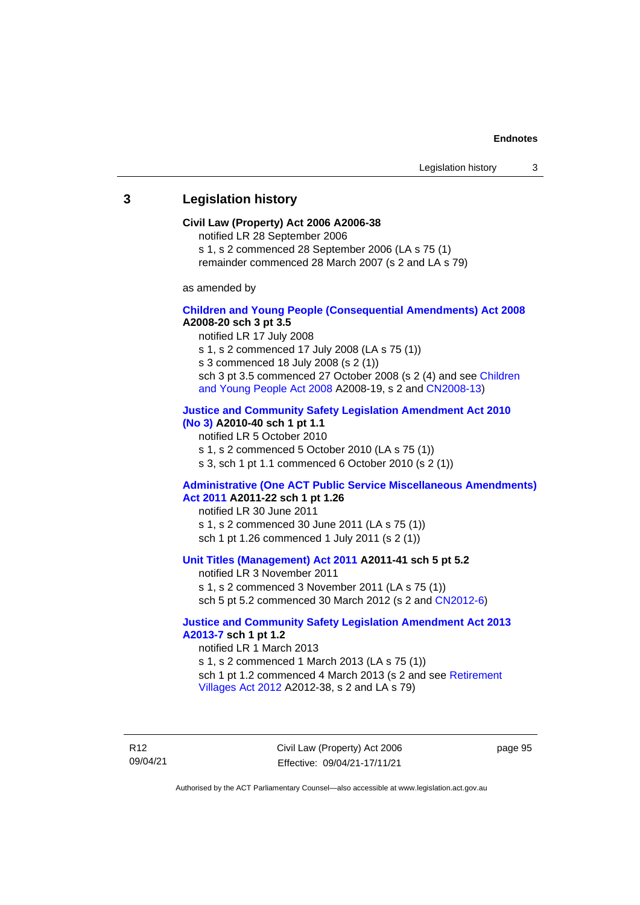### **3 Legislation history**

#### **Civil Law (Property) Act 2006 A2006-38**

notified LR 28 September 2006

s 1, s 2 commenced 28 September 2006 (LA s 75 (1)

remainder commenced 28 March 2007 (s 2 and LA s 79)

as amended by

#### **[Children and Young People \(Consequential Amendments\) Act 2008](http://www.legislation.act.gov.au/a/2008-20) A2008-20 sch 3 pt 3.5**

notified LR 17 July 2008

s 1, s 2 commenced 17 July 2008 (LA s 75 (1))

s 3 commenced 18 July 2008 (s 2 (1))

sch 3 pt 3.5 commenced 27 October 2008 (s 2 (4) and see Children [and Young People Act 2008](http://www.legislation.act.gov.au/a/2008-19) A2008-19, s 2 and [CN2008-13\)](http://www.legislation.act.gov.au/cn/2008-13/default.asp)

### **[Justice and Community Safety Legislation Amendment Act 2010](http://www.legislation.act.gov.au/a/2010-40)**

**[\(No](http://www.legislation.act.gov.au/a/2010-40) 3) A2010-40 sch 1 pt 1.1**

notified LR 5 October 2010

s 1, s 2 commenced 5 October 2010 (LA s 75 (1))

s 3, sch 1 pt 1.1 commenced 6 October 2010 (s 2 (1))

#### **[Administrative \(One ACT Public Service Miscellaneous Amendments\)](http://www.legislation.act.gov.au/a/2011-22)  Act [2011](http://www.legislation.act.gov.au/a/2011-22) A2011-22 sch 1 pt 1.26**

notified LR 30 June 2011 s 1, s 2 commenced 30 June 2011 (LA s 75 (1)) sch 1 pt 1.26 commenced 1 July 2011 (s 2 (1))

### **[Unit Titles \(Management\) Act 2011](http://www.legislation.act.gov.au/a/2011-41) A2011-41 sch 5 pt 5.2**

notified LR 3 November 2011 s 1, s 2 commenced 3 November 2011 (LA s 75 (1)) sch 5 pt 5.2 commenced 30 March 2012 (s 2 and [CN2012-6\)](http://www.legislation.act.gov.au/cn/2012-6/default.asp)

### **[Justice and Community Safety Legislation Amendment Act 2013](http://www.legislation.act.gov.au/a/2013-7/default.asp)  [A2013-7](http://www.legislation.act.gov.au/a/2013-7/default.asp) sch 1 pt 1.2**

notified LR 1 March 2013 s 1, s 2 commenced 1 March 2013 (LA s 75 (1)) sch 1 pt 1.2 commenced 4 March 2013 (s 2 and see Retirement [Villages Act 2012](http://www.legislation.act.gov.au/a/2012-38) A2012-38, s 2 and LA s 79)

R12 09/04/21 Civil Law (Property) Act 2006 Effective: 09/04/21-17/11/21

page 95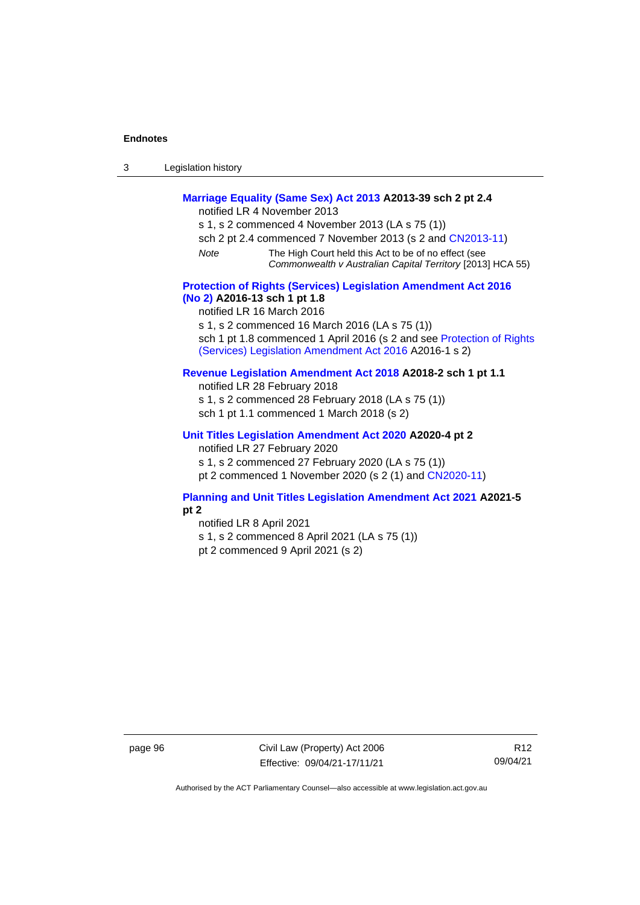| Legislation history<br>3 |  |
|--------------------------|--|
|--------------------------|--|

## **[Marriage Equality \(Same Sex\) Act 2013](http://www.legislation.act.gov.au/a/2013-39) A2013-39 sch 2 pt 2.4**

notified LR 4 November 2013

- s 1, s 2 commenced 4 November 2013 (LA s 75 (1))
- sch 2 pt 2.4 commenced 7 November 2013 (s 2 and [CN2013-11\)](http://www.legislation.act.gov.au/cn/2013-11)
- *Note* The High Court held this Act to be of no effect (see *Commonwealth v Australian Capital Territory* [2013] HCA 55)

#### **[Protection of Rights \(Services\) Legislation Amendment Act 2016](http://www.legislation.act.gov.au/a/2016-13)  [\(No](http://www.legislation.act.gov.au/a/2016-13) 2) A2016-13 sch 1 pt 1.8**

notified LR 16 March 2016

s 1, s 2 commenced 16 March 2016 (LA s 75 (1))

sch 1 pt 1.8 commenced 1 April 2016 (s 2 and see Protection of Rights [\(Services\) Legislation Amendment Act 2016](http://www.legislation.act.gov.au/a/2016-1/default.asp) A2016-1 s 2)

### **[Revenue Legislation Amendment Act 2018](http://www.legislation.act.gov.au/a/2018-2/default.asp) A2018-2 sch 1 pt 1.1**

notified LR 28 February 2018 s 1, s 2 commenced 28 February 2018 (LA s 75 (1)) sch 1 pt 1.1 commenced 1 March 2018 (s 2)

### **[Unit Titles Legislation Amendment Act 2020](http://www.legislation.act.gov.au/a/2020-4/default.asp) A2020-4 pt 2**

notified LR 27 February 2020

s 1, s 2 commenced 27 February 2020 (LA s 75 (1))

pt 2 commenced 1 November 2020 (s 2 (1) and [CN2020-11\)](http://www.legislation.act.gov.au/cn/2020-11/default.asp)

#### **[Planning and Unit Titles Legislation Amendment Act 2021](http://www.legislation.act.gov.au/a/2021-5/default.asp) A2021-5 pt 2**

notified LR 8 April 2021 s 1, s 2 commenced 8 April 2021 (LA s 75 (1)) pt 2 commenced 9 April 2021 (s 2)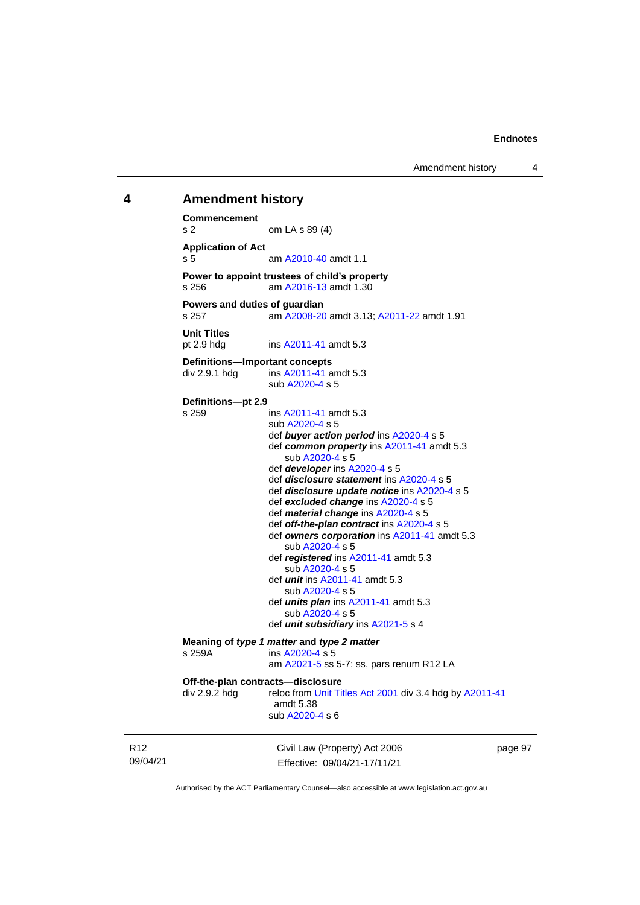## **4 Amendment history Commencement**

Civil Law (Property) Act 2006 page 97 s 2 om LA s 89 (4) **Application of Act** s 5 am [A2010-40](http://www.legislation.act.gov.au/a/2010-40) amdt 1.1 **Power to appoint trustees of child's property**<br>s 256 am A2016-13 amdt 1.30 am [A2016-13](http://www.legislation.act.gov.au/a/2016-13) amdt 1.30 **Powers and duties of guardian** s 257 am [A2008-20](http://www.legislation.act.gov.au/a/2008-20) amdt 3.13[; A2011-22](http://www.legislation.act.gov.au/a/2011-22) amdt 1.91 **Unit Titles** pt 2.9 hdg ins [A2011-41](http://www.legislation.act.gov.au/a/2011-41) amdt 5.3 **Definitions—Important concepts** div 2.9.1 hdg ins [A2011-41](http://www.legislation.act.gov.au/a/2011-41) amdt 5.3 sub [A2020-4](http://www.legislation.act.gov.au/a/2020-4/) s 5 **Definitions—pt 2.9** s 259 ins [A2011-41](http://www.legislation.act.gov.au/a/2011-41) amdt 5.3 sub [A2020-4](http://www.legislation.act.gov.au/a/2020-4/) s 5 def *buyer action period* ins [A2020-4](http://www.legislation.act.gov.au/a/2020-4/) s 5 def *common property* ins [A2011-41](http://www.legislation.act.gov.au/a/2011-41) amdt 5.3 sub [A2020-4](http://www.legislation.act.gov.au/a/2020-4/) s 5 def *developer* ins [A2020-4](http://www.legislation.act.gov.au/a/2020-4/) s 5 def *disclosure statement* in[s A2020-4](http://www.legislation.act.gov.au/a/2020-4/) s 5 def *disclosure update notice* in[s A2020-4](http://www.legislation.act.gov.au/a/2020-4/) s 5 def *excluded change* in[s A2020-4](http://www.legislation.act.gov.au/a/2020-4/) s 5 def *material change* ins [A2020-4](http://www.legislation.act.gov.au/a/2020-4/) s 5 def *off-the-plan contract* ins [A2020-4](http://www.legislation.act.gov.au/a/2020-4/) s 5 def *owners corporation* in[s A2011-41](http://www.legislation.act.gov.au/a/2011-41) amdt 5.3 sub [A2020-4](http://www.legislation.act.gov.au/a/2020-4/) s 5 def *registered* ins [A2011-41](http://www.legislation.act.gov.au/a/2011-41) amdt 5.3 sub [A2020-4](http://www.legislation.act.gov.au/a/2020-4/) s 5 def *unit* ins [A2011-41](http://www.legislation.act.gov.au/a/2011-41) amdt 5.3 sub [A2020-4](http://www.legislation.act.gov.au/a/2020-4/) s 5 def *units plan* ins [A2011-41](http://www.legislation.act.gov.au/a/2011-41) amdt 5.3 sub [A2020-4](http://www.legislation.act.gov.au/a/2020-4/) s 5 def *unit subsidiary* in[s A2021-5](http://www.legislation.act.gov.au/a/2021-5/) s 4 **Meaning of** *type 1 matter* **and** *type 2 matter* **s 259A <b>and** *i*ns A2020-4 s 5 ins [A2020-4](http://www.legislation.act.gov.au/a/2020-4/) s 5 am [A2021-5](http://www.legislation.act.gov.au/a/2021-5/) ss 5-7; ss, pars renum R12 LA **Off-the-plan contracts—disclosure** div 2.9.2 hdg reloc fro[m Unit Titles Act 2001](http://www.legislation.act.gov.au/a/2001-16) div 3.4 hdg b[y A2011-41](http://www.legislation.act.gov.au/a/2011-41) amdt 5.38 sub [A2020-4](http://www.legislation.act.gov.au/a/2020-4/) s 6

R12 09/04/21

Effective: 09/04/21-17/11/21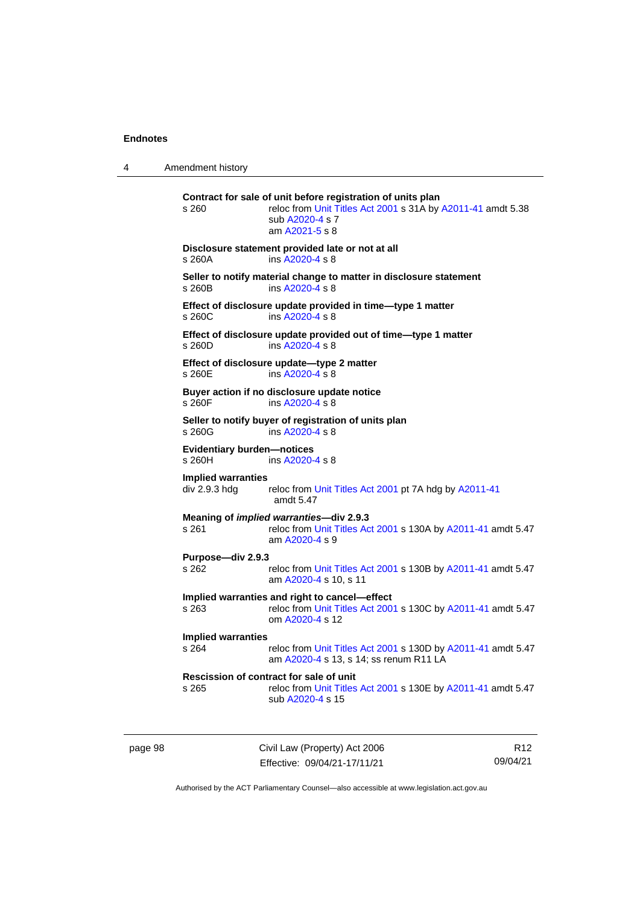4 Amendment history

| s 260                                         | Contract for sale of unit before registration of units plan<br>reloc from Unit Titles Act 2001 s 31A by A2011-41 amdt 5.38<br>sub A2020-4 s 7<br>am A2021-5 s 8 |
|-----------------------------------------------|-----------------------------------------------------------------------------------------------------------------------------------------------------------------|
| s 260A                                        | Disclosure statement provided late or not at all<br>ins A2020-4 s 8                                                                                             |
| s 260B                                        | Seller to notify material change to matter in disclosure statement<br>ins A2020-4 s 8                                                                           |
| s 260C                                        | Effect of disclosure update provided in time-type 1 matter<br>ins A2020-4 s 8                                                                                   |
| s 260D                                        | Effect of disclosure update provided out of time-type 1 matter<br>ins A2020-4 s 8                                                                               |
| s 260E                                        | Effect of disclosure update-type 2 matter<br>ins A2020-4 s 8                                                                                                    |
| $s$ 260 $F$                                   | Buyer action if no disclosure update notice<br>ins A2020-4 s 8                                                                                                  |
| s 260G                                        | Seller to notify buyer of registration of units plan<br>ins A2020-4 s 8                                                                                         |
| <b>Evidentiary burden-notices</b><br>$s$ 260H | ins A2020-4 s 8                                                                                                                                                 |
| <b>Implied warranties</b><br>div 2.9.3 hdg    | reloc from Unit Titles Act 2001 pt 7A hdg by A2011-41<br>amdt 5.47                                                                                              |
| s 261                                         | Meaning of implied warranties-div 2.9.3<br>reloc from Unit Titles Act 2001 s 130A by A2011-41 amdt 5.47<br>am A2020-4 s 9                                       |
| Purpose-div 2.9.3<br>s 262                    |                                                                                                                                                                 |
|                                               | reloc from Unit Titles Act 2001 s 130B by A2011-41 amdt 5.47<br>am A2020-4 s 10, s 11                                                                           |
| s 263                                         | Implied warranties and right to cancel-effect<br>reloc from Unit Titles Act 2001 s 130C by A2011-41 amdt 5.47<br>om A2020-4 s 12                                |
| <b>Implied warranties</b><br>s 264            | reloc from Unit Titles Act 2001 s 130D by A2011-41 amdt 5.47<br>am A2020-4 s 13, s 14; ss renum R11 LA                                                          |
| s 265                                         | Rescission of contract for sale of unit<br>reloc from Unit Titles Act 2001 s 130E by A2011-41 amdt 5.47<br>sub A2020-4 s 15                                     |

page 98 Civil Law (Property) Act 2006 Effective: 09/04/21-17/11/21

R12 09/04/21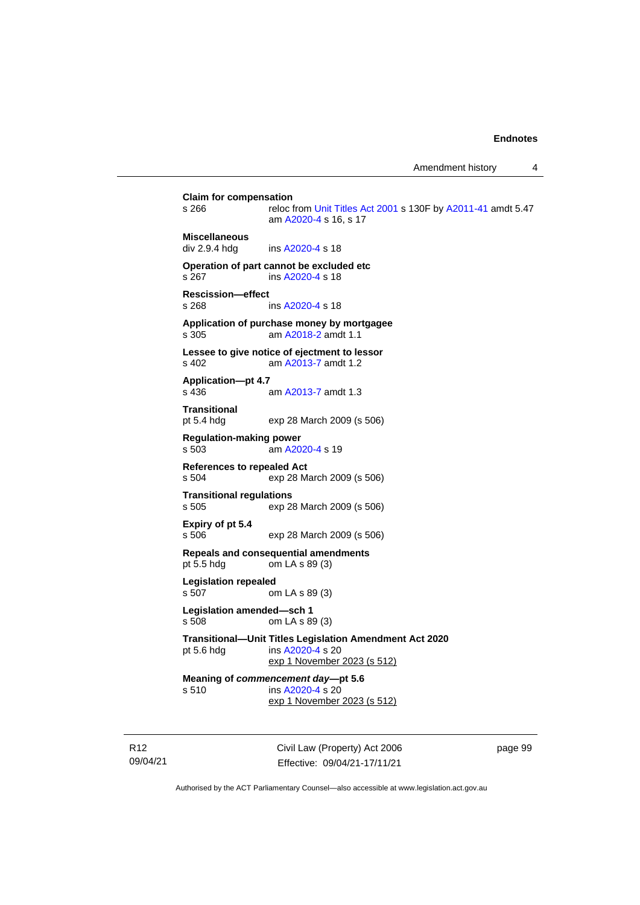**Claim for compensation**<br>s 266 reloc f reloc from [Unit Titles Act 2001](http://www.legislation.act.gov.au/a/2001-16) s 130F by [A2011-41](http://www.legislation.act.gov.au/a/2011-41) amdt 5.47 am [A2020-4](http://www.legislation.act.gov.au/a/2020-4/) s 16, s 17 **Miscellaneous** div 2.9.4 hdg ins [A2020-4](http://www.legislation.act.gov.au/a/2020-4/) s 18 **Operation of part cannot be excluded etc** s 267 ins [A2020-4](http://www.legislation.act.gov.au/a/2020-4/) s 18 **Rescission—effect** s 268 ins [A2020-4](http://www.legislation.act.gov.au/a/2020-4/) s 18 **Application of purchase money by mortgagee** s 305 am [A2018-2](http://www.legislation.act.gov.au/a/2018-2/default.asp) amdt 1.1 **Lessee to give notice of ejectment to lessor** s 402 am [A2013-7](http://www.legislation.act.gov.au/a/2013-7/default.asp) amdt 1.2 **Application—pt 4.7** s 436 am [A2013-7](http://www.legislation.act.gov.au/a/2013-7/default.asp) amdt 1.3 **Transitional** pt 5.4 hdg exp 28 March 2009 (s 506) **Regulation-making power** s 503 am [A2020-4](http://www.legislation.act.gov.au/a/2020-4/) s 19 **References to repealed Act**<br>s 504 exp 28 M exp 28 March 2009 (s 506) **Transitional regulations** s 505 exp 28 March 2009 (s 506) **Expiry of pt 5.4** s 506 exp 28 March 2009 (s 506) **Repeals and consequential amendments** pt 5.5 hdg om LA s 89 (3) **Legislation repealed** s 507 om LA s 89 (3) **Legislation amended—sch 1** s 508 om LA s 89 (3) **Transitional—Unit Titles Legislation Amendment Act 2020** pt 5.6 hdg ins [A2020-4](http://www.legislation.act.gov.au/a/2020-4/) s 20 exp 1 November 2023 (s 512) **Meaning of** *commencement day***—pt 5.6** s 510 ins [A2020-4](http://www.legislation.act.gov.au/a/2020-4/) s 20 exp 1 November 2023 (s 512)

R12 09/04/21 Civil Law (Property) Act 2006 Effective: 09/04/21-17/11/21

page 99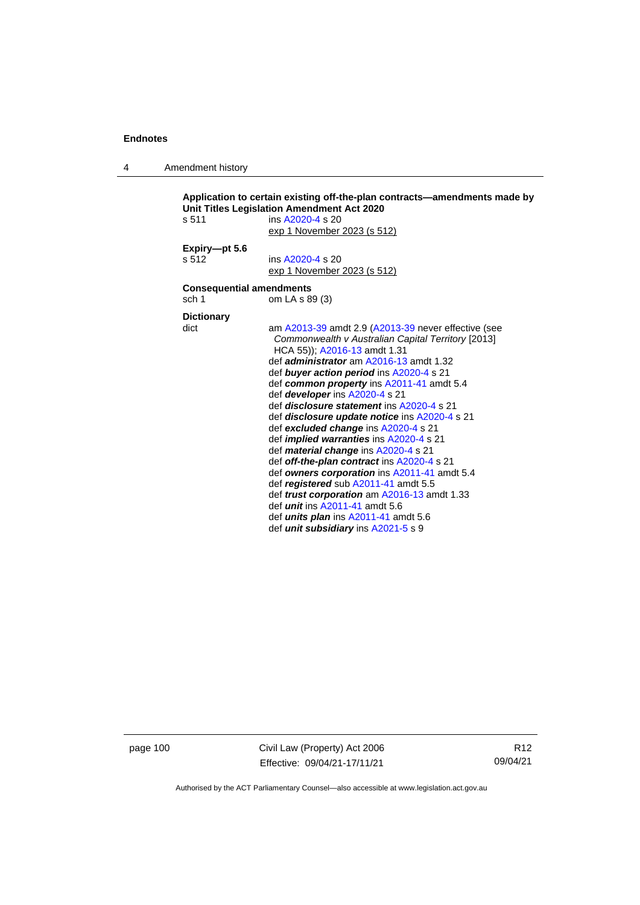4 Amendment history

```
Application to certain existing off-the-plan contracts—amendments made by 
Unit Titles Legislation Amendment Act 2020
s 511 ins A2020-4 s 20
                  exp 1 November 2023 (s 512)
Expiry—pt 5.6
s 512 ins A2020-4 s 20
                  exp 1 November 2023 (s 512)
Consequential amendments
sch 1 om LA s 89 (3)
Dictionary
dict am A2013-39 amdt 2.9 (A2013-39 never effective (see 
                   Commonwealth v Australian Capital Territory [2013] 
                   HCA 55)); A2016-13 amdt 1.31
                  def administrator am A2016-13 amdt 1.32
                  def buyer action period ins A2020-4 s 21
                  def common property ins A2011-41 amdt 5.4
                  def developer ins A2020-4 s 21
                  def disclosure statement ins A2020-4 s 21
                  def disclosure update notice ins A2020-4 s 21
                  def excluded change ins A2020-4 s 21
                  def implied warranties ins A2020-4 s 21
                  def material change ins A2020-4 s 21
                  def off-the-plan contract ins A2020-4 s 21
                  def owners corporation ins A2011-41 amdt 5.4
                  def registered sub A2011-41 amdt 5.5
                  def trust corporation am A2016-13 amdt 1.33
                  def unit ins A2011-41 amdt 5.6
                  def units plan ins A2011-41 amdt 5.6
                  def unit subsidiary ins A2021-5 s 9
```
page 100 Civil Law (Property) Act 2006 Effective: 09/04/21-17/11/21

R12 09/04/21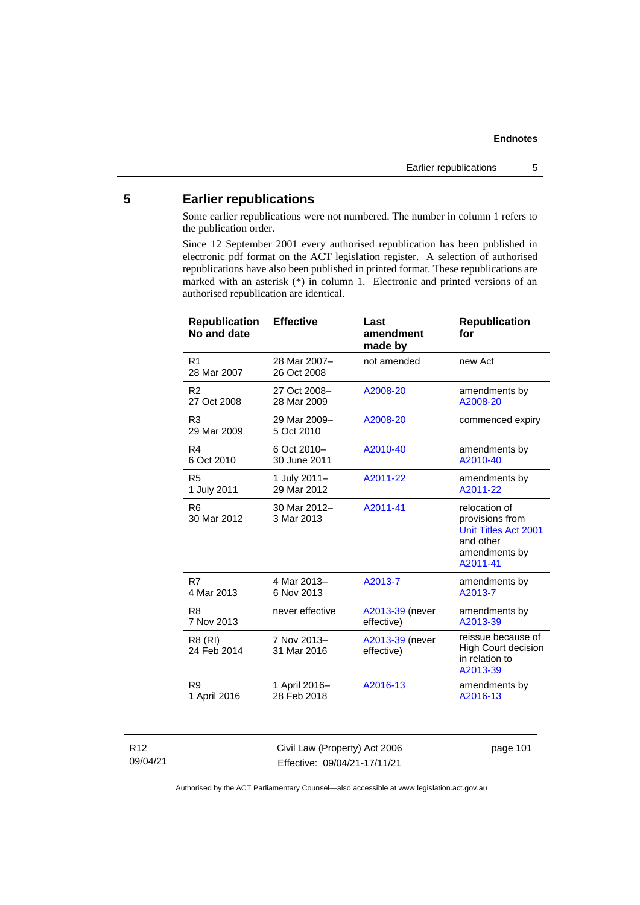# **5 Earlier republications**

Some earlier republications were not numbered. The number in column 1 refers to the publication order.

Since 12 September 2001 every authorised republication has been published in electronic pdf format on the ACT legislation register. A selection of authorised republications have also been published in printed format. These republications are marked with an asterisk (\*) in column 1. Electronic and printed versions of an authorised republication are identical.

| <b>Republication</b><br>No and date | <b>Effective</b>            | Last<br>amendment<br>made by  | <b>Republication</b><br>for                                                                        |
|-------------------------------------|-----------------------------|-------------------------------|----------------------------------------------------------------------------------------------------|
| R <sub>1</sub><br>28 Mar 2007       | 28 Mar 2007-<br>26 Oct 2008 | not amended                   | new Act                                                                                            |
| R <sub>2</sub>                      | 27 Oct 2008-                | A2008-20                      | amendments by                                                                                      |
| 27 Oct 2008                         | 28 Mar 2009                 |                               | A2008-20                                                                                           |
| R <sub>3</sub><br>29 Mar 2009       | 29 Mar 2009-<br>5 Oct 2010  | A2008-20                      | commenced expiry                                                                                   |
| R4                                  | 6 Oct 2010-                 | A2010-40                      | amendments by                                                                                      |
| 6 Oct 2010                          | 30 June 2011                |                               | A2010-40                                                                                           |
| R <sub>5</sub>                      | 1 July 2011-                | A2011-22                      | amendments by                                                                                      |
| 1 July 2011                         | 29 Mar 2012                 |                               | A2011-22                                                                                           |
| R <sub>6</sub><br>30 Mar 2012       | 30 Mar 2012-<br>3 Mar 2013  | A2011-41                      | relocation of<br>provisions from<br>Unit Titles Act 2001<br>and other<br>amendments by<br>A2011-41 |
| R7                                  | 4 Mar 2013-                 | A2013-7                       | amendments by                                                                                      |
| 4 Mar 2013                          | 6 Nov 2013                  |                               | A2013-7                                                                                            |
| R <sub>8</sub>                      | never effective             | A2013-39 (never               | amendments by                                                                                      |
| 7 Nov 2013                          |                             | effective)                    | A2013-39                                                                                           |
| R8 (RI)<br>24 Feb 2014              | 7 Nov 2013-<br>31 Mar 2016  | A2013-39 (never<br>effective) | reissue because of<br><b>High Court decision</b><br>in relation to<br>A2013-39                     |
| R <sub>9</sub>                      | 1 April 2016-               | A2016-13                      | amendments by                                                                                      |
| 1 April 2016                        | 28 Feb 2018                 |                               | A2016-13                                                                                           |
|                                     |                             |                               |                                                                                                    |

### R12 09/04/21

Civil Law (Property) Act 2006 Effective: 09/04/21-17/11/21

page 101